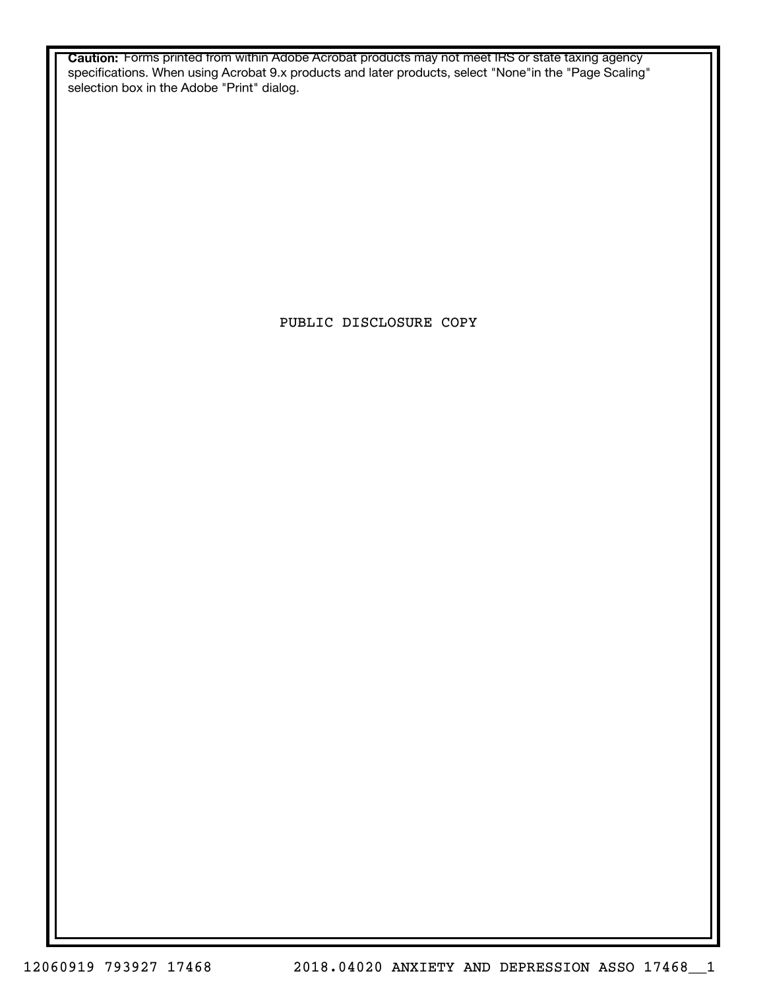**Caution:** Forms printed from within Adobe Acrobat products may not meet IRS or state taxing agency specifications. When using Acrobat 9.x products and later products, select "None"in the "Page Scaling" selection box in the Adobe "Print" dialog.

PUBLIC DISCLOSURE COPY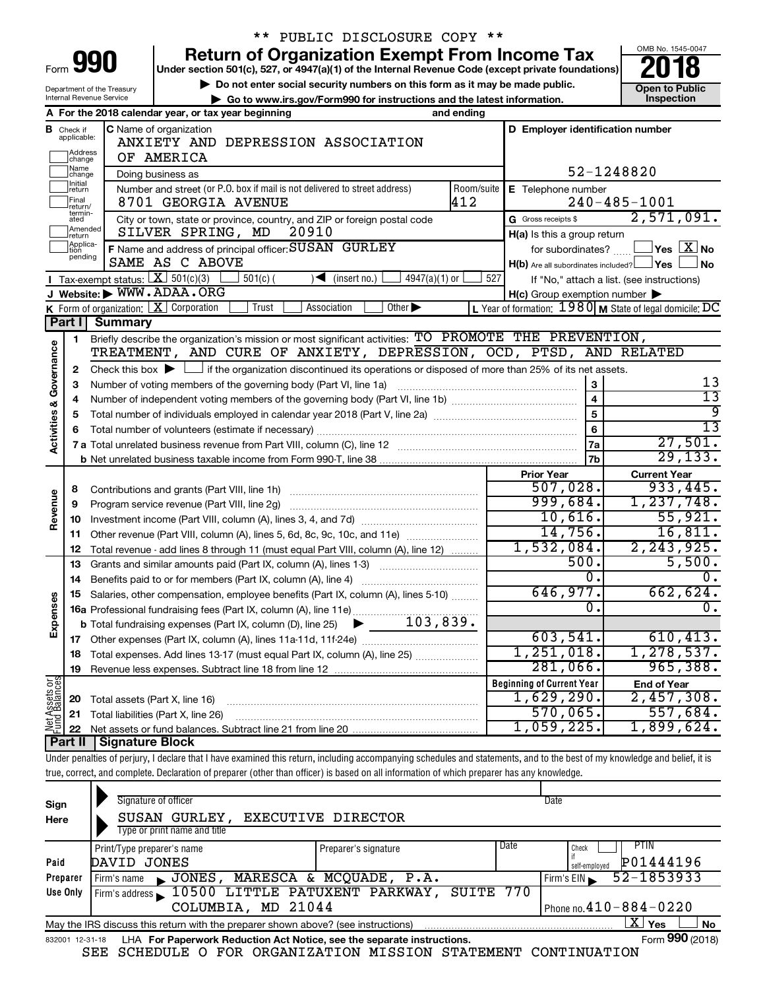| Form<br>в |  |  |
|-----------|--|--|

Department of the Treasury Internal Revenue Service

# \*\* PUBLIC DISCLOSURE COPY \*\*

**990** Return of Organization Exempt From Income Tax **Punce 1845-004 Puncer section 501(c), 527, or 4947(a)(1)** of the Internal Revenue Code (except private foundations) **2018** 

**b** Do not enter social security numbers on this form as it may be made public.<br> **Go to www.irs.gov/Form990 for instructions and the latest information. This impection | Go to www.irs.gov/Form990 for instructions and the latest information. Inspection**



|                                    |                              | A For the 2018 calendar year, or tax year beginning                                                                                                         | and ending |                                                  |                                                                   |
|------------------------------------|------------------------------|-------------------------------------------------------------------------------------------------------------------------------------------------------------|------------|--------------------------------------------------|-------------------------------------------------------------------|
| в                                  | Check if<br>applicable:      | C Name of organization<br>ANXIETY AND DEPRESSION ASSOCIATION                                                                                                |            | D Employer identification number                 |                                                                   |
|                                    | Address<br>change            | OF AMERICA                                                                                                                                                  |            |                                                  |                                                                   |
|                                    | Name<br>change               | Doing business as                                                                                                                                           |            |                                                  | 52-1248820                                                        |
|                                    | Initial<br> return           | Number and street (or P.O. box if mail is not delivered to street address)                                                                                  | Room/suite | E Telephone number                               |                                                                   |
|                                    | Final<br>return/             | 8701 GEORGIA AVENUE                                                                                                                                         | 412        |                                                  | $240 - 485 - 1001$                                                |
|                                    | termin-<br>ated<br>Amended   | City or town, state or province, country, and ZIP or foreign postal code                                                                                    |            | G Gross receipts \$                              | 2,571,091.                                                        |
|                                    | return                       | SILVER SPRING, MD<br>20910                                                                                                                                  |            | H(a) Is this a group return                      |                                                                   |
|                                    | Applica-<br>Ition<br>pending | F Name and address of principal officer: SUSAN GURLEY<br>SAME AS C ABOVE                                                                                    |            | for subordinates?                                | $\sqrt{}$ Yes $~$ $\overline{\mathrm{X}}$ No                      |
|                                    |                              | <b>I</b> Tax-exempt status: $X \ 501(c)(3)$<br>$4947(a)(1)$ or<br>$\blacksquare$                                                                            | 527        | $H(b)$ Are all subordinates included? $\Box$ Yes | <b>No</b>                                                         |
|                                    |                              | $501(c)$ (<br>(insert no.)<br>J Website: WWW.ADAA.ORG                                                                                                       |            | H(c) Group exemption number                      | If "No," attach a list. (see instructions)                        |
|                                    |                              | Other $\blacktriangleright$<br><b>K</b> Form of organization: $X$ Corporation<br>Trust<br>Association                                                       |            |                                                  | L Year of formation: $1980 \text{ M}$ State of legal domicile: DC |
|                                    | Part I                       | <b>Summary</b>                                                                                                                                              |            |                                                  |                                                                   |
|                                    | 1                            | Briefly describe the organization's mission or most significant activities: TO PROMOTE THE PREVENTION,                                                      |            |                                                  |                                                                   |
| <b>Activities &amp; Governance</b> |                              | TREATMENT, AND CURE OF ANXIETY, DEPRESSION, OCD, PTSD, AND RELATED                                                                                          |            |                                                  |                                                                   |
|                                    | $\mathbf{2}$                 | Check this box $\blacktriangleright$ $\Box$ if the organization discontinued its operations or disposed of more than 25% of its net assets.                 |            |                                                  |                                                                   |
|                                    | З                            | Number of voting members of the governing body (Part VI, line 1a) [11] manufactured in the state of voting members of the governing body (Part VI, line 1a) |            | 3                                                | 13                                                                |
|                                    | 4                            |                                                                                                                                                             |            | $\overline{\mathbf{4}}$                          | $\overline{13}$                                                   |
|                                    | 5                            |                                                                                                                                                             |            | $\overline{5}$                                   | वु                                                                |
|                                    | 6                            |                                                                                                                                                             |            | 6                                                | $\overline{13}$                                                   |
|                                    |                              |                                                                                                                                                             |            | 7a                                               | 27,501.                                                           |
|                                    |                              |                                                                                                                                                             |            | 7b                                               | 29, 133.                                                          |
|                                    |                              |                                                                                                                                                             |            | <b>Prior Year</b>                                | <b>Current Year</b>                                               |
|                                    | 8                            | Contributions and grants (Part VIII, line 1h)                                                                                                               |            | 507,028.                                         | 933,445.                                                          |
| Revenue                            | 9                            | Program service revenue (Part VIII, line 2g)                                                                                                                |            | 999,684.                                         | 1, 237, 748.                                                      |
|                                    | 10                           |                                                                                                                                                             |            | 10,616.                                          | 55,921.                                                           |
|                                    | 11                           | Other revenue (Part VIII, column (A), lines 5, 6d, 8c, 9c, 10c, and 11e)                                                                                    |            | 14,756.                                          | 16,811.                                                           |
|                                    | 12                           | Total revenue - add lines 8 through 11 (must equal Part VIII, column (A), line 12)                                                                          |            | 1,532,084.<br>500.                               | 2, 243, 925.<br>5,500.                                            |
|                                    | 13                           | Grants and similar amounts paid (Part IX, column (A), lines 1-3)                                                                                            |            | 0.                                               | О.                                                                |
|                                    | 14                           |                                                                                                                                                             |            | 646,977.                                         | 662,624.                                                          |
|                                    | 15                           | Salaries, other compensation, employee benefits (Part IX, column (A), lines 5-10)<br>16a Professional fundraising fees (Part IX, column (A), line 11e)      |            | $\overline{0}$ .                                 | 0.                                                                |
| Expenses                           |                              | $\blacktriangleright$ 103,839.<br><b>b</b> Total fundraising expenses (Part IX, column (D), line 25)                                                        |            |                                                  |                                                                   |
|                                    | 17                           |                                                                                                                                                             |            | 603,541.                                         | 610, 413.                                                         |
|                                    | 18                           | Total expenses. Add lines 13-17 (must equal Part IX, column (A), line 25)                                                                                   |            | 1, 251, 018.                                     | 1, 278, 537.                                                      |
|                                    | 19                           |                                                                                                                                                             |            | 281,066.                                         | 965,388.                                                          |
|                                    |                              |                                                                                                                                                             |            | <b>Beginning of Current Year</b>                 | <b>End of Year</b>                                                |
|                                    | 20                           | Total assets (Part X, line 16)                                                                                                                              |            | 1,629,290.                                       | 2,457,308.                                                        |
|                                    | 21                           | Total liabilities (Part X, line 26)                                                                                                                         |            | 570,065.                                         | 557,684.                                                          |
| Net Assets or<br>Fund Balances     | 22                           |                                                                                                                                                             |            | 1,059,225.                                       | 1,899,624.                                                        |
|                                    |                              |                                                                                                                                                             |            |                                                  |                                                                   |

**Part II Signature Block**

Under penalties of perjury, I declare that I have examined this return, including accompanying schedules and statements, and to the best of my knowledge and belief, it is true, correct, and complete. Declaration of preparer (other than officer) is based on all information of which preparer has any knowledge.

| Sign<br>Here    | Signature of officer<br>SUSAN GURLEY,<br>Type or print name and title             | EXECUTIVE DIRECTOR   |      | Date                                               |
|-----------------|-----------------------------------------------------------------------------------|----------------------|------|----------------------------------------------------|
| Paid            | Print/Type preparer's name<br>DAVID JONES                                         | Preparer's signature | Date | <b>PTIN</b><br>Check<br>P01444196<br>self-employed |
| Preparer        | JONES, MARESCA & MCQUADE, P.A.<br>Firm's name                                     |                      |      | 52-1853933<br>Firm's EIN                           |
| Use Only        | Firm's address 10500 LITTLE PATUXENT PARKWAY, SUITE 770                           |                      |      |                                                    |
|                 | COLUMBIA, MD 21044                                                                |                      |      | Phone no. $410 - 884 - 0220$                       |
|                 | May the IRS discuss this return with the preparer shown above? (see instructions) |                      |      | $\mathbf{X}$ Yes<br><b>No</b>                      |
| 832001 12-31-18 | LHA For Paperwork Reduction Act Notice, see the separate instructions.            |                      |      | Form 990 (2018)                                    |

SEE SCHEDULE O FOR ORGANIZATION MISSION STATEMENT CONTINUATION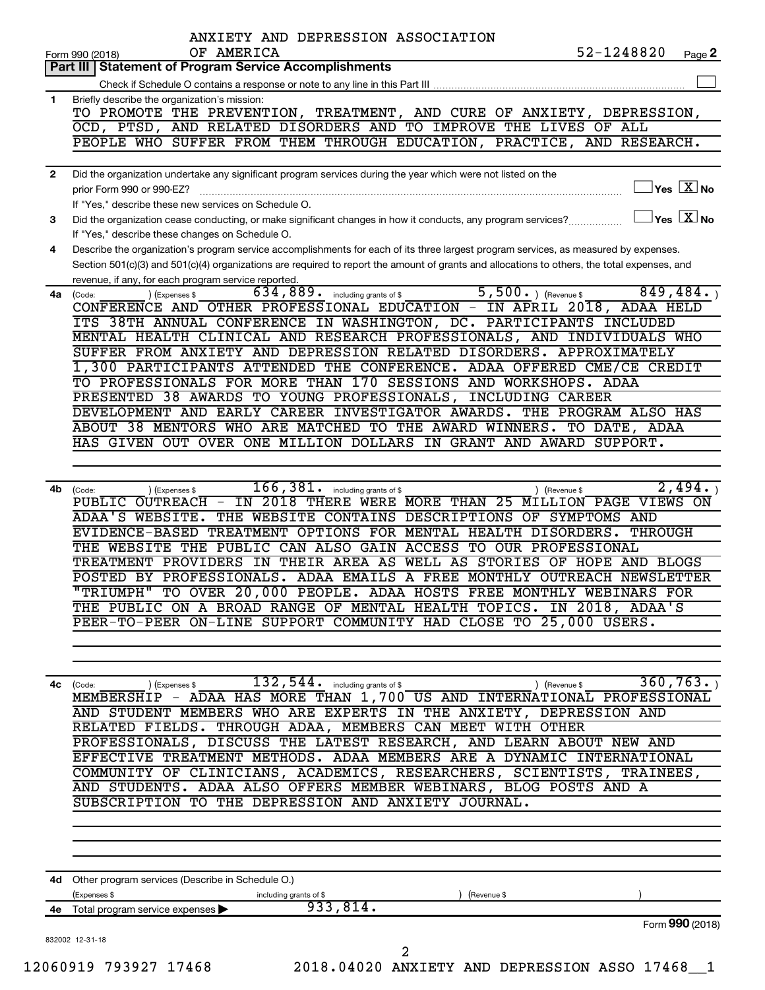|              | ANXIETY AND DEPRESSION ASSOCIATION<br>52-1248820<br>OF AMERICA<br>Page 2<br>Form 990 (2018)                                                                                                               |
|--------------|-----------------------------------------------------------------------------------------------------------------------------------------------------------------------------------------------------------|
|              | <b>Statement of Program Service Accomplishments</b><br>Part III                                                                                                                                           |
|              |                                                                                                                                                                                                           |
| 1            | Briefly describe the organization's mission:                                                                                                                                                              |
|              | TO PROMOTE THE PREVENTION, TREATMENT, AND CURE OF ANXIETY, DEPRESSION,                                                                                                                                    |
|              | OCD, PTSD, AND RELATED DISORDERS AND TO IMPROVE THE LIVES OF<br><b>ALL</b>                                                                                                                                |
|              | PEOPLE WHO SUFFER FROM THEM THROUGH EDUCATION, PRACTICE, AND RESEARCH.                                                                                                                                    |
| $\mathbf{2}$ | Did the organization undertake any significant program services during the year which were not listed on the                                                                                              |
|              | $\sqrt{\mathsf{Yes}\ \mathbf{X}}$ No<br>prior Form 990 or 990-EZ?                                                                                                                                         |
|              | If "Yes." describe these new services on Schedule O.                                                                                                                                                      |
| 3            | $\sqrt{\ }$ Yes $\sqrt{\ \text{X}}$ No<br>Did the organization cease conducting, or make significant changes in how it conducts, any program services?<br>If "Yes," describe these changes on Schedule O. |
| 4            | Describe the organization's program service accomplishments for each of its three largest program services, as measured by expenses.                                                                      |
|              | Section 501(c)(3) and 501(c)(4) organizations are required to report the amount of grants and allocations to others, the total expenses, and                                                              |
|              | revenue, if any, for each program service reported.                                                                                                                                                       |
|              | $5,500.$ (Revenue \$<br>634,889.<br>849,484.<br>including grants of \$<br>4a (Code:<br>(Expenses \$                                                                                                       |
|              | CONFERENCE AND OTHER PROFESSIONAL EDUCATION - IN APRIL 2018,<br>ADAA HELD                                                                                                                                 |
|              | ITS 38TH ANNUAL CONFERENCE IN WASHINGTON, DC. PARTICIPANTS INCLUDED                                                                                                                                       |
|              | MENTAL HEALTH CLINICAL AND RESEARCH PROFESSIONALS, AND INDIVIDUALS WHO                                                                                                                                    |
|              | SUFFER FROM ANXIETY AND DEPRESSION RELATED DISORDERS. APPROXIMATELY<br>1,300 PARTICIPANTS ATTENDED THE CONFERENCE. ADAA OFFERED CME/CE CREDIT                                                             |
|              | TO PROFESSIONALS FOR MORE THAN 170 SESSIONS AND WORKSHOPS. ADAA                                                                                                                                           |
|              | PRESENTED 38 AWARDS TO YOUNG PROFESSIONALS, INCLUDING CAREER                                                                                                                                              |
|              | DEVELOPMENT AND EARLY CAREER INVESTIGATOR AWARDS. THE PROGRAM ALSO HAS                                                                                                                                    |
|              | ABOUT 38 MENTORS WHO ARE MATCHED TO THE AWARD WINNERS.<br>TO DATE, ADAA                                                                                                                                   |
|              | HAS GIVEN OUT OVER ONE MILLION DOLLARS IN GRANT AND AWARD<br>SUPPORT.                                                                                                                                     |
|              |                                                                                                                                                                                                           |
| 4b           | 2,494.<br>$\overline{166}$ , $\overline{381}$ . including grants of \$<br>) (Revenue \$<br>(Code:<br>(Expenses \$                                                                                         |
|              | IN 2018 THERE WERE MORE THAN 25 MILLION PAGE VIEWS ON<br>PUBLIC OUTREACH<br>$-$                                                                                                                           |
|              | THE WEBSITE CONTAINS DESCRIPTIONS OF SYMPTOMS AND<br>ADAA'S WEBSITE.                                                                                                                                      |
|              | TREATMENT OPTIONS FOR MENTAL HEALTH DISORDERS.<br><b>THROUGH</b><br><b>EVIDENCE-BASED</b>                                                                                                                 |
|              | THE WEBSITE THE PUBLIC CAN ALSO GAIN ACCESS TO OUR PROFESSIONAL                                                                                                                                           |
|              | TREATMENT PROVIDERS IN THEIR AREA AS WELL AS STORIES OF HOPE<br>AND BLOGS                                                                                                                                 |
|              | POSTED BY PROFESSIONALS. ADAA EMAILS A FREE MONTHLY OUTREACH NEWSLETTER                                                                                                                                   |
|              | "TRIUMPH" TO OVER 20,000 PEOPLE. ADAA HOSTS FREE MONTHLY WEBINARS FOR                                                                                                                                     |
|              | THE PUBLIC ON A BROAD RANGE OF MENTAL HEALTH TOPICS. IN 2018, ADAA'S                                                                                                                                      |
|              | PEER-TO-PEER ON-LINE SUPPORT COMMUNITY HAD CLOSE TO 25,000 USERS.                                                                                                                                         |
|              |                                                                                                                                                                                                           |
|              | 360, 763.<br>$132, 544$ including grants of \$                                                                                                                                                            |
| 4с           | ) (Revenue \$<br>(Expenses \$<br>(Code:<br>MEMBERSHIP - ADAA HAS MORE THAN 1,700 US AND INTERNATIONAL PROFESSIONAL                                                                                        |
|              | AND STUDENT MEMBERS WHO ARE EXPERTS IN THE ANXIETY, DEPRESSION AND                                                                                                                                        |
|              | RELATED FIELDS. THROUGH ADAA, MEMBERS CAN MEET WITH OTHER                                                                                                                                                 |
|              | PROFESSIONALS, DISCUSS THE LATEST RESEARCH, AND LEARN ABOUT NEW AND                                                                                                                                       |
|              | EFFECTIVE TREATMENT METHODS. ADAA MEMBERS ARE A DYNAMIC INTERNATIONAL                                                                                                                                     |
|              | COMMUNITY OF CLINICIANS, ACADEMICS, RESEARCHERS, SCIENTISTS, TRAINEES,                                                                                                                                    |
|              | AND STUDENTS. ADAA ALSO OFFERS MEMBER WEBINARS, BLOG POSTS AND A                                                                                                                                          |
|              | SUBSCRIPTION TO THE DEPRESSION AND ANXIETY JOURNAL.                                                                                                                                                       |
|              |                                                                                                                                                                                                           |
|              |                                                                                                                                                                                                           |
|              | 4d Other program services (Describe in Schedule O.)                                                                                                                                                       |
|              | (Expenses \$<br>(Revenue \$<br>including grants of \$                                                                                                                                                     |
| 4e           | 933,814.<br>Total program service expenses<br>Form 990 (2018)                                                                                                                                             |
|              | 832002 12-31-18                                                                                                                                                                                           |
|              | 2                                                                                                                                                                                                         |
|              | 12060919 793927 17468<br>2018.04020 ANXIETY AND DEPRESSION ASSO 17468 1                                                                                                                                   |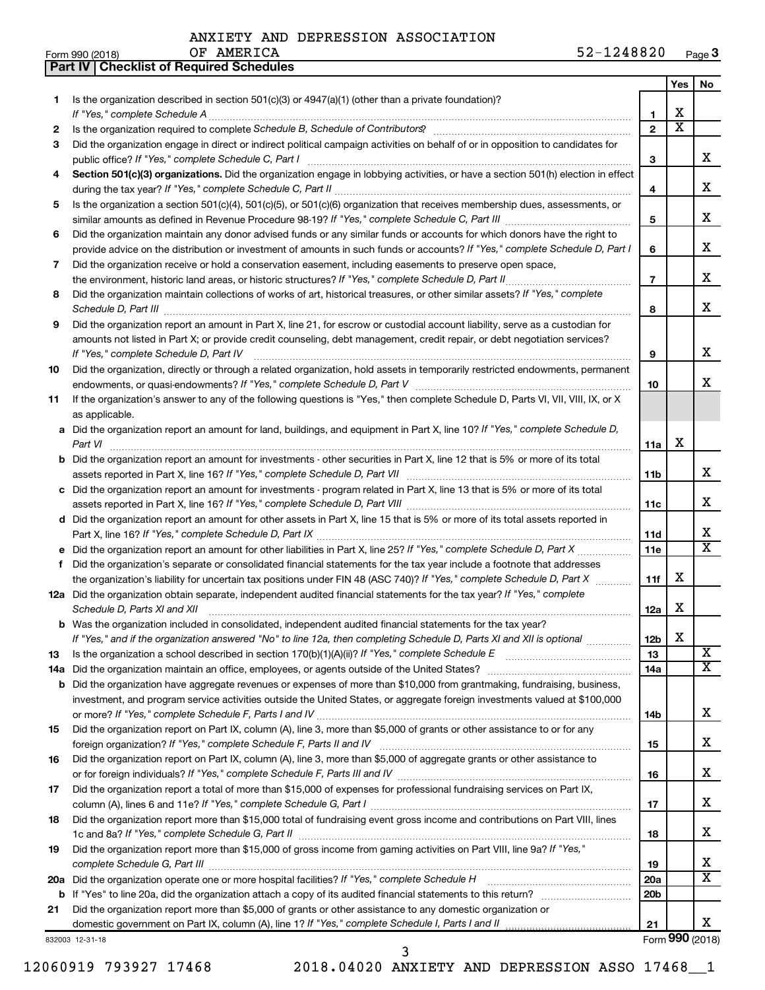|  |  |  | ANXIETY AND DEPRESSION ASSOCIATION |
|--|--|--|------------------------------------|
|--|--|--|------------------------------------|

**Part IV Checklist of Required Schedules**

| Form 990 (2018) | AMERICA<br>ΟF | $52 - 1$<br>1248820<br>Page $3$ | - |
|-----------------|---------------|---------------------------------|---|
|-----------------|---------------|---------------------------------|---|

|    |                                                                                                                                                                                                  |                 | <b>Yes</b>            | No                      |
|----|--------------------------------------------------------------------------------------------------------------------------------------------------------------------------------------------------|-----------------|-----------------------|-------------------------|
| 1  | Is the organization described in section 501(c)(3) or $4947(a)(1)$ (other than a private foundation)?                                                                                            |                 |                       |                         |
|    |                                                                                                                                                                                                  | 1               | х                     |                         |
| 2  | Is the organization required to complete Schedule B, Schedule of Contributors? [11] the organization required to complete Schedule B, Schedule of Contributors?                                  | $\overline{2}$  | $\overline{\text{x}}$ |                         |
| 3  | Did the organization engage in direct or indirect political campaign activities on behalf of or in opposition to candidates for                                                                  |                 |                       |                         |
|    |                                                                                                                                                                                                  | 3               |                       | x                       |
| 4  | Section 501(c)(3) organizations. Did the organization engage in lobbying activities, or have a section 501(h) election in effect                                                                 |                 |                       |                         |
|    |                                                                                                                                                                                                  | 4               |                       | x                       |
| 5  | Is the organization a section 501(c)(4), 501(c)(5), or 501(c)(6) organization that receives membership dues, assessments, or                                                                     |                 |                       |                         |
|    |                                                                                                                                                                                                  | 5               |                       | x                       |
| 6  | Did the organization maintain any donor advised funds or any similar funds or accounts for which donors have the right to                                                                        |                 |                       | x                       |
|    | provide advice on the distribution or investment of amounts in such funds or accounts? If "Yes," complete Schedule D, Part I                                                                     | 6               |                       |                         |
| 7  | Did the organization receive or hold a conservation easement, including easements to preserve open space,                                                                                        | $\overline{7}$  |                       | x                       |
|    |                                                                                                                                                                                                  |                 |                       |                         |
| 8  | Did the organization maintain collections of works of art, historical treasures, or other similar assets? If "Yes," complete                                                                     |                 |                       | x                       |
| 9  | Did the organization report an amount in Part X, line 21, for escrow or custodial account liability, serve as a custodian for                                                                    | 8               |                       |                         |
|    | amounts not listed in Part X; or provide credit counseling, debt management, credit repair, or debt negotiation services?                                                                        |                 |                       |                         |
|    | If "Yes," complete Schedule D, Part IV                                                                                                                                                           | 9               |                       | x                       |
| 10 | Did the organization, directly or through a related organization, hold assets in temporarily restricted endowments, permanent                                                                    |                 |                       |                         |
|    |                                                                                                                                                                                                  | 10              |                       | x                       |
| 11 | If the organization's answer to any of the following questions is "Yes," then complete Schedule D, Parts VI, VII, VIII, IX, or X                                                                 |                 |                       |                         |
|    | as applicable.                                                                                                                                                                                   |                 |                       |                         |
| a  | Did the organization report an amount for land, buildings, and equipment in Part X, line 10? If "Yes," complete Schedule D,                                                                      |                 |                       |                         |
|    | Part VI                                                                                                                                                                                          | 11a             | х                     |                         |
|    | <b>b</b> Did the organization report an amount for investments - other securities in Part X, line 12 that is 5% or more of its total                                                             |                 |                       |                         |
|    |                                                                                                                                                                                                  | 11b             |                       | x                       |
| с  | Did the organization report an amount for investments - program related in Part X, line 13 that is 5% or more of its total                                                                       |                 |                       |                         |
|    |                                                                                                                                                                                                  | 11c             |                       | x                       |
|    | d Did the organization report an amount for other assets in Part X, line 15 that is 5% or more of its total assets reported in                                                                   |                 |                       |                         |
|    |                                                                                                                                                                                                  | 11d             |                       | x                       |
|    | Did the organization report an amount for other liabilities in Part X, line 25? If "Yes," complete Schedule D, Part X                                                                            | 11e             |                       | $\overline{\mathtt{x}}$ |
| f  | Did the organization's separate or consolidated financial statements for the tax year include a footnote that addresses                                                                          |                 |                       |                         |
|    | the organization's liability for uncertain tax positions under FIN 48 (ASC 740)? If "Yes," complete Schedule D, Part X                                                                           | 11f             | х                     |                         |
|    | 12a Did the organization obtain separate, independent audited financial statements for the tax year? If "Yes," complete                                                                          |                 |                       |                         |
|    | Schedule D, Parts XI and XII                                                                                                                                                                     | 12a             | х                     |                         |
|    | Was the organization included in consolidated, independent audited financial statements for the tax year?                                                                                        |                 |                       |                         |
|    | If "Yes," and if the organization answered "No" to line 12a, then completing Schedule D, Parts XI and XII is optional                                                                            | 12b             | X                     |                         |
| 13 | Is the organization a school described in section $170(b)(1)(A)(ii)?$ If "Yes," complete Schedule E                                                                                              | 13              |                       | $\overline{\mathbf{X}}$ |
|    | 14a Did the organization maintain an office, employees, or agents outside of the United States?                                                                                                  | 14a             |                       | $\overline{\mathtt{x}}$ |
| b  | Did the organization have aggregate revenues or expenses of more than \$10,000 from grantmaking, fundraising, business,                                                                          |                 |                       |                         |
|    | investment, and program service activities outside the United States, or aggregate foreign investments valued at \$100,000                                                                       |                 |                       |                         |
|    |                                                                                                                                                                                                  | 14b             |                       | x                       |
| 15 | Did the organization report on Part IX, column (A), line 3, more than \$5,000 of grants or other assistance to or for any                                                                        |                 |                       | x                       |
|    | foreign organization? If "Yes," complete Schedule F, Parts II and IV<br>Did the organization report on Part IX, column (A), line 3, more than \$5,000 of aggregate grants or other assistance to | 15              |                       |                         |
| 16 |                                                                                                                                                                                                  | 16              |                       | x                       |
| 17 | Did the organization report a total of more than \$15,000 of expenses for professional fundraising services on Part IX,                                                                          |                 |                       |                         |
|    |                                                                                                                                                                                                  | 17              |                       | x                       |
| 18 | Did the organization report more than \$15,000 total of fundraising event gross income and contributions on Part VIII, lines                                                                     |                 |                       |                         |
|    |                                                                                                                                                                                                  | 18              |                       | x                       |
| 19 | Did the organization report more than \$15,000 of gross income from gaming activities on Part VIII, line 9a? If "Yes,"                                                                           |                 |                       |                         |
|    |                                                                                                                                                                                                  | 19              |                       | x                       |
|    | 20a Did the organization operate one or more hospital facilities? If "Yes," complete Schedule H                                                                                                  | 20a             |                       | $\overline{\texttt{x}}$ |
|    |                                                                                                                                                                                                  | 20 <sub>b</sub> |                       |                         |
| 21 | Did the organization report more than \$5,000 of grants or other assistance to any domestic organization or                                                                                      |                 |                       |                         |
|    | domestic government on Part IX, column (A), line 1? If "Yes," complete Schedule I, Parts I and II                                                                                                | 21              |                       | x                       |
|    | 832003 12-31-18                                                                                                                                                                                  |                 |                       | Form 990 (2018)         |

12060919 793927 17468 2018.04020 ANXIETY AND DEPRESSION ASSO 17468\_\_1

3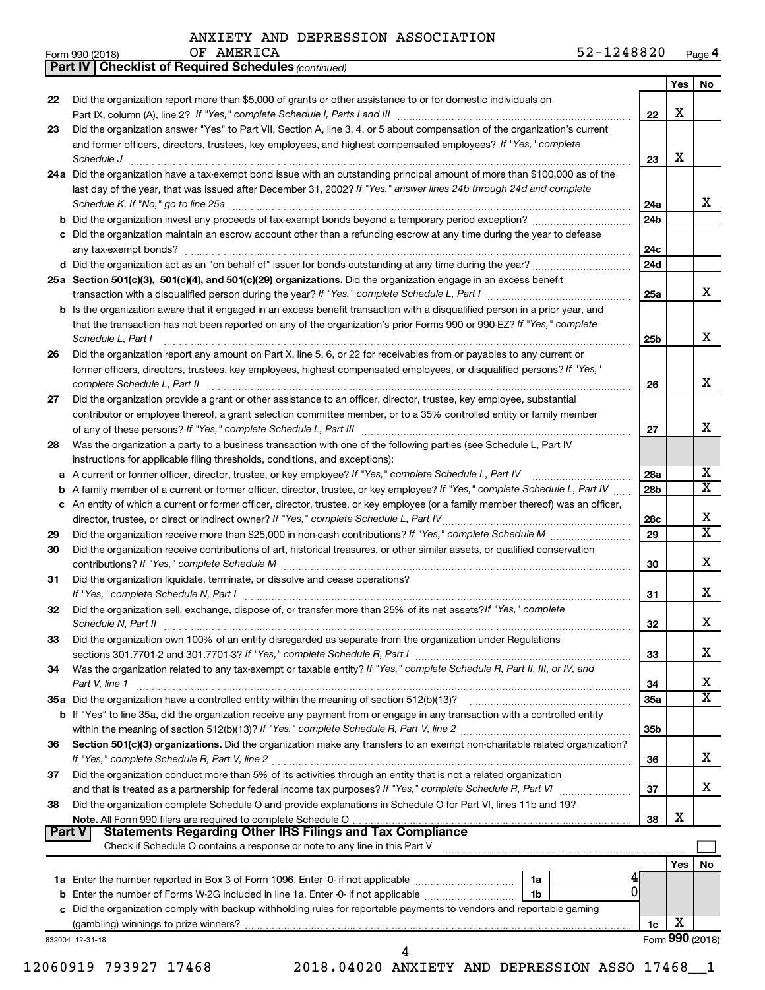OF AMERICA

Form 990 (2018) Page **4**

|               | <b>Part IV   Checklist of Required Schedules (continued)</b>                                                                        |                 |     |                         |
|---------------|-------------------------------------------------------------------------------------------------------------------------------------|-----------------|-----|-------------------------|
|               |                                                                                                                                     |                 | Yes | No.                     |
| 22            | Did the organization report more than \$5,000 of grants or other assistance to or for domestic individuals on                       |                 |     |                         |
|               |                                                                                                                                     | 22              | x   |                         |
| 23            | Did the organization answer "Yes" to Part VII, Section A, line 3, 4, or 5 about compensation of the organization's current          |                 |     |                         |
|               | and former officers, directors, trustees, key employees, and highest compensated employees? If "Yes," complete                      |                 |     |                         |
|               |                                                                                                                                     |                 | х   |                         |
|               | Schedule J                                                                                                                          | 23              |     |                         |
|               | 24a Did the organization have a tax-exempt bond issue with an outstanding principal amount of more than \$100,000 as of the         |                 |     |                         |
|               | last day of the year, that was issued after December 31, 2002? If "Yes," answer lines 24b through 24d and complete                  |                 |     |                         |
|               |                                                                                                                                     | 24a             |     | x                       |
|               |                                                                                                                                     | 24 <sub>b</sub> |     |                         |
|               | c Did the organization maintain an escrow account other than a refunding escrow at any time during the year to defease              |                 |     |                         |
|               |                                                                                                                                     | 24c             |     |                         |
|               |                                                                                                                                     | 24 <sub>d</sub> |     |                         |
|               | 25a Section 501(c)(3), 501(c)(4), and 501(c)(29) organizations. Did the organization engage in an excess benefit                    |                 |     |                         |
|               |                                                                                                                                     | 25a             |     | x                       |
|               | <b>b</b> Is the organization aware that it engaged in an excess benefit transaction with a disqualified person in a prior year, and |                 |     |                         |
|               | that the transaction has not been reported on any of the organization's prior Forms 990 or 990-EZ? If "Yes," complete               |                 |     |                         |
|               | Schedule L, Part I                                                                                                                  | 25b             |     | x                       |
|               | Did the organization report any amount on Part X, line 5, 6, or 22 for receivables from or payables to any current or               |                 |     |                         |
| 26            |                                                                                                                                     |                 |     |                         |
|               | former officers, directors, trustees, key employees, highest compensated employees, or disqualified persons? If "Yes,"              |                 |     | x                       |
|               | complete Schedule L, Part II                                                                                                        | 26              |     |                         |
| 27            | Did the organization provide a grant or other assistance to an officer, director, trustee, key employee, substantial                |                 |     |                         |
|               | contributor or employee thereof, a grant selection committee member, or to a 35% controlled entity or family member                 |                 |     |                         |
|               |                                                                                                                                     | 27              |     | x                       |
| 28            | Was the organization a party to a business transaction with one of the following parties (see Schedule L, Part IV                   |                 |     |                         |
|               | instructions for applicable filing thresholds, conditions, and exceptions):                                                         |                 |     |                         |
| а             | A current or former officer, director, trustee, or key employee? If "Yes," complete Schedule L, Part IV                             | 28a             |     | x                       |
| b             | A family member of a current or former officer, director, trustee, or key employee? If "Yes," complete Schedule L, Part IV          | 28 <sub>b</sub> |     | $\overline{\text{X}}$   |
|               | c An entity of which a current or former officer, director, trustee, or key employee (or a family member thereof) was an officer,   |                 |     |                         |
|               | director, trustee, or direct or indirect owner? If "Yes," complete Schedule L, Part IV                                              | 28c             |     | x                       |
| 29            |                                                                                                                                     | 29              |     | $\overline{\texttt{x}}$ |
| 30            | Did the organization receive contributions of art, historical treasures, or other similar assets, or qualified conservation         |                 |     |                         |
|               |                                                                                                                                     | 30              |     | x                       |
| 31            | Did the organization liquidate, terminate, or dissolve and cease operations?                                                        |                 |     |                         |
|               |                                                                                                                                     | 31              |     | x                       |
| 32            | Did the organization sell, exchange, dispose of, or transfer more than 25% of its net assets? If "Yes," complete                    |                 |     |                         |
|               |                                                                                                                                     | 32              |     | X                       |
| 33            | Did the organization own 100% of an entity disregarded as separate from the organization under Regulations                          |                 |     |                         |
|               |                                                                                                                                     | 33              |     | х                       |
| 34            | Was the organization related to any tax-exempt or taxable entity? If "Yes," complete Schedule R, Part II, III, or IV, and           |                 |     |                         |
|               |                                                                                                                                     |                 |     | x                       |
|               | Part V, line 1                                                                                                                      | 34              |     | X                       |
|               | 35a Did the organization have a controlled entity within the meaning of section 512(b)(13)?                                         | 35a             |     |                         |
|               | b If "Yes" to line 35a, did the organization receive any payment from or engage in any transaction with a controlled entity         |                 |     |                         |
|               |                                                                                                                                     | 35b             |     |                         |
| 36            | Section 501(c)(3) organizations. Did the organization make any transfers to an exempt non-charitable related organization?          |                 |     |                         |
|               |                                                                                                                                     | 36              |     | x                       |
| 37            | Did the organization conduct more than 5% of its activities through an entity that is not a related organization                    |                 |     |                         |
|               |                                                                                                                                     | 37              |     | x                       |
| 38            | Did the organization complete Schedule O and provide explanations in Schedule O for Part VI, lines 11b and 19?                      |                 |     |                         |
|               |                                                                                                                                     | 38              | х   |                         |
| <b>Part V</b> | <b>Statements Regarding Other IRS Filings and Tax Compliance</b>                                                                    |                 |     |                         |
|               | Check if Schedule O contains a response or note to any line in this Part V                                                          |                 |     |                         |
|               |                                                                                                                                     |                 | Yes | No                      |
|               | 1a                                                                                                                                  |                 |     |                         |
|               | 0l<br>1b                                                                                                                            |                 |     |                         |
|               | c Did the organization comply with backup withholding rules for reportable payments to vendors and reportable gaming                |                 |     |                         |
|               |                                                                                                                                     | 1c              | х   |                         |
|               | 832004 12-31-18                                                                                                                     |                 |     | Form 990 (2018)         |
|               | 4                                                                                                                                   |                 |     |                         |

12060919 793927 17468 2018.04020 ANXIETY AND DEPRESSION ASSO 17468\_\_1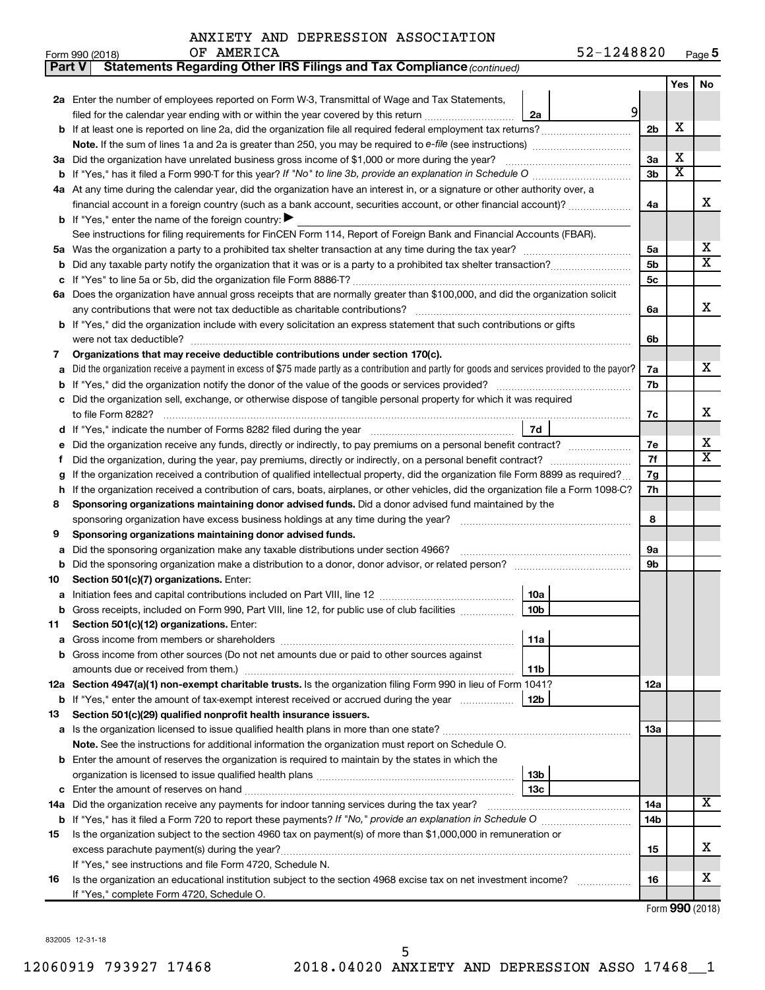| Form 990 (2018) | AMERICA<br>ΟF | <u>- ^</u><br>1248820<br>52-1 | Page 5 |
|-----------------|---------------|-------------------------------|--------|
|-----------------|---------------|-------------------------------|--------|

| Part V | Statements Regarding Other IRS Filings and Tax Compliance (continued)                                                                           |                 |                         |           |
|--------|-------------------------------------------------------------------------------------------------------------------------------------------------|-----------------|-------------------------|-----------|
|        |                                                                                                                                                 |                 | Yes                     | <b>No</b> |
|        | 2a Enter the number of employees reported on Form W-3, Transmittal of Wage and Tax Statements,                                                  |                 |                         |           |
|        | 9<br>filed for the calendar year ending with or within the year covered by this return<br>2a                                                    |                 |                         |           |
| b      | If at least one is reported on line 2a, did the organization file all required federal employment tax returns?                                  | 2 <sub>b</sub>  | х                       |           |
|        |                                                                                                                                                 |                 |                         |           |
|        | 3a Did the organization have unrelated business gross income of \$1,000 or more during the year?                                                | 3a              | х                       |           |
| b      | If "Yes," has it filed a Form 990 T for this year? If "No" to line 3b, provide an explanation in Schedule O manumum                             | 3b              | $\overline{\textbf{x}}$ |           |
|        | 4a At any time during the calendar year, did the organization have an interest in, or a signature or other authority over, a                    |                 |                         |           |
|        | financial account in a foreign country (such as a bank account, securities account, or other financial account)?                                | 4a              |                         | х         |
|        | <b>b</b> If "Yes," enter the name of the foreign country:                                                                                       |                 |                         |           |
|        | See instructions for filing requirements for FinCEN Form 114, Report of Foreign Bank and Financial Accounts (FBAR).                             |                 |                         |           |
| 5a     |                                                                                                                                                 | 5a              |                         | х         |
| b      |                                                                                                                                                 | 5 <sub>b</sub>  |                         | х         |
| с      |                                                                                                                                                 | 5с              |                         |           |
|        | 6a Does the organization have annual gross receipts that are normally greater than \$100,000, and did the organization solicit                  |                 |                         |           |
|        |                                                                                                                                                 | 6a              |                         | х         |
|        | b If "Yes," did the organization include with every solicitation an express statement that such contributions or gifts                          |                 |                         |           |
|        |                                                                                                                                                 | 6b              |                         |           |
| 7      | Organizations that may receive deductible contributions under section 170(c).                                                                   |                 |                         |           |
| a      | Did the organization receive a payment in excess of \$75 made partly as a contribution and partly for goods and services provided to the payor? | 7a              |                         | х         |
| b      |                                                                                                                                                 | 7b              |                         |           |
|        | Did the organization sell, exchange, or otherwise dispose of tangible personal property for which it was required                               |                 |                         |           |
|        |                                                                                                                                                 | 7c              |                         | х         |
| d      | 7d                                                                                                                                              |                 |                         |           |
|        |                                                                                                                                                 | 7е              |                         | х         |
| f      |                                                                                                                                                 | 7f              |                         | х         |
|        | If the organization received a contribution of qualified intellectual property, did the organization file Form 8899 as required?                | 7g              |                         |           |
| h      | If the organization received a contribution of cars, boats, airplanes, or other vehicles, did the organization file a Form 1098-C?              | 7h              |                         |           |
| 8      | Sponsoring organizations maintaining donor advised funds. Did a donor advised fund maintained by the                                            |                 |                         |           |
|        |                                                                                                                                                 | 8               |                         |           |
| 9      | Sponsoring organizations maintaining donor advised funds.                                                                                       |                 |                         |           |
| а      | Did the sponsoring organization make any taxable distributions under section 4966?                                                              | 9а              |                         |           |
| b      | Did the sponsoring organization make a distribution to a donor, donor advisor, or related person?                                               | 9b              |                         |           |
| 10     | Section 501(c)(7) organizations. Enter:                                                                                                         |                 |                         |           |
| а      | 10a                                                                                                                                             |                 |                         |           |
|        | 10 <sub>b</sub><br>Gross receipts, included on Form 990, Part VIII, line 12, for public use of club facilities                                  |                 |                         |           |
| 11     | Section 501(c)(12) organizations. Enter:                                                                                                        |                 |                         |           |
| а      | 11a                                                                                                                                             |                 |                         |           |
|        | Gross income from other sources (Do not net amounts due or paid to other sources against                                                        |                 |                         |           |
|        | 11b                                                                                                                                             |                 |                         |           |
|        | 12a Section 4947(a)(1) non-exempt charitable trusts. Is the organization filing Form 990 in lieu of Form 1041?                                  | 12a             |                         |           |
|        | 12b<br><b>b</b> If "Yes," enter the amount of tax-exempt interest received or accrued during the year                                           |                 |                         |           |
| 13     | Section 501(c)(29) qualified nonprofit health insurance issuers.                                                                                |                 |                         |           |
| a      | Is the organization licensed to issue qualified health plans in more than one state?                                                            | 1За             |                         |           |
|        | Note. See the instructions for additional information the organization must report on Schedule O.                                               |                 |                         |           |
| b      | Enter the amount of reserves the organization is required to maintain by the states in which the                                                |                 |                         |           |
|        | 13 <sub>b</sub>                                                                                                                                 |                 |                         |           |
| с      | 13 <sub>c</sub>                                                                                                                                 |                 |                         |           |
| 14a    | Did the organization receive any payments for indoor tanning services during the tax year?                                                      | 14a             |                         | х         |
|        |                                                                                                                                                 | 14 <sub>b</sub> |                         |           |
| 15     | Is the organization subject to the section 4960 tax on payment(s) of more than \$1,000,000 in remuneration or                                   |                 |                         |           |
|        |                                                                                                                                                 | 15              |                         | х         |
|        | If "Yes," see instructions and file Form 4720, Schedule N.                                                                                      |                 |                         |           |
| 16     | Is the organization an educational institution subject to the section 4968 excise tax on net investment income?                                 | 16              |                         | x         |
|        | If "Yes," complete Form 4720, Schedule O.                                                                                                       |                 |                         |           |

Form (2018) **990**

832005 12-31-18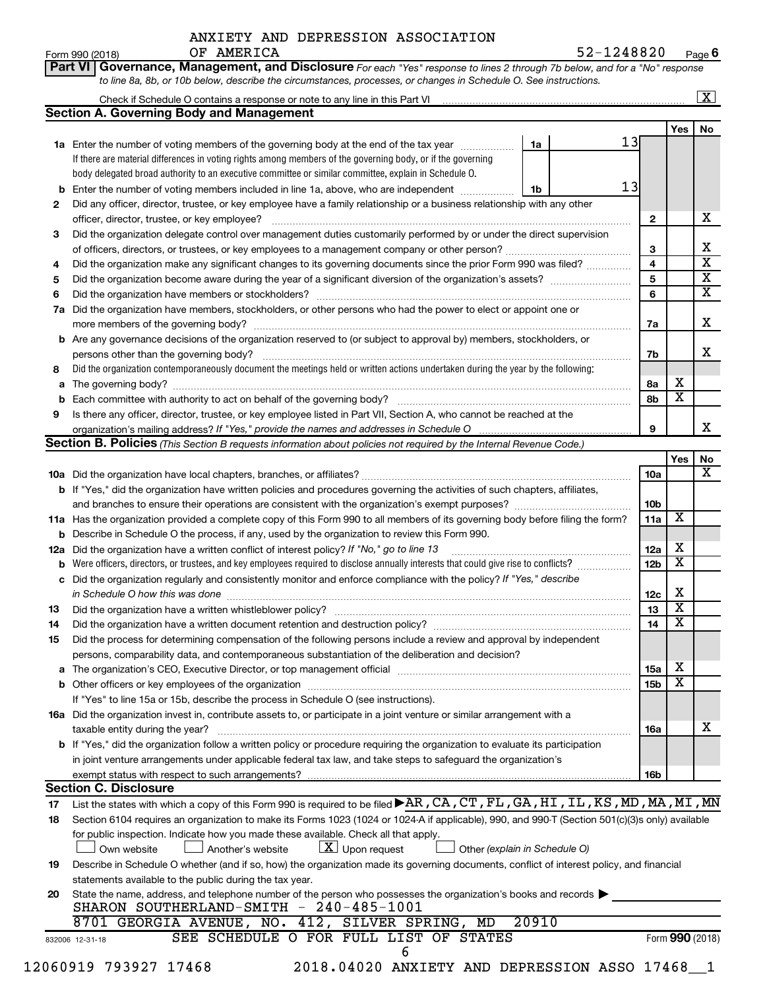**Part VI** Governance, Management, and Disclosure For each "Yes" response to lines 2 through 7b below, and for a "No" response

Form 990 (2018) Page **6** OF AMERICA 52-1248820

|     | <b>Section A. Governing Body and Management</b>                                                                                                                                                                                |       |    |                 |                         |                              |
|-----|--------------------------------------------------------------------------------------------------------------------------------------------------------------------------------------------------------------------------------|-------|----|-----------------|-------------------------|------------------------------|
|     |                                                                                                                                                                                                                                |       |    |                 | Yes                     | No                           |
|     | 1a Enter the number of voting members of the governing body at the end of the tax year                                                                                                                                         | 1a    | 13 |                 |                         |                              |
|     | If there are material differences in voting rights among members of the governing body, or if the governing                                                                                                                    |       |    |                 |                         |                              |
|     | body delegated broad authority to an executive committee or similar committee, explain in Schedule O.                                                                                                                          |       |    |                 |                         |                              |
|     | Enter the number of voting members included in line 1a, above, who are independent <i>manumen</i>                                                                                                                              | 1b    | 13 |                 |                         |                              |
| 2   | Did any officer, director, trustee, or key employee have a family relationship or a business relationship with any other                                                                                                       |       |    |                 |                         |                              |
|     | officer, director, trustee, or key employee?                                                                                                                                                                                   |       |    | $\mathbf{2}$    |                         | x                            |
| З   | Did the organization delegate control over management duties customarily performed by or under the direct supervision                                                                                                          |       |    |                 |                         |                              |
|     |                                                                                                                                                                                                                                |       |    | 3               |                         | X<br>$\overline{\textbf{x}}$ |
| 4   | Did the organization make any significant changes to its governing documents since the prior Form 990 was filed?                                                                                                               |       |    | $\overline{4}$  |                         |                              |
| 5   |                                                                                                                                                                                                                                |       |    | 5               |                         | $\overline{\mathbf{X}}$      |
| 6   |                                                                                                                                                                                                                                |       |    | 6               |                         | $\overline{\textbf{X}}$      |
| 7a  | Did the organization have members, stockholders, or other persons who had the power to elect or appoint one or                                                                                                                 |       |    |                 |                         |                              |
|     |                                                                                                                                                                                                                                |       |    | 7a              |                         | X                            |
|     | <b>b</b> Are any governance decisions of the organization reserved to (or subject to approval by) members, stockholders, or                                                                                                    |       |    |                 |                         |                              |
|     |                                                                                                                                                                                                                                |       |    | 7b              |                         | x                            |
| 8   | Did the organization contemporaneously document the meetings held or written actions undertaken during the year by the following:                                                                                              |       |    |                 |                         |                              |
| a   |                                                                                                                                                                                                                                |       |    | 8а              | х                       |                              |
|     |                                                                                                                                                                                                                                |       |    | 8b              | $\overline{\textbf{X}}$ |                              |
| 9   | Is there any officer, director, trustee, or key employee listed in Part VII, Section A, who cannot be reached at the                                                                                                           |       |    |                 |                         |                              |
|     |                                                                                                                                                                                                                                |       |    | 9               |                         | x                            |
|     | <b>Section B. Policies</b> (This Section B requests information about policies not required by the Internal Revenue Code.)                                                                                                     |       |    |                 |                         |                              |
|     |                                                                                                                                                                                                                                |       |    |                 | Yes                     | No                           |
|     |                                                                                                                                                                                                                                |       |    | 10a             |                         | х                            |
|     | b If "Yes," did the organization have written policies and procedures governing the activities of such chapters, affiliates,                                                                                                   |       |    |                 |                         |                              |
|     |                                                                                                                                                                                                                                |       |    | 10 <sub>b</sub> |                         |                              |
|     | 11a Has the organization provided a complete copy of this Form 990 to all members of its governing body before filing the form?                                                                                                |       |    | 11a             | X                       |                              |
|     | <b>b</b> Describe in Schedule O the process, if any, used by the organization to review this Form 990.                                                                                                                         |       |    |                 |                         |                              |
| 12a | Did the organization have a written conflict of interest policy? If "No," go to line 13                                                                                                                                        |       |    | 12a             | Х                       |                              |
|     | Were officers, directors, or trustees, and key employees required to disclose annually interests that could give rise to conflicts?                                                                                            |       |    | 12 <sub>b</sub> | $\overline{\textbf{x}}$ |                              |
|     | c Did the organization regularly and consistently monitor and enforce compliance with the policy? If "Yes," describe                                                                                                           |       |    |                 |                         |                              |
|     | in Schedule O how this was done manufactured and continuum and contact the state of the state of the state of                                                                                                                  |       |    | 12c             | х                       |                              |
| 13  |                                                                                                                                                                                                                                |       |    | 13              | $\overline{\mathbf{X}}$ |                              |
| 14  |                                                                                                                                                                                                                                |       |    | 14              | $\overline{\mathbf{X}}$ |                              |
| 15  | Did the process for determining compensation of the following persons include a review and approval by independent                                                                                                             |       |    |                 |                         |                              |
|     | persons, comparability data, and contemporaneous substantiation of the deliberation and decision?                                                                                                                              |       |    |                 |                         |                              |
|     | The organization's CEO, Executive Director, or top management official [11] [11] The organization's CEO, Executive Director, or top management official [11] [11] [11] [12] The organization's CEO, Executive Director, or top |       |    | 15a             | х                       |                              |
|     |                                                                                                                                                                                                                                |       |    | 15 <sub>b</sub> | $\overline{\mathbf{x}}$ |                              |
|     | If "Yes" to line 15a or 15b, describe the process in Schedule O (see instructions).                                                                                                                                            |       |    |                 |                         |                              |
|     | 16a Did the organization invest in, contribute assets to, or participate in a joint venture or similar arrangement with a                                                                                                      |       |    |                 |                         |                              |
|     | taxable entity during the year?                                                                                                                                                                                                |       |    | 16a             |                         | x                            |
|     | b If "Yes," did the organization follow a written policy or procedure requiring the organization to evaluate its participation                                                                                                 |       |    |                 |                         |                              |
|     | in joint venture arrangements under applicable federal tax law, and take steps to safeguard the organization's                                                                                                                 |       |    |                 |                         |                              |
|     | exempt status with respect to such arrangements?                                                                                                                                                                               |       |    | 16b             |                         |                              |
|     | <b>Section C. Disclosure</b>                                                                                                                                                                                                   |       |    |                 |                         |                              |
| 17  | List the states with which a copy of this Form 990 is required to be filed AR, CA, CT, FL, GA, HI, IL, KS, MD, MA, MI, MN                                                                                                      |       |    |                 |                         |                              |
| 18  | Section 6104 requires an organization to make its Forms 1023 (1024 or 1024 A if applicable), 990, and 990-T (Section 501(c)(3)s only) available                                                                                |       |    |                 |                         |                              |
|     | for public inspection. Indicate how you made these available. Check all that apply.                                                                                                                                            |       |    |                 |                         |                              |
|     | $\lfloor x \rfloor$ Upon request<br>Own website<br>Another's website<br>$\Box$ Other (explain in Schedule O)                                                                                                                   |       |    |                 |                         |                              |
| 19  | Describe in Schedule O whether (and if so, how) the organization made its governing documents, conflict of interest policy, and financial                                                                                      |       |    |                 |                         |                              |
|     | statements available to the public during the tax year.                                                                                                                                                                        |       |    |                 |                         |                              |
| 20  | State the name, address, and telephone number of the person who possesses the organization's books and records                                                                                                                 |       |    |                 |                         |                              |
|     | SHARON SOUTHERLAND-SMITH - 240-485-1001                                                                                                                                                                                        |       |    |                 |                         |                              |
|     | 8701 GEORGIA AVENUE, NO. 412, SILVER SPRING, MD                                                                                                                                                                                | 20910 |    |                 |                         |                              |
|     | SEE SCHEDULE O FOR FULL LIST OF STATES<br>832006 12-31-18                                                                                                                                                                      |       |    |                 | Form 990 (2018)         |                              |
|     |                                                                                                                                                                                                                                |       |    |                 |                         |                              |
|     | 6                                                                                                                                                                                                                              |       |    |                 |                         |                              |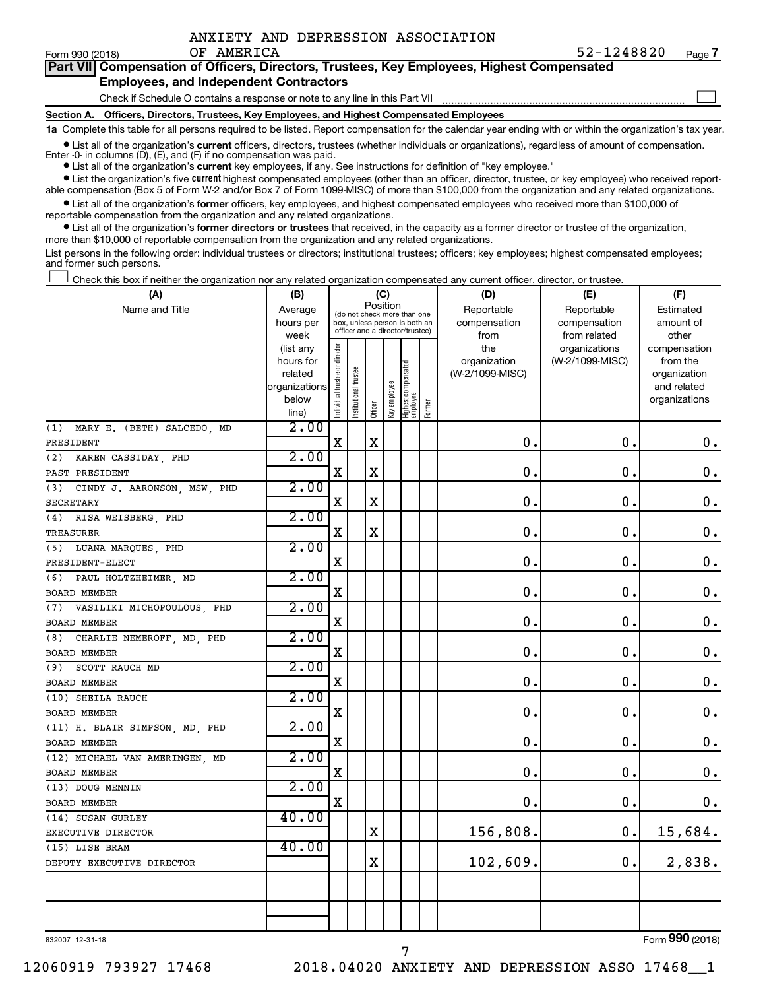|  | ANXIETY AND DEPRESSION ASSOCIATION |
|--|------------------------------------|
|  |                                    |

**7** OF AMERICA 52-1248820

| Form 990 (2018) | OF AMERICA                                                                                 | 52-1248820 | Page i |
|-----------------|--------------------------------------------------------------------------------------------|------------|--------|
|                 | Part VII Compensation of Officers, Directors, Trustees, Key Employees, Highest Compensated |            |        |
|                 | <b>Employees, and Independent Contractors</b>                                              |            |        |
|                 | Check if Schedule O contains a response or note to any line in this Part VII               |            |        |
|                 |                                                                                            |            |        |

**Section A. Officers, Directors, Trustees, Key Employees, and Highest Compensated Employees**

**1a**  Complete this table for all persons required to be listed. Report compensation for the calendar year ending with or within the organization's tax year.

 $\bullet$  List all of the organization's current officers, directors, trustees (whether individuals or organizations), regardless of amount of compensation. Enter -0- in columns  $(D)$ ,  $(E)$ , and  $(F)$  if no compensation was paid.

**•** List all of the organization's **current** key employees, if any. See instructions for definition of "key employee."

**•** List the organization's five current highest compensated employees (other than an officer, director, trustee, or key employee) who received reportable compensation (Box 5 of Form W-2 and/or Box 7 of Form 1099-MISC) of more than \$100,000 from the organization and any related organizations.

**•** List all of the organization's former officers, key employees, and highest compensated employees who received more than \$100,000 of reportable compensation from the organization and any related organizations.

**•** List all of the organization's former directors or trustees that received, in the capacity as a former director or trustee of the organization, more than \$10,000 of reportable compensation from the organization and any related organizations.

List persons in the following order: individual trustees or directors; institutional trustees; officers; key employees; highest compensated employees; and former such persons.

Check this box if neither the organization nor any related organization compensated any current officer, director, or trustee.  $\Box$ 

| (A)                                | (B)                    |                                |                                                                  |             | (C)          |                                 |        | (D)                             | (E)             | (F)                      |
|------------------------------------|------------------------|--------------------------------|------------------------------------------------------------------|-------------|--------------|---------------------------------|--------|---------------------------------|-----------------|--------------------------|
| Name and Title                     | Average                |                                | (do not check more than one                                      | Position    |              |                                 |        | Reportable                      | Reportable      | Estimated                |
|                                    | hours per              |                                | box, unless person is both an<br>officer and a director/trustee) |             |              |                                 |        | compensation                    | compensation    | amount of                |
|                                    | week                   |                                |                                                                  |             |              |                                 |        | from                            | from related    | other                    |
|                                    | (list any<br>hours for |                                |                                                                  |             |              |                                 |        | the                             | organizations   | compensation<br>from the |
|                                    | related                |                                |                                                                  |             |              |                                 |        | organization<br>(W-2/1099-MISC) | (W-2/1099-MISC) | organization             |
|                                    | organizations          |                                |                                                                  |             |              |                                 |        |                                 |                 | and related              |
|                                    | below                  |                                |                                                                  |             |              |                                 |        |                                 |                 | organizations            |
|                                    | line)                  | Individual trustee or director | Institutional trustee                                            | Officer     | Key employee | Highest compensated<br>employee | Former |                                 |                 |                          |
| (1) MARY E. (BETH) SALCEDO, MD     | 2.00                   |                                |                                                                  |             |              |                                 |        |                                 |                 |                          |
| PRESIDENT                          |                        | $\mathbf X$                    |                                                                  | $\mathbf X$ |              |                                 |        | $\mathbf 0$ .                   | $\mathbf 0$ .   | 0.                       |
| KAREN CASSIDAY, PHD<br>(2)         | 2.00                   |                                |                                                                  |             |              |                                 |        |                                 |                 |                          |
| PAST PRESIDENT                     |                        | $\mathbf X$                    |                                                                  | $\mathbf X$ |              |                                 |        | $\mathbf 0$ .                   | $\mathbf 0$ .   | 0.                       |
| CINDY J. AARONSON, MSW, PHD<br>(3) | 2.00                   |                                |                                                                  |             |              |                                 |        |                                 |                 |                          |
| <b>SECRETARY</b>                   |                        | X                              |                                                                  | $\mathbf X$ |              |                                 |        | $\mathbf 0$ .                   | $\mathbf 0$ .   | $\mathbf 0$ .            |
| (4) RISA WEISBERG, PHD             | 2.00                   |                                |                                                                  |             |              |                                 |        |                                 |                 |                          |
| TREASURER                          |                        | X                              |                                                                  | $\mathbf X$ |              |                                 |        | $\mathbf 0$ .                   | $\mathbf 0$ .   | $\mathbf 0$ .            |
| (5) LUANA MARQUES, PHD             | 2.00                   |                                |                                                                  |             |              |                                 |        |                                 |                 |                          |
| PRESIDENT-ELECT                    |                        | X                              |                                                                  |             |              |                                 |        | $\mathbf 0$ .                   | $\mathbf 0$ .   | $\mathbf 0$ .            |
| PAUL HOLTZHEIMER, MD<br>(6)        | 2.00                   |                                |                                                                  |             |              |                                 |        |                                 |                 |                          |
| BOARD MEMBER                       |                        | $\mathbf X$                    |                                                                  |             |              |                                 |        | $\mathbf 0$                     | $\mathbf 0$ .   | 0.                       |
| (7) VASILIKI MICHOPOULOUS, PHD     | 2.00                   |                                |                                                                  |             |              |                                 |        |                                 |                 |                          |
| BOARD MEMBER                       |                        | X                              |                                                                  |             |              |                                 |        | $\mathbf 0$ .                   | $\mathbf 0$ .   | $\mathbf 0$ .            |
| CHARLIE NEMEROFF, MD, PHD<br>(8)   | 2.00                   |                                |                                                                  |             |              |                                 |        |                                 |                 |                          |
| <b>BOARD MEMBER</b>                |                        | $\mathbf X$                    |                                                                  |             |              |                                 |        | $\mathbf 0$ .                   | $\mathbf 0$ .   | $\mathbf 0$ .            |
| (9) SCOTT RAUCH MD                 | 2.00                   |                                |                                                                  |             |              |                                 |        |                                 |                 |                          |
| BOARD MEMBER                       |                        | X                              |                                                                  |             |              |                                 |        | $\mathbf 0$ .                   | $\mathbf 0$ .   | $\mathbf 0$ .            |
| (10) SHEILA RAUCH                  | 2.00                   |                                |                                                                  |             |              |                                 |        |                                 |                 |                          |
| BOARD MEMBER                       |                        | $\mathbf X$                    |                                                                  |             |              |                                 |        | $\mathbf 0$ .                   | $\mathbf 0$ .   | $\mathbf 0$ .            |
| (11) H. BLAIR SIMPSON, MD, PHD     | 2.00                   |                                |                                                                  |             |              |                                 |        |                                 |                 |                          |
| BOARD MEMBER                       |                        | X                              |                                                                  |             |              |                                 |        | $\mathbf 0$ .                   | $\mathbf 0$ .   | $\mathbf 0$ .            |
| (12) MICHAEL VAN AMERINGEN, MD     | 2.00                   |                                |                                                                  |             |              |                                 |        |                                 |                 |                          |
| <b>BOARD MEMBER</b>                |                        | $\mathbf X$                    |                                                                  |             |              |                                 |        | $\mathbf 0$ .                   | $\mathbf 0$ .   | $\mathbf 0$ .            |
| (13) DOUG MENNIN                   | 2.00                   |                                |                                                                  |             |              |                                 |        |                                 |                 |                          |
| <b>BOARD MEMBER</b>                |                        | $\mathbf X$                    |                                                                  |             |              |                                 |        | $\mathbf 0$ .                   | $\mathbf 0$ .   | 0.                       |
| (14) SUSAN GURLEY                  | 40.00                  |                                |                                                                  |             |              |                                 |        |                                 |                 |                          |
| EXECUTIVE DIRECTOR                 |                        |                                |                                                                  | $\mathbf X$ |              |                                 |        | 156,808.                        | 0.              | 15,684.                  |
| (15) LISE BRAM                     | 40.00                  |                                |                                                                  |             |              |                                 |        |                                 |                 |                          |
| DEPUTY EXECUTIVE DIRECTOR          |                        |                                |                                                                  | $\mathbf X$ |              |                                 |        | 102,609.                        | 0.              | 2,838.                   |
|                                    |                        |                                |                                                                  |             |              |                                 |        |                                 |                 |                          |
|                                    |                        |                                |                                                                  |             |              |                                 |        |                                 |                 |                          |
|                                    |                        |                                |                                                                  |             |              |                                 |        |                                 |                 |                          |
|                                    |                        |                                |                                                                  |             |              |                                 |        |                                 |                 |                          |

7

832007 12-31-18

Form (2018) **990**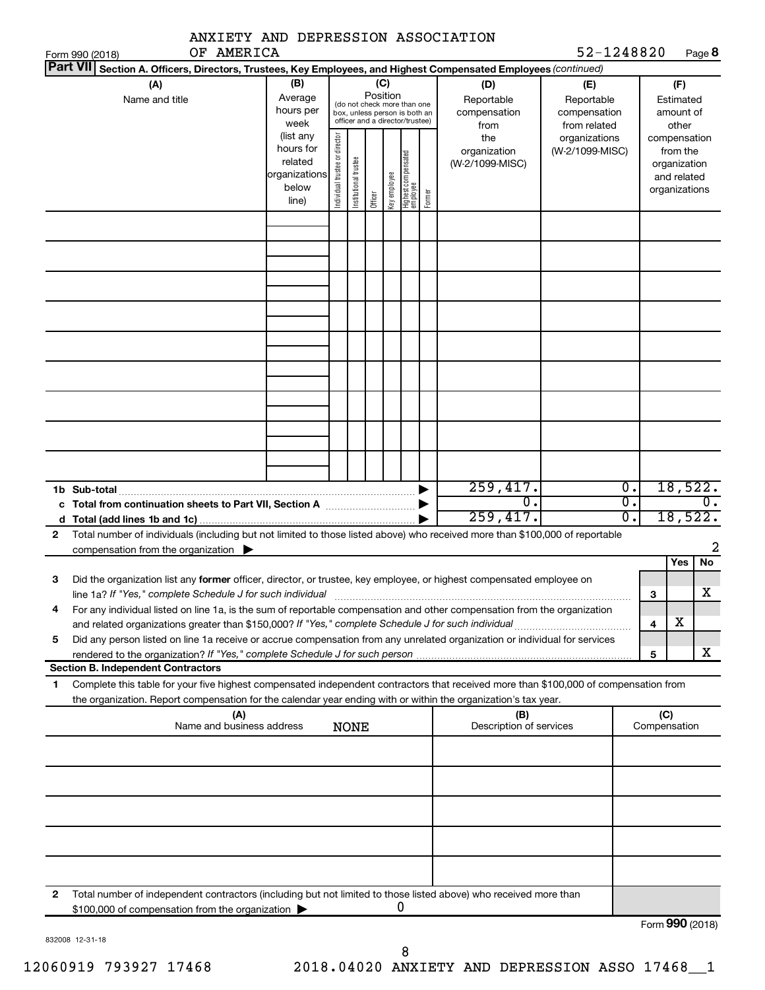| ANXIETY AND DEPRESSION ASSOCIATION                                                                                                                                                                                                                           |                                                                      |                                |                       |                 |              |                                                                                                 |        |                                                |                                                  |                |                                                                          |                                      |  |
|--------------------------------------------------------------------------------------------------------------------------------------------------------------------------------------------------------------------------------------------------------------|----------------------------------------------------------------------|--------------------------------|-----------------------|-----------------|--------------|-------------------------------------------------------------------------------------------------|--------|------------------------------------------------|--------------------------------------------------|----------------|--------------------------------------------------------------------------|--------------------------------------|--|
| OF AMERICA<br>Form 990 (2018)<br> Part VII                                                                                                                                                                                                                   |                                                                      |                                |                       |                 |              |                                                                                                 |        |                                                | 52-1248820                                       |                |                                                                          | Page 8                               |  |
| Section A. Officers, Directors, Trustees, Key Employees, and Highest Compensated Employees (continued)<br>(A)<br>Name and title                                                                                                                              | (B)<br>Average<br>hours per<br>week                                  |                                |                       | (C)<br>Position |              | (do not check more than one<br>box, unless person is both an<br>officer and a director/trustee) |        | (D)<br>Reportable<br>compensation              | (E)<br>Reportable<br>compensation                |                | (F)<br>Estimated<br>amount of<br>other                                   |                                      |  |
|                                                                                                                                                                                                                                                              | (list any<br>hours for<br>related<br>organizations<br>below<br>line) | Individual trustee or director | Institutional trustee | Officer         | Key employee | Highest compensated<br>employee                                                                 | Former | from<br>the<br>organization<br>(W-2/1099-MISC) | from related<br>organizations<br>(W-2/1099-MISC) |                | compensation<br>from the<br>organization<br>and related<br>organizations |                                      |  |
|                                                                                                                                                                                                                                                              |                                                                      |                                |                       |                 |              |                                                                                                 |        |                                                |                                                  |                |                                                                          |                                      |  |
|                                                                                                                                                                                                                                                              |                                                                      |                                |                       |                 |              |                                                                                                 |        |                                                |                                                  |                |                                                                          |                                      |  |
|                                                                                                                                                                                                                                                              |                                                                      |                                |                       |                 |              |                                                                                                 |        |                                                |                                                  |                |                                                                          |                                      |  |
|                                                                                                                                                                                                                                                              |                                                                      |                                |                       |                 |              |                                                                                                 |        |                                                |                                                  |                |                                                                          |                                      |  |
| 1b Sub-total<br>c Total from continuation sheets to Part VII, Section A <b>Constitution</b>                                                                                                                                                                  |                                                                      |                                |                       |                 |              |                                                                                                 |        | 259,417.<br>σ.<br>259,417.                     |                                                  | 0.<br>Ο.<br>σ. |                                                                          | 18,522.<br>$\mathbf{0}$ .<br>18,522. |  |
| Total number of individuals (including but not limited to those listed above) who received more than \$100,000 of reportable<br>$\mathbf{2}$<br>compensation from the organization                                                                           |                                                                      |                                |                       |                 |              |                                                                                                 |        |                                                |                                                  |                |                                                                          | 2                                    |  |
| Did the organization list any former officer, director, or trustee, key employee, or highest compensated employee on<br>3<br>line 1a? If "Yes," complete Schedule J for such individual                                                                      |                                                                      |                                |                       |                 |              |                                                                                                 |        |                                                |                                                  |                | Yes<br>з                                                                 | No<br>$\overline{\textbf{X}}$        |  |
| For any individual listed on line 1a, is the sum of reportable compensation and other compensation from the organization<br>4<br>and related organizations greater than \$150,000? If "Yes," complete Schedule J for such individual                         |                                                                      |                                |                       |                 |              |                                                                                                 |        |                                                |                                                  |                | X<br>$\overline{\mathbf{4}}$                                             |                                      |  |
| Did any person listed on line 1a receive or accrue compensation from any unrelated organization or individual for services<br>5<br>rendered to the organization? If "Yes," complete Schedule J for such person.                                              |                                                                      |                                |                       |                 |              |                                                                                                 |        |                                                |                                                  |                | 5                                                                        | х                                    |  |
| <b>Section B. Independent Contractors</b>                                                                                                                                                                                                                    |                                                                      |                                |                       |                 |              |                                                                                                 |        |                                                |                                                  |                |                                                                          |                                      |  |
| Complete this table for your five highest compensated independent contractors that received more than \$100,000 of compensation from<br>1.<br>the organization. Report compensation for the calendar year ending with or within the organization's tax year. |                                                                      |                                |                       |                 |              |                                                                                                 |        |                                                |                                                  |                |                                                                          |                                      |  |
| (A)<br>Name and business address                                                                                                                                                                                                                             |                                                                      |                                | <b>NONE</b>           |                 |              |                                                                                                 |        | (B)<br>Description of services                 |                                                  |                | (C)<br>Compensation                                                      |                                      |  |
|                                                                                                                                                                                                                                                              |                                                                      |                                |                       |                 |              |                                                                                                 |        |                                                |                                                  |                |                                                                          |                                      |  |
|                                                                                                                                                                                                                                                              |                                                                      |                                |                       |                 |              |                                                                                                 |        |                                                |                                                  |                |                                                                          |                                      |  |
|                                                                                                                                                                                                                                                              |                                                                      |                                |                       |                 |              |                                                                                                 |        |                                                |                                                  |                |                                                                          |                                      |  |
| Total number of independent contractors (including but not limited to those listed above) who received more than<br>2<br>\$100,000 of compensation from the organization                                                                                     |                                                                      |                                |                       |                 |              |                                                                                                 |        |                                                |                                                  |                | ה ה                                                                      |                                      |  |

| 832008 12-31-18 |
|-----------------|

Form (2018) **990**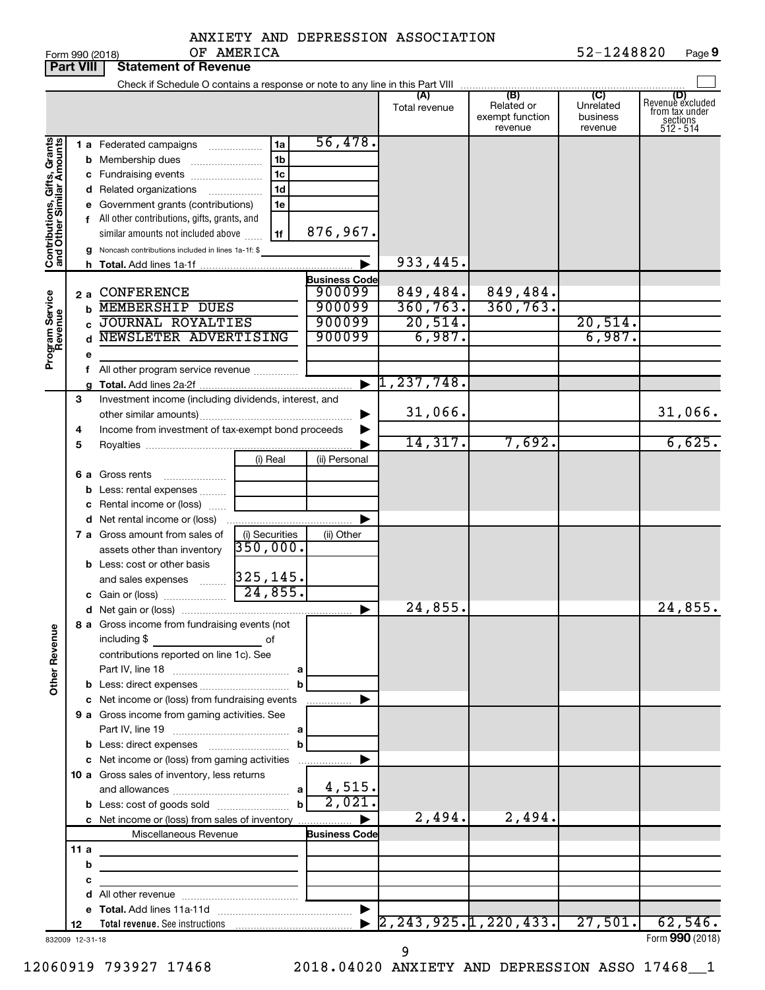|            |  | ANXIETY AND DEPRESSION ASSOCIATION |            |
|------------|--|------------------------------------|------------|
| OF AMERICA |  |                                    | 52-1248820 |

|                                                           | <b>Part VIII</b> | <b>Statement of Revenue</b>                                                                                                                                                                                                          |                          |                                |                                          |                                                 |                                                    |                                                                    |
|-----------------------------------------------------------|------------------|--------------------------------------------------------------------------------------------------------------------------------------------------------------------------------------------------------------------------------------|--------------------------|--------------------------------|------------------------------------------|-------------------------------------------------|----------------------------------------------------|--------------------------------------------------------------------|
|                                                           |                  | Check if Schedule O contains a response or note to any line in this Part VIII                                                                                                                                                        |                          |                                |                                          |                                                 |                                                    |                                                                    |
|                                                           |                  |                                                                                                                                                                                                                                      |                          |                                | (A)<br>Total revenue                     | (B)<br>Related or<br>exempt function<br>revenue | $\overline{C}$<br>Unrelated<br>business<br>revenue | (D)<br>Revenue excluded<br>from tax under<br>sections<br>512 - 514 |
|                                                           |                  | 1 a Federated campaigns                                                                                                                                                                                                              | 1a                       | 56,478.                        |                                          |                                                 |                                                    |                                                                    |
|                                                           | b                | Membership dues                                                                                                                                                                                                                      | 1 <sub>b</sub>           |                                |                                          |                                                 |                                                    |                                                                    |
|                                                           |                  | c Fundraising events                                                                                                                                                                                                                 | 1 <sub>c</sub>           |                                |                                          |                                                 |                                                    |                                                                    |
|                                                           |                  | d Related organizations                                                                                                                                                                                                              | 1 <sub>d</sub><br>.      |                                |                                          |                                                 |                                                    |                                                                    |
|                                                           | е                | Government grants (contributions)                                                                                                                                                                                                    | 1e                       |                                |                                          |                                                 |                                                    |                                                                    |
|                                                           |                  | f All other contributions, gifts, grants, and                                                                                                                                                                                        |                          |                                |                                          |                                                 |                                                    |                                                                    |
|                                                           |                  | similar amounts not included above                                                                                                                                                                                                   | 1f                       | 876,967.                       |                                          |                                                 |                                                    |                                                                    |
| Contributions, Gifts, Grants<br>and Other Similar Amounts | g                | Noncash contributions included in lines 1a-1f: \$                                                                                                                                                                                    |                          |                                |                                          |                                                 |                                                    |                                                                    |
|                                                           | h.               |                                                                                                                                                                                                                                      |                          |                                | 933,445.                                 |                                                 |                                                    |                                                                    |
|                                                           | 2a               | <b>CONFERENCE</b>                                                                                                                                                                                                                    |                          | <b>Business Code</b><br>900099 | 849,484.                                 | 849,484.                                        |                                                    |                                                                    |
|                                                           | b                | <b>MEMBERSHIP DUES</b>                                                                                                                                                                                                               |                          | 900099                         | 360, 763.                                | 360, 763.                                       |                                                    |                                                                    |
|                                                           | c                | <b>JOURNAL ROYALTIES</b>                                                                                                                                                                                                             |                          | 900099                         | 20,514.                                  |                                                 | 20,514.                                            |                                                                    |
|                                                           |                  | NEWSLETER ADVERTISING                                                                                                                                                                                                                |                          | 900099                         | 6,987.                                   |                                                 | 6,987.                                             |                                                                    |
| Program Service<br>Revenue                                |                  |                                                                                                                                                                                                                                      |                          |                                |                                          |                                                 |                                                    |                                                                    |
|                                                           |                  | All other program service revenue <i>mimiming</i>                                                                                                                                                                                    |                          |                                |                                          |                                                 |                                                    |                                                                    |
|                                                           |                  |                                                                                                                                                                                                                                      |                          | $\blacktriangleright$          | 1,237,748.                               |                                                 |                                                    |                                                                    |
|                                                           | 3                | Investment income (including dividends, interest, and                                                                                                                                                                                |                          |                                |                                          |                                                 |                                                    |                                                                    |
|                                                           |                  |                                                                                                                                                                                                                                      |                          |                                | 31,066.                                  |                                                 |                                                    | 31,066.                                                            |
|                                                           | 4<br>5           | Income from investment of tax-exempt bond proceeds                                                                                                                                                                                   |                          |                                | 14,317.                                  | 7,692.                                          |                                                    | 6,625.                                                             |
|                                                           |                  |                                                                                                                                                                                                                                      | (i) Real                 | (ii) Personal                  |                                          |                                                 |                                                    |                                                                    |
|                                                           | 6а               | Gross rents                                                                                                                                                                                                                          |                          |                                |                                          |                                                 |                                                    |                                                                    |
|                                                           | b                | Less: rental expenses                                                                                                                                                                                                                |                          |                                |                                          |                                                 |                                                    |                                                                    |
|                                                           |                  | Rental income or (loss)                                                                                                                                                                                                              |                          |                                |                                          |                                                 |                                                    |                                                                    |
|                                                           |                  | <b>d</b> Net rental income or (loss)                                                                                                                                                                                                 |                          |                                |                                          |                                                 |                                                    |                                                                    |
|                                                           |                  | 7 a Gross amount from sales of                                                                                                                                                                                                       | (i) Securities           | (ii) Other                     |                                          |                                                 |                                                    |                                                                    |
|                                                           |                  | assets other than inventory                                                                                                                                                                                                          | 350,000.                 |                                |                                          |                                                 |                                                    |                                                                    |
|                                                           |                  | <b>b</b> Less: cost or other basis                                                                                                                                                                                                   |                          |                                |                                          |                                                 |                                                    |                                                                    |
|                                                           |                  | and sales expenses                                                                                                                                                                                                                   | $\frac{325,145}{24,855}$ |                                |                                          |                                                 |                                                    |                                                                    |
|                                                           |                  | c Gain or (loss)                                                                                                                                                                                                                     |                          |                                | 24,855.                                  |                                                 |                                                    | 24,855.                                                            |
|                                                           |                  | 8 a Gross income from fundraising events (not                                                                                                                                                                                        |                          |                                |                                          |                                                 |                                                    |                                                                    |
|                                                           |                  | including \$                                                                                                                                                                                                                         | of                       |                                |                                          |                                                 |                                                    |                                                                    |
|                                                           |                  | contributions reported on line 1c). See                                                                                                                                                                                              |                          |                                |                                          |                                                 |                                                    |                                                                    |
|                                                           |                  |                                                                                                                                                                                                                                      |                          |                                |                                          |                                                 |                                                    |                                                                    |
| <b>Other Revenue</b>                                      |                  |                                                                                                                                                                                                                                      | $\mathbf{b}$             |                                |                                          |                                                 |                                                    |                                                                    |
|                                                           |                  | c Net income or (loss) from fundraising events                                                                                                                                                                                       |                          |                                |                                          |                                                 |                                                    |                                                                    |
|                                                           |                  | 9 a Gross income from gaming activities. See                                                                                                                                                                                         |                          |                                |                                          |                                                 |                                                    |                                                                    |
|                                                           |                  |                                                                                                                                                                                                                                      |                          |                                |                                          |                                                 |                                                    |                                                                    |
|                                                           |                  | c Net income or (loss) from gaming activities                                                                                                                                                                                        | $\mathbf{b}$             |                                |                                          |                                                 |                                                    |                                                                    |
|                                                           |                  | 10 a Gross sales of inventory, less returns                                                                                                                                                                                          |                          |                                |                                          |                                                 |                                                    |                                                                    |
|                                                           |                  |                                                                                                                                                                                                                                      |                          | 4,515.                         |                                          |                                                 |                                                    |                                                                    |
|                                                           |                  |                                                                                                                                                                                                                                      | $\mathbf{b}$             | 2,021.                         |                                          |                                                 |                                                    |                                                                    |
|                                                           |                  | c Net income or (loss) from sales of inventory                                                                                                                                                                                       |                          |                                | 2,494.                                   | 2,494.                                          |                                                    |                                                                    |
|                                                           |                  | Miscellaneous Revenue                                                                                                                                                                                                                |                          | <b>Business Code</b>           |                                          |                                                 |                                                    |                                                                    |
|                                                           | 11 a             | <u> 1989 - Johann Barbara, martin a bhann an t-Alban an t-Alban an t-Alban an t-Alban an t-Alban an t-Alban an t-Alban an t-Alban an t-Alban an t-Alban an t-Alban an t-Alban an t-Alban an t-Alban an t-Alban an t-Alban an t-A</u> |                          |                                |                                          |                                                 |                                                    |                                                                    |
|                                                           | b                | <u> 1980 - Johann Barbara, martxa alemaniar a</u>                                                                                                                                                                                    |                          |                                |                                          |                                                 |                                                    |                                                                    |
|                                                           | с                | the control of the control of the control of the control of                                                                                                                                                                          |                          |                                |                                          |                                                 |                                                    |                                                                    |
|                                                           |                  |                                                                                                                                                                                                                                      |                          |                                |                                          |                                                 |                                                    |                                                                    |
|                                                           | 12               |                                                                                                                                                                                                                                      |                          |                                | $\left[2, 243, 925.1, 220, 433. \right]$ |                                                 | 27,501.                                            | 62,546.                                                            |
|                                                           | 832009 12-31-18  |                                                                                                                                                                                                                                      |                          |                                |                                          |                                                 |                                                    | Form 990 (2018)                                                    |
|                                                           |                  |                                                                                                                                                                                                                                      |                          |                                | 9                                        |                                                 |                                                    |                                                                    |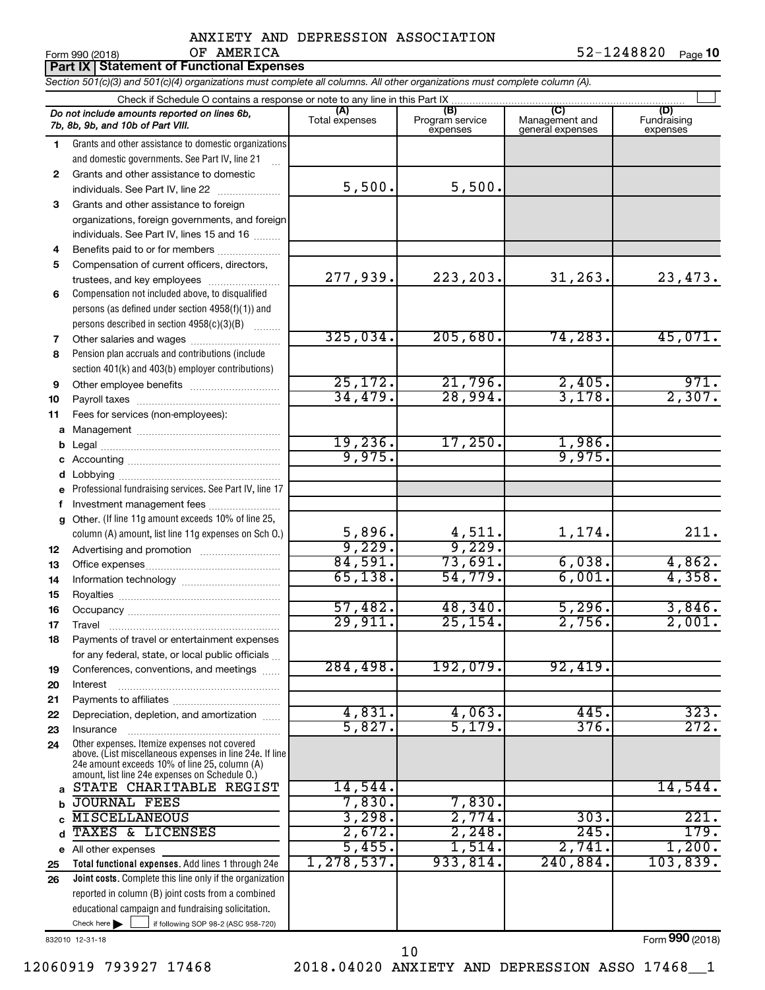|             | OF AMERICA<br>Form 990 (2018)                                                                                              |                     |                     |                  | 52-1248820<br>Page 10 |
|-------------|----------------------------------------------------------------------------------------------------------------------------|---------------------|---------------------|------------------|-----------------------|
|             | Part IX   Statement of Functional Expenses                                                                                 |                     |                     |                  |                       |
|             | Section 501(c)(3) and 501(c)(4) organizations must complete all columns. All other organizations must complete column (A). |                     |                     |                  |                       |
|             |                                                                                                                            | (A)                 | (B)                 |                  | (D)                   |
|             | Do not include amounts reported on lines 6b,<br>7b, 8b, 9b, and 10b of Part VIII.                                          | Total expenses      | Program service     | Management and   | Fundraising           |
|             |                                                                                                                            |                     | expenses            | general expenses | expenses              |
| 1           | Grants and other assistance to domestic organizations<br>and domestic governments. See Part IV, line 21                    |                     |                     |                  |                       |
| 2           | Grants and other assistance to domestic                                                                                    |                     |                     |                  |                       |
|             | individuals. See Part IV, line 22                                                                                          | 5,500.              | 5,500.              |                  |                       |
| 3           | Grants and other assistance to foreign                                                                                     |                     |                     |                  |                       |
|             | organizations, foreign governments, and foreign                                                                            |                     |                     |                  |                       |
|             | individuals. See Part IV, lines 15 and 16                                                                                  |                     |                     |                  |                       |
| 4           | Benefits paid to or for members                                                                                            |                     |                     |                  |                       |
| 5           | Compensation of current officers, directors,                                                                               |                     |                     |                  |                       |
|             | trustees, and key employees                                                                                                | 277,939.            | 223, 203.           | 31, 263.         | 23,473.               |
| 6           | Compensation not included above, to disqualified                                                                           |                     |                     |                  |                       |
|             | persons (as defined under section 4958(f)(1)) and                                                                          |                     |                     |                  |                       |
|             | persons described in section 4958(c)(3)(B)                                                                                 |                     |                     |                  |                       |
| 7           | Other salaries and wages                                                                                                   | 325,034.            | 205,680.            | 74, 283.         | 45,071.               |
| 8           | Pension plan accruals and contributions (include                                                                           |                     |                     |                  |                       |
|             | section 401(k) and 403(b) employer contributions)                                                                          |                     |                     |                  | 971.                  |
| 9           |                                                                                                                            | 25, 172.<br>34,479. | 21,796.<br>28,994.  | 2,405.<br>3,178. | 2,307.                |
| 10          |                                                                                                                            |                     |                     |                  |                       |
| 11          | Fees for services (non-employees):                                                                                         |                     |                     |                  |                       |
| a           |                                                                                                                            | 19,236.             | 17,250.             | 1,986.           |                       |
|             |                                                                                                                            | 9,975.              |                     | 9,975.           |                       |
|             |                                                                                                                            |                     |                     |                  |                       |
|             | e Professional fundraising services. See Part IV, line 17                                                                  |                     |                     |                  |                       |
|             | f Investment management fees                                                                                               |                     |                     |                  |                       |
|             | g Other. (If line 11g amount exceeds 10% of line 25,                                                                       |                     |                     |                  |                       |
|             | column (A) amount, list line 11g expenses on Sch O.)                                                                       | 5,896.              | 4,511.              | 1,174.           | 211.                  |
| 12          |                                                                                                                            | 9,229.              | 9,229.              |                  |                       |
| 13          |                                                                                                                            | 84,591.             | 73,691.             | 6,038.           | 4,862.                |
| 14          |                                                                                                                            | 65, 138.            | 54,779.             | 6,001.           | 4,358.                |
| 15          |                                                                                                                            |                     |                     |                  |                       |
| 16          |                                                                                                                            | 57,482.<br>29,911.  | 48,340.<br>25, 154. | 5,296.<br>2,756. | 3,846.<br>2,001.      |
| 17          | Travel                                                                                                                     |                     |                     |                  |                       |
| 18          | Payments of travel or entertainment expenses                                                                               |                     |                     |                  |                       |
| 19          | for any federal, state, or local public officials<br>Conferences, conventions, and meetings                                | 284,498.            | 192,079.            | 92,419.          |                       |
| 20          | Interest                                                                                                                   |                     |                     |                  |                       |
| 21          |                                                                                                                            |                     |                     |                  |                       |
| 22          | Depreciation, depletion, and amortization                                                                                  | 4,831.              | 4,063.              | 445.             | 323.                  |
| 23          | Insurance                                                                                                                  | 5,827.              | 5,179.              | 376.             | 272.                  |
| 24          | Other expenses. Itemize expenses not covered<br>above. (List miscellaneous expenses in line 24e. If line                   |                     |                     |                  |                       |
|             | 24e amount exceeds 10% of line 25, column (A)<br>amount, list line 24e expenses on Schedule O.)                            |                     |                     |                  |                       |
| a           | STATE CHARITABLE REGIST                                                                                                    | 14,544.             |                     |                  | 14,544.               |
| b           | <b>JOURNAL FEES</b>                                                                                                        | 7,830.              | 7,830.              |                  |                       |
| C           | <b>MISCELLANEOUS</b>                                                                                                       | 3,298.              | 2,774.              | 303.             | 221.                  |
| $\mathbf d$ | TAXES & LICENSES                                                                                                           | 2,672.              | 2,248.              | 245.             | 179.                  |
|             | e All other expenses                                                                                                       | 5,455.              | 1,514.              | 2,741.           | 1,200.                |
| 25          | Total functional expenses. Add lines 1 through 24e                                                                         | 1, 278, 537.        | 933,814.            | 240,884.         | 103,839.              |
| 26          | Joint costs. Complete this line only if the organization                                                                   |                     |                     |                  |                       |
|             | reported in column (B) joint costs from a combined                                                                         |                     |                     |                  |                       |

832010 12-31-18

Form (2018) **990**

Check here if following SOP 98-2 (ASC 958-720)

educational campaign and fundraising solicitation.

12060919 793927 17468 2018.04020 ANXIETY AND DEPRESSION ASSO 17468\_\_1

10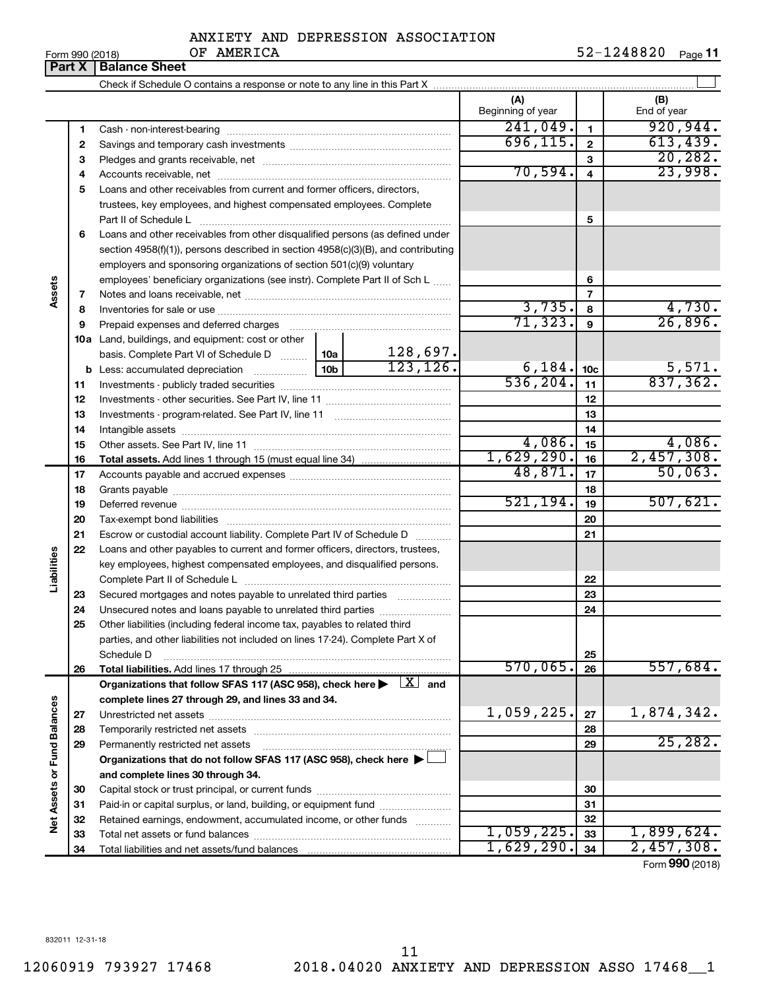Check if Schedule O contains a response or note to any line in this Part X **Part X** | Balance Sheet

 $\overline{1}$ 

|                      |    | Crieck in Scriedule O contains a response or note to any line in this rate $\lambda_{\rm max}$ .                                                                                                                               |           |           |                          |                         |                    |
|----------------------|----|--------------------------------------------------------------------------------------------------------------------------------------------------------------------------------------------------------------------------------|-----------|-----------|--------------------------|-------------------------|--------------------|
|                      |    |                                                                                                                                                                                                                                |           |           | (A)<br>Beginning of year |                         | (B)<br>End of year |
|                      | 1  |                                                                                                                                                                                                                                |           |           | 241,049.                 | $\blacksquare$          | 920, 944.          |
|                      | 2  |                                                                                                                                                                                                                                |           |           | 696, 115.                | $\mathbf{2}$            | 613,439.           |
|                      | 3  |                                                                                                                                                                                                                                |           |           |                          | 3                       | 20, 282.           |
|                      | 4  |                                                                                                                                                                                                                                |           |           | 70,594.                  | $\overline{\mathbf{4}}$ | 23,998.            |
|                      | 5  | Loans and other receivables from current and former officers, directors,                                                                                                                                                       |           |           |                          |                         |                    |
|                      |    | trustees, key employees, and highest compensated employees. Complete                                                                                                                                                           |           |           |                          |                         |                    |
|                      |    | Part II of Schedule L                                                                                                                                                                                                          |           |           |                          | 5                       |                    |
|                      | 6  | Loans and other receivables from other disqualified persons (as defined under                                                                                                                                                  |           |           |                          |                         |                    |
|                      |    | section 4958(f)(1)), persons described in section 4958(c)(3)(B), and contributing                                                                                                                                              |           |           |                          |                         |                    |
|                      |    | employers and sponsoring organizations of section 501(c)(9) voluntary                                                                                                                                                          |           |           |                          |                         |                    |
|                      |    | employees' beneficiary organizations (see instr). Complete Part II of Sch L                                                                                                                                                    |           |           |                          | 6                       |                    |
| Assets               | 7  |                                                                                                                                                                                                                                |           |           |                          | $\overline{7}$          |                    |
|                      | 8  |                                                                                                                                                                                                                                |           |           | 3,735.                   | 8                       | 4,730.             |
|                      | 9  | Prepaid expenses and deferred charges [11] [11] Prepaid expenses and deferred charges [11] [11] Martin Martin (11] (11] Arthur Martin (11] (11] Arthur Martin (11] Arthur Martin (11] (11] Arthur Martin (11] Arthur Martin (1 |           |           | 71, 323.                 | 9                       | 26,896.            |
|                      |    | 10a Land, buildings, and equipment: cost or other                                                                                                                                                                              |           |           |                          |                         |                    |
|                      |    | basis. Complete Part VI of Schedule D  10a                                                                                                                                                                                     |           | 128,697.  |                          |                         |                    |
|                      |    |                                                                                                                                                                                                                                |           | 123, 126. | 6,184.                   | 10 <sub>c</sub>         | 5,571.             |
|                      | 11 |                                                                                                                                                                                                                                |           | 536, 204. | 11                       | 837, 362.               |                    |
|                      | 12 |                                                                                                                                                                                                                                |           |           | 12                       |                         |                    |
|                      | 13 |                                                                                                                                                                                                                                |           |           |                          | 13                      |                    |
|                      | 14 |                                                                                                                                                                                                                                |           |           |                          | 14                      |                    |
|                      | 15 |                                                                                                                                                                                                                                |           |           | 4,086.                   | 15                      | 4,086.             |
|                      | 16 |                                                                                                                                                                                                                                |           |           | 1,629,290.               | 16                      | 2,457,308.         |
|                      | 17 |                                                                                                                                                                                                                                |           |           | 48,871.                  | 17                      | 50,063.            |
|                      | 18 |                                                                                                                                                                                                                                |           |           | 18                       |                         |                    |
|                      | 19 |                                                                                                                                                                                                                                | 521, 194. | 19        | 507,621.                 |                         |                    |
|                      | 20 |                                                                                                                                                                                                                                |           |           | 20                       |                         |                    |
|                      | 21 | Escrow or custodial account liability. Complete Part IV of Schedule D                                                                                                                                                          |           |           |                          | 21                      |                    |
|                      | 22 | Loans and other payables to current and former officers, directors, trustees,                                                                                                                                                  |           |           |                          |                         |                    |
| Liabilities          |    | key employees, highest compensated employees, and disqualified persons.                                                                                                                                                        |           |           |                          |                         |                    |
|                      |    |                                                                                                                                                                                                                                |           |           |                          | 22                      |                    |
|                      | 23 | Secured mortgages and notes payable to unrelated third parties <i>manumum</i>                                                                                                                                                  |           |           |                          | 23                      |                    |
|                      | 24 | Unsecured notes and loans payable to unrelated third parties                                                                                                                                                                   |           |           |                          | 24                      |                    |
|                      | 25 | Other liabilities (including federal income tax, payables to related third                                                                                                                                                     |           |           |                          |                         |                    |
|                      |    | parties, and other liabilities not included on lines 17-24). Complete Part X of                                                                                                                                                |           |           |                          |                         |                    |
|                      |    | Schedule D                                                                                                                                                                                                                     |           |           |                          | 25                      |                    |
|                      | 26 |                                                                                                                                                                                                                                |           |           | 570,065.                 | 26                      | 557,684.           |
|                      |    | Organizations that follow SFAS 117 (ASC 958), check here $\blacktriangleright \lfloor X \rfloor$ and                                                                                                                           |           |           |                          |                         |                    |
|                      |    | complete lines 27 through 29, and lines 33 and 34.                                                                                                                                                                             |           |           |                          |                         |                    |
|                      | 27 |                                                                                                                                                                                                                                |           |           | 1,059,225.               | 27                      | 1,874,342.         |
| <b>Fund Balances</b> | 28 |                                                                                                                                                                                                                                |           |           |                          | 28                      | 25, 282.           |
|                      | 29 | Permanently restricted net assets                                                                                                                                                                                              |           |           |                          | 29                      |                    |
|                      |    | Organizations that do not follow SFAS 117 (ASC 958), check here ▶ □                                                                                                                                                            |           |           |                          |                         |                    |
|                      |    | and complete lines 30 through 34.                                                                                                                                                                                              |           |           |                          |                         |                    |
|                      | 30 |                                                                                                                                                                                                                                |           |           |                          | 30                      |                    |
| Net Assets or        | 31 | Paid-in or capital surplus, or land, building, or equipment fund                                                                                                                                                               |           |           |                          | 31                      |                    |
|                      | 32 | Retained earnings, endowment, accumulated income, or other funds                                                                                                                                                               |           |           | 1,059,225.               | 32                      | 1,899,624.         |
|                      | 33 |                                                                                                                                                                                                                                |           |           | 1,629,290.               | 33                      | 2,457,308.         |
|                      | 34 |                                                                                                                                                                                                                                |           |           |                          | 34                      |                    |

Form (2018) **990**

832011 12-31-18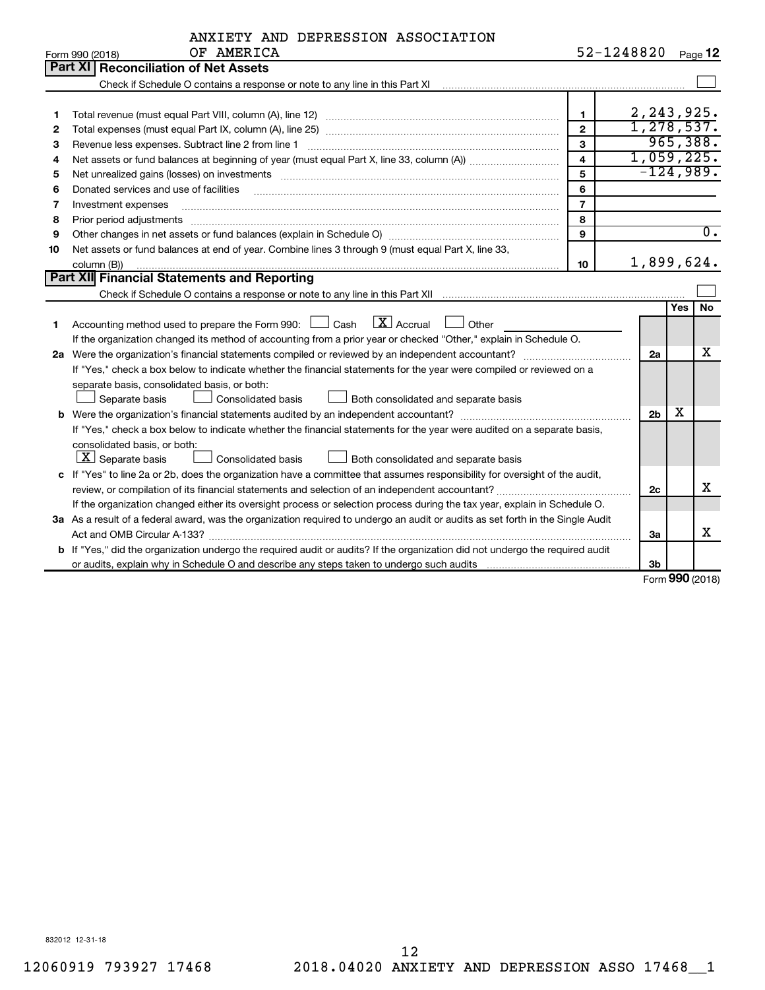|    | ANXIETY AND DEPRESSION ASSOCIATION                                                                                              |                         |                              |     |    |  |  |  |
|----|---------------------------------------------------------------------------------------------------------------------------------|-------------------------|------------------------------|-----|----|--|--|--|
|    | OF AMERICA<br>Form 990 (2018)                                                                                                   | 52-1248820 Page 12      |                              |     |    |  |  |  |
|    | Part XI   Reconciliation of Net Assets                                                                                          |                         |                              |     |    |  |  |  |
|    |                                                                                                                                 |                         |                              |     |    |  |  |  |
|    |                                                                                                                                 |                         |                              |     |    |  |  |  |
| 1  |                                                                                                                                 | $\blacksquare$          | 2, 243, 925.<br>1, 278, 537. |     |    |  |  |  |
| 2  | $\overline{2}$                                                                                                                  |                         |                              |     |    |  |  |  |
| 3  | 3<br>Revenue less expenses. Subtract line 2 from line 1                                                                         |                         |                              |     |    |  |  |  |
| 4  |                                                                                                                                 | $\overline{\mathbf{4}}$ | 1,059,225.                   |     |    |  |  |  |
| 5  |                                                                                                                                 | 5                       | $-124,989.$                  |     |    |  |  |  |
| 6  | Donated services and use of facilities                                                                                          | 6                       |                              |     |    |  |  |  |
| 7  | Investment expenses                                                                                                             | $\overline{7}$          |                              |     |    |  |  |  |
| 8  | 8<br>Prior period adjustments                                                                                                   |                         |                              |     |    |  |  |  |
| 9  | 9                                                                                                                               |                         |                              |     |    |  |  |  |
| 10 | Net assets or fund balances at end of year. Combine lines 3 through 9 (must equal Part X, line 33,                              |                         |                              |     |    |  |  |  |
|    | 1,899,624.<br>10<br>column (B))                                                                                                 |                         |                              |     |    |  |  |  |
|    | Part XII Financial Statements and Reporting                                                                                     |                         |                              |     |    |  |  |  |
|    |                                                                                                                                 |                         |                              |     |    |  |  |  |
|    |                                                                                                                                 |                         |                              | Yes | No |  |  |  |
| 1  | $X$ Accrual<br>Accounting method used to prepare the Form 990: [130] Cash<br>Other                                              |                         |                              |     |    |  |  |  |
|    | If the organization changed its method of accounting from a prior year or checked "Other," explain in Schedule O.               |                         |                              |     |    |  |  |  |
|    |                                                                                                                                 |                         | 2a                           |     | x  |  |  |  |
|    | If "Yes," check a box below to indicate whether the financial statements for the year were compiled or reviewed on a            |                         |                              |     |    |  |  |  |
|    | separate basis, consolidated basis, or both:                                                                                    |                         |                              |     |    |  |  |  |
|    | Separate basis<br>Consolidated basis<br>Both consolidated and separate basis                                                    |                         |                              |     |    |  |  |  |
|    |                                                                                                                                 |                         | 2 <sub>b</sub>               | х   |    |  |  |  |
|    | If "Yes," check a box below to indicate whether the financial statements for the year were audited on a separate basis,         |                         |                              |     |    |  |  |  |
|    | consolidated basis, or both:                                                                                                    |                         |                              |     |    |  |  |  |
|    | $ \mathbf{X} $ Separate basis<br>Both consolidated and separate basis<br>Consolidated basis                                     |                         |                              |     |    |  |  |  |
|    | c If "Yes" to line 2a or 2b, does the organization have a committee that assumes responsibility for oversight of the audit,     |                         |                              |     | X  |  |  |  |
|    | review, or compilation of its financial statements and selection of an independent accountant?                                  |                         | 2c                           |     |    |  |  |  |
|    | If the organization changed either its oversight process or selection process during the tax year, explain in Schedule O.       |                         |                              |     |    |  |  |  |
|    | 3a As a result of a federal award, was the organization required to undergo an audit or audits as set forth in the Single Audit |                         |                              |     |    |  |  |  |
|    |                                                                                                                                 |                         | За                           |     | х  |  |  |  |
|    | b If "Yes," did the organization undergo the required audit or audits? If the organization did not undergo the required audit   |                         |                              |     |    |  |  |  |
|    |                                                                                                                                 |                         | 3 <sub>b</sub>               |     |    |  |  |  |

Form (2018) **990**

832012 12-31-18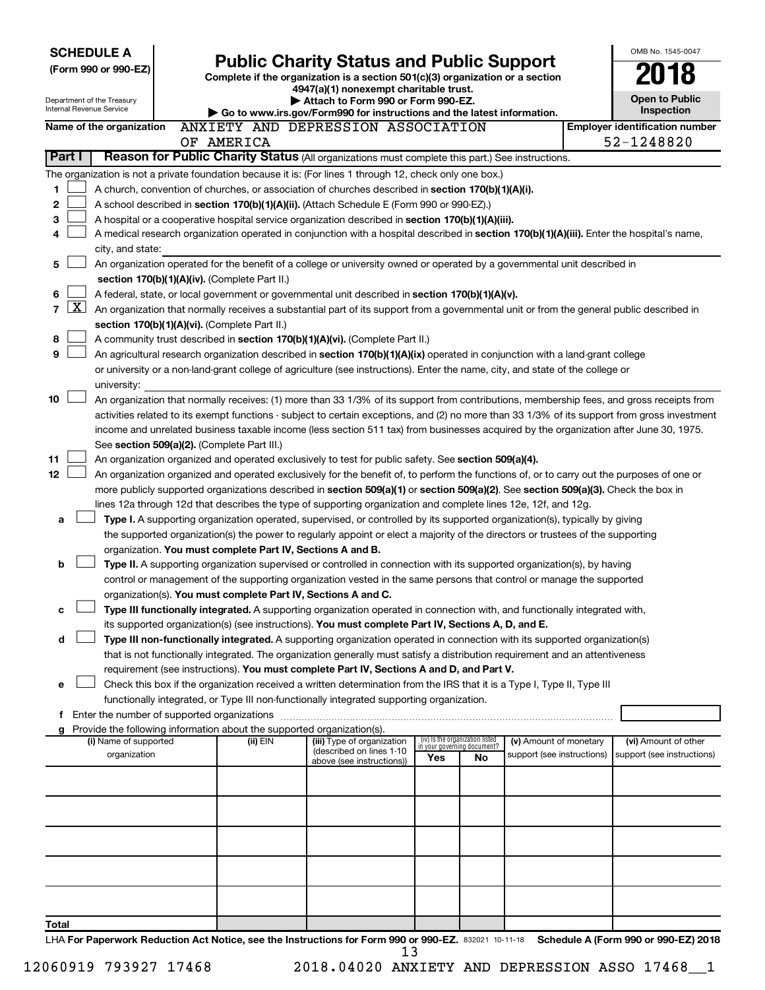| <b>SCHEDULE A</b>                                                                                    |                                                                                                                                                                            |                                                            |                                                                                                                                                                                       |                                    |                                 |                            |  | OMB No. 1545-0047                     |  |  |  |  |
|------------------------------------------------------------------------------------------------------|----------------------------------------------------------------------------------------------------------------------------------------------------------------------------|------------------------------------------------------------|---------------------------------------------------------------------------------------------------------------------------------------------------------------------------------------|------------------------------------|---------------------------------|----------------------------|--|---------------------------------------|--|--|--|--|
| (Form 990 or 990-EZ)                                                                                 |                                                                                                                                                                            |                                                            | <b>Public Charity Status and Public Support</b><br>Complete if the organization is a section 501(c)(3) organization or a section                                                      |                                    |                                 |                            |  |                                       |  |  |  |  |
|                                                                                                      |                                                                                                                                                                            |                                                            | 4947(a)(1) nonexempt charitable trust.                                                                                                                                                |                                    |                                 |                            |  |                                       |  |  |  |  |
| Department of the Treasury<br><b>Internal Revenue Service</b>                                        |                                                                                                                                                                            |                                                            | Attach to Form 990 or Form 990-EZ.                                                                                                                                                    |                                    |                                 |                            |  | <b>Open to Public</b><br>Inspection   |  |  |  |  |
| Name of the organization                                                                             |                                                                                                                                                                            |                                                            | Go to www.irs.gov/Form990 for instructions and the latest information.<br>ANXIETY AND DEPRESSION ASSOCIATION                                                                          |                                    |                                 |                            |  | <b>Employer identification number</b> |  |  |  |  |
|                                                                                                      |                                                                                                                                                                            | OF AMERICA                                                 |                                                                                                                                                                                       |                                    |                                 |                            |  | 52-1248820                            |  |  |  |  |
| Part I                                                                                               |                                                                                                                                                                            |                                                            | Reason for Public Charity Status (All organizations must complete this part.) See instructions.                                                                                       |                                    |                                 |                            |  |                                       |  |  |  |  |
|                                                                                                      |                                                                                                                                                                            |                                                            | The organization is not a private foundation because it is: (For lines 1 through 12, check only one box.)                                                                             |                                    |                                 |                            |  |                                       |  |  |  |  |
| 1                                                                                                    |                                                                                                                                                                            |                                                            | A church, convention of churches, or association of churches described in section 170(b)(1)(A)(i).                                                                                    |                                    |                                 |                            |  |                                       |  |  |  |  |
| 2                                                                                                    |                                                                                                                                                                            |                                                            | A school described in section 170(b)(1)(A)(ii). (Attach Schedule E (Form 990 or 990-EZ).)                                                                                             |                                    |                                 |                            |  |                                       |  |  |  |  |
| з                                                                                                    |                                                                                                                                                                            |                                                            | A hospital or a cooperative hospital service organization described in section 170(b)(1)(A)(iii).                                                                                     |                                    |                                 |                            |  |                                       |  |  |  |  |
| 4                                                                                                    |                                                                                                                                                                            |                                                            | A medical research organization operated in conjunction with a hospital described in section 170(b)(1)(A)(iii). Enter the hospital's name,                                            |                                    |                                 |                            |  |                                       |  |  |  |  |
| city, and state:<br>5                                                                                |                                                                                                                                                                            |                                                            |                                                                                                                                                                                       |                                    |                                 |                            |  |                                       |  |  |  |  |
|                                                                                                      | An organization operated for the benefit of a college or university owned or operated by a governmental unit described in<br>section 170(b)(1)(A)(iv). (Complete Part II.) |                                                            |                                                                                                                                                                                       |                                    |                                 |                            |  |                                       |  |  |  |  |
| 6                                                                                                    |                                                                                                                                                                            |                                                            | A federal, state, or local government or governmental unit described in section 170(b)(1)(A)(v).                                                                                      |                                    |                                 |                            |  |                                       |  |  |  |  |
| $\mathbf{X}$<br>$\overline{7}$                                                                       |                                                                                                                                                                            |                                                            | An organization that normally receives a substantial part of its support from a governmental unit or from the general public described in                                             |                                    |                                 |                            |  |                                       |  |  |  |  |
|                                                                                                      |                                                                                                                                                                            | section 170(b)(1)(A)(vi). (Complete Part II.)              |                                                                                                                                                                                       |                                    |                                 |                            |  |                                       |  |  |  |  |
| 8                                                                                                    |                                                                                                                                                                            |                                                            | A community trust described in section 170(b)(1)(A)(vi). (Complete Part II.)                                                                                                          |                                    |                                 |                            |  |                                       |  |  |  |  |
| 9                                                                                                    |                                                                                                                                                                            |                                                            | An agricultural research organization described in section 170(b)(1)(A)(ix) operated in conjunction with a land-grant college                                                         |                                    |                                 |                            |  |                                       |  |  |  |  |
|                                                                                                      |                                                                                                                                                                            |                                                            | or university or a non-land-grant college of agriculture (see instructions). Enter the name, city, and state of the college or                                                        |                                    |                                 |                            |  |                                       |  |  |  |  |
| university:                                                                                          |                                                                                                                                                                            |                                                            |                                                                                                                                                                                       |                                    |                                 |                            |  |                                       |  |  |  |  |
| 10                                                                                                   |                                                                                                                                                                            |                                                            | An organization that normally receives: (1) more than 33 1/3% of its support from contributions, membership fees, and gross receipts from                                             |                                    |                                 |                            |  |                                       |  |  |  |  |
|                                                                                                      | activities related to its exempt functions - subject to certain exceptions, and (2) no more than 33 1/3% of its support from gross investment                              |                                                            |                                                                                                                                                                                       |                                    |                                 |                            |  |                                       |  |  |  |  |
|                                                                                                      | income and unrelated business taxable income (less section 511 tax) from businesses acquired by the organization after June 30, 1975.                                      |                                                            |                                                                                                                                                                                       |                                    |                                 |                            |  |                                       |  |  |  |  |
| 11                                                                                                   | See section 509(a)(2). (Complete Part III.)<br>An organization organized and operated exclusively to test for public safety. See section 509(a)(4).                        |                                                            |                                                                                                                                                                                       |                                    |                                 |                            |  |                                       |  |  |  |  |
| 12                                                                                                   |                                                                                                                                                                            |                                                            | An organization organized and operated exclusively for the benefit of, to perform the functions of, or to carry out the purposes of one or                                            |                                    |                                 |                            |  |                                       |  |  |  |  |
|                                                                                                      |                                                                                                                                                                            |                                                            | more publicly supported organizations described in section 509(a)(1) or section 509(a)(2). See section 509(a)(3). Check the box in                                                    |                                    |                                 |                            |  |                                       |  |  |  |  |
|                                                                                                      |                                                                                                                                                                            |                                                            | lines 12a through 12d that describes the type of supporting organization and complete lines 12e, 12f, and 12g.                                                                        |                                    |                                 |                            |  |                                       |  |  |  |  |
| a                                                                                                    |                                                                                                                                                                            |                                                            | Type I. A supporting organization operated, supervised, or controlled by its supported organization(s), typically by giving                                                           |                                    |                                 |                            |  |                                       |  |  |  |  |
|                                                                                                      |                                                                                                                                                                            |                                                            | the supported organization(s) the power to regularly appoint or elect a majority of the directors or trustees of the supporting                                                       |                                    |                                 |                            |  |                                       |  |  |  |  |
|                                                                                                      |                                                                                                                                                                            | organization. You must complete Part IV, Sections A and B. |                                                                                                                                                                                       |                                    |                                 |                            |  |                                       |  |  |  |  |
| b                                                                                                    |                                                                                                                                                                            |                                                            | Type II. A supporting organization supervised or controlled in connection with its supported organization(s), by having                                                               |                                    |                                 |                            |  |                                       |  |  |  |  |
|                                                                                                      |                                                                                                                                                                            |                                                            | control or management of the supporting organization vested in the same persons that control or manage the supported<br>organization(s). You must complete Part IV, Sections A and C. |                                    |                                 |                            |  |                                       |  |  |  |  |
| с                                                                                                    |                                                                                                                                                                            |                                                            | Type III functionally integrated. A supporting organization operated in connection with, and functionally integrated with,                                                            |                                    |                                 |                            |  |                                       |  |  |  |  |
|                                                                                                      |                                                                                                                                                                            |                                                            | its supported organization(s) (see instructions). You must complete Part IV, Sections A, D, and E.                                                                                    |                                    |                                 |                            |  |                                       |  |  |  |  |
| d                                                                                                    |                                                                                                                                                                            |                                                            | Type III non-functionally integrated. A supporting organization operated in connection with its supported organization(s)                                                             |                                    |                                 |                            |  |                                       |  |  |  |  |
|                                                                                                      |                                                                                                                                                                            |                                                            | that is not functionally integrated. The organization generally must satisfy a distribution requirement and an attentiveness                                                          |                                    |                                 |                            |  |                                       |  |  |  |  |
|                                                                                                      |                                                                                                                                                                            |                                                            | requirement (see instructions). You must complete Part IV, Sections A and D, and Part V.                                                                                              |                                    |                                 |                            |  |                                       |  |  |  |  |
| e                                                                                                    |                                                                                                                                                                            |                                                            | Check this box if the organization received a written determination from the IRS that it is a Type I, Type II, Type III                                                               |                                    |                                 |                            |  |                                       |  |  |  |  |
|                                                                                                      |                                                                                                                                                                            |                                                            | functionally integrated, or Type III non-functionally integrated supporting organization.                                                                                             |                                    |                                 |                            |  |                                       |  |  |  |  |
|                                                                                                      |                                                                                                                                                                            |                                                            |                                                                                                                                                                                       |                                    |                                 |                            |  |                                       |  |  |  |  |
| Provide the following information about the supported organization(s).<br>g<br>(i) Name of supported |                                                                                                                                                                            | (ii) EIN                                                   | (iii) Type of organization                                                                                                                                                            |                                    | (iv) Is the organization listed | (v) Amount of monetary     |  | (vi) Amount of other                  |  |  |  |  |
| organization                                                                                         |                                                                                                                                                                            |                                                            | (described on lines 1-10                                                                                                                                                              | in your governing document?<br>Yes | No                              | support (see instructions) |  | support (see instructions)            |  |  |  |  |
|                                                                                                      |                                                                                                                                                                            |                                                            | above (see instructions))                                                                                                                                                             |                                    |                                 |                            |  |                                       |  |  |  |  |
|                                                                                                      |                                                                                                                                                                            |                                                            |                                                                                                                                                                                       |                                    |                                 |                            |  |                                       |  |  |  |  |
|                                                                                                      |                                                                                                                                                                            |                                                            |                                                                                                                                                                                       |                                    |                                 |                            |  |                                       |  |  |  |  |
|                                                                                                      |                                                                                                                                                                            |                                                            |                                                                                                                                                                                       |                                    |                                 |                            |  |                                       |  |  |  |  |
|                                                                                                      |                                                                                                                                                                            |                                                            |                                                                                                                                                                                       |                                    |                                 |                            |  |                                       |  |  |  |  |
|                                                                                                      |                                                                                                                                                                            |                                                            |                                                                                                                                                                                       |                                    |                                 |                            |  |                                       |  |  |  |  |
|                                                                                                      |                                                                                                                                                                            |                                                            |                                                                                                                                                                                       |                                    |                                 |                            |  |                                       |  |  |  |  |
|                                                                                                      |                                                                                                                                                                            |                                                            |                                                                                                                                                                                       |                                    |                                 |                            |  |                                       |  |  |  |  |
|                                                                                                      |                                                                                                                                                                            |                                                            |                                                                                                                                                                                       |                                    |                                 |                            |  |                                       |  |  |  |  |
| Total                                                                                                |                                                                                                                                                                            |                                                            |                                                                                                                                                                                       |                                    |                                 |                            |  |                                       |  |  |  |  |
|                                                                                                      |                                                                                                                                                                            |                                                            | LHA For Paperwork Reduction Act Notice, see the Instructions for Form 990 or 990-EZ. 832021 10-11-18 Schedule A (Form 990 or 990-EZ) 2018                                             |                                    |                                 |                            |  |                                       |  |  |  |  |

 $\frac{13}{13}$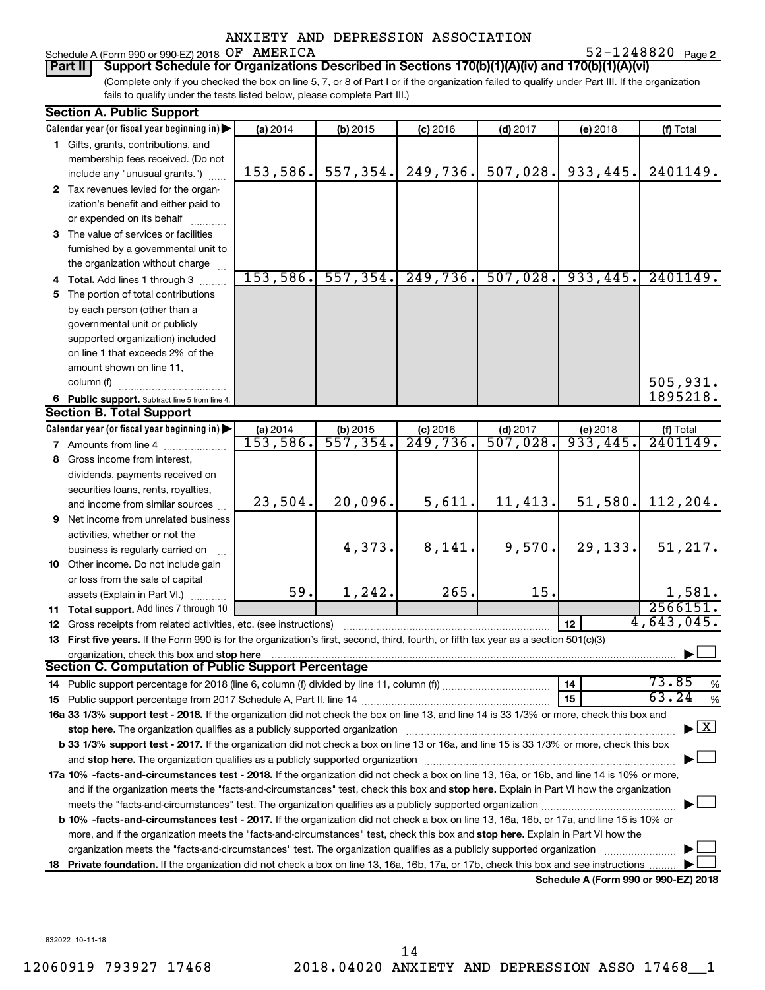52-1248820 Page 2

# Schedule A (Form 990 or 990-EZ) 2018  $OF$   $AMERICA$   $52-1248820$   $Page$

(Complete only if you checked the box on line 5, 7, or 8 of Part I or if the organization failed to qualify under Part III. If the organization fails to qualify under the tests listed below, please complete Part III.) **Part II Support Schedule for Organizations Described in Sections 170(b)(1)(A)(iv) and 170(b)(1)(A)(vi)**

|     | <b>Section A. Public Support</b>                                                                                                                                                                                               |          |                         |                        |                        |                                      |                                          |
|-----|--------------------------------------------------------------------------------------------------------------------------------------------------------------------------------------------------------------------------------|----------|-------------------------|------------------------|------------------------|--------------------------------------|------------------------------------------|
|     | Calendar year (or fiscal year beginning in)                                                                                                                                                                                    | (a) 2014 | (b) 2015                | $(c)$ 2016             | $(d)$ 2017             | (e) 2018                             | (f) Total                                |
|     | 1 Gifts, grants, contributions, and                                                                                                                                                                                            |          |                         |                        |                        |                                      |                                          |
|     | membership fees received. (Do not                                                                                                                                                                                              |          |                         |                        |                        |                                      |                                          |
|     | include any "unusual grants.")                                                                                                                                                                                                 | 153,586. | 557, 354.               | 249,736.               | 507,028.               | 933,445.                             | 2401149.                                 |
|     | 2 Tax revenues levied for the organ-                                                                                                                                                                                           |          |                         |                        |                        |                                      |                                          |
|     | ization's benefit and either paid to                                                                                                                                                                                           |          |                         |                        |                        |                                      |                                          |
|     | or expended on its behalf                                                                                                                                                                                                      |          |                         |                        |                        |                                      |                                          |
|     | 3 The value of services or facilities                                                                                                                                                                                          |          |                         |                        |                        |                                      |                                          |
|     | furnished by a governmental unit to                                                                                                                                                                                            |          |                         |                        |                        |                                      |                                          |
|     | the organization without charge                                                                                                                                                                                                |          |                         |                        |                        |                                      |                                          |
|     | 4 Total. Add lines 1 through 3                                                                                                                                                                                                 | 153,586. | 557, 354.               | 249,736.               | 507,028.               | 933,445.                             | 2401149.                                 |
|     | 5 The portion of total contributions                                                                                                                                                                                           |          |                         |                        |                        |                                      |                                          |
|     | by each person (other than a                                                                                                                                                                                                   |          |                         |                        |                        |                                      |                                          |
|     | governmental unit or publicly                                                                                                                                                                                                  |          |                         |                        |                        |                                      |                                          |
|     | supported organization) included                                                                                                                                                                                               |          |                         |                        |                        |                                      |                                          |
|     | on line 1 that exceeds 2% of the                                                                                                                                                                                               |          |                         |                        |                        |                                      |                                          |
|     | amount shown on line 11,                                                                                                                                                                                                       |          |                         |                        |                        |                                      |                                          |
|     | column (f)                                                                                                                                                                                                                     |          |                         |                        |                        |                                      | 505, 931.                                |
|     | 6 Public support. Subtract line 5 from line 4.                                                                                                                                                                                 |          |                         |                        |                        |                                      | 1895218.                                 |
|     | <b>Section B. Total Support</b>                                                                                                                                                                                                |          |                         |                        |                        |                                      |                                          |
|     | Calendar year (or fiscal year beginning in)                                                                                                                                                                                    | (a) 2014 |                         | $(c)$ 2016             | $(d)$ 2017             | (e) 2018                             | (f) Total                                |
|     | <b>7</b> Amounts from line 4                                                                                                                                                                                                   | 153,586. | (b) $2015$<br>557, 354. | $\overline{249.736}$ . | $\overline{507}$ ,028. | 933,445.                             | 2401149.                                 |
|     | 8 Gross income from interest,                                                                                                                                                                                                  |          |                         |                        |                        |                                      |                                          |
|     | dividends, payments received on                                                                                                                                                                                                |          |                         |                        |                        |                                      |                                          |
|     | securities loans, rents, royalties,                                                                                                                                                                                            |          |                         |                        |                        |                                      |                                          |
|     | and income from similar sources                                                                                                                                                                                                | 23,504.  | 20,096.                 | 5,611.                 | 11,413.                | 51,580.                              | 112,204.                                 |
|     | 9 Net income from unrelated business                                                                                                                                                                                           |          |                         |                        |                        |                                      |                                          |
|     | activities, whether or not the                                                                                                                                                                                                 |          |                         |                        |                        |                                      |                                          |
|     | business is regularly carried on                                                                                                                                                                                               |          | 4,373.                  | 8,141.                 | 9,570.                 | 29, 133.                             | 51, 217.                                 |
|     | 10 Other income. Do not include gain                                                                                                                                                                                           |          |                         |                        |                        |                                      |                                          |
|     | or loss from the sale of capital                                                                                                                                                                                               |          |                         |                        |                        |                                      |                                          |
|     | assets (Explain in Part VI.)                                                                                                                                                                                                   | 59.      | 1,242.                  | 265.                   | 15.                    |                                      | 1,581.                                   |
|     | 11 Total support. Add lines 7 through 10                                                                                                                                                                                       |          |                         |                        |                        |                                      | 2566151.                                 |
|     | 12 Gross receipts from related activities, etc. (see instructions)                                                                                                                                                             |          |                         |                        |                        | 12                                   | 4,643,045.                               |
|     | 13 First five years. If the Form 990 is for the organization's first, second, third, fourth, or fifth tax year as a section 501(c)(3)                                                                                          |          |                         |                        |                        |                                      |                                          |
|     | organization, check this box and stop here                                                                                                                                                                                     |          |                         |                        |                        |                                      |                                          |
|     | Section C. Computation of Public Support Percentage                                                                                                                                                                            |          |                         |                        |                        |                                      |                                          |
|     |                                                                                                                                                                                                                                |          |                         |                        |                        | 14                                   | 73.85<br>%                               |
|     |                                                                                                                                                                                                                                |          |                         |                        |                        | 15                                   | 63.24<br>$\%$                            |
|     | 16a 33 1/3% support test - 2018. If the organization did not check the box on line 13, and line 14 is 33 1/3% or more, check this box and                                                                                      |          |                         |                        |                        |                                      |                                          |
|     | stop here. The organization qualifies as a publicly supported organization manufaction manufacture or manufacture or the organization manufacture or the organization of the state of the state of the state of the state or m |          |                         |                        |                        |                                      | $\blacktriangleright$ $\boxed{\text{X}}$ |
|     | b 33 1/3% support test - 2017. If the organization did not check a box on line 13 or 16a, and line 15 is 33 1/3% or more, check this box                                                                                       |          |                         |                        |                        |                                      |                                          |
|     |                                                                                                                                                                                                                                |          |                         |                        |                        |                                      |                                          |
|     | 17a 10% -facts-and-circumstances test - 2018. If the organization did not check a box on line 13, 16a, or 16b, and line 14 is 10% or more,                                                                                     |          |                         |                        |                        |                                      |                                          |
|     | and if the organization meets the "facts-and-circumstances" test, check this box and stop here. Explain in Part VI how the organization                                                                                        |          |                         |                        |                        |                                      |                                          |
|     |                                                                                                                                                                                                                                |          |                         |                        |                        |                                      |                                          |
|     | <b>b 10%</b> -facts-and-circumstances test - 2017. If the organization did not check a box on line 13, 16a, 16b, or 17a, and line 15 is 10% or                                                                                 |          |                         |                        |                        |                                      |                                          |
|     | more, and if the organization meets the "facts-and-circumstances" test, check this box and stop here. Explain in Part VI how the                                                                                               |          |                         |                        |                        |                                      |                                          |
|     | organization meets the "facts-and-circumstances" test. The organization qualifies as a publicly supported organization                                                                                                         |          |                         |                        |                        |                                      |                                          |
| 18. | Private foundation. If the organization did not check a box on line 13, 16a, 16b, 17a, or 17b, check this box and see instructions.                                                                                            |          |                         |                        |                        |                                      |                                          |
|     |                                                                                                                                                                                                                                |          |                         |                        |                        | Schedule A (Form 990 or 990-F7) 2018 |                                          |

**Schedule A (Form 990 or 990-EZ) 2018**

832022 10-11-18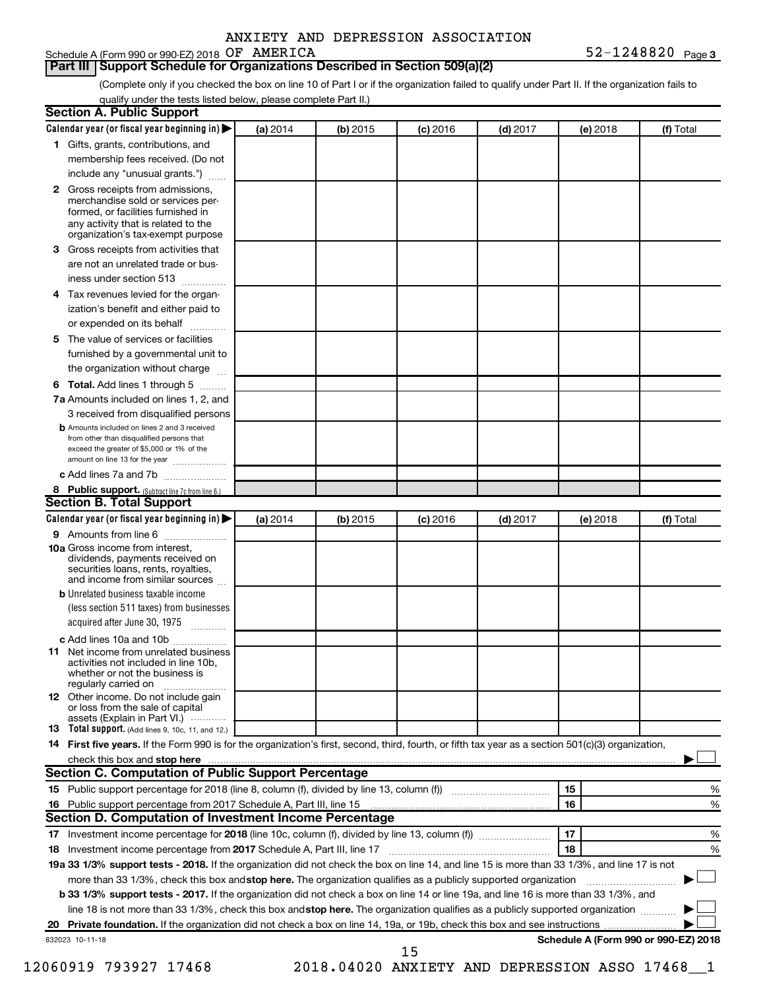|  | ANXIETY AND DEPRESSION ASSOCIATION |
|--|------------------------------------|
|  |                                    |

### Schedule A (Form 990 or 990-EZ) 2018 OF AMERICA

### **Part III Support Schedule for Organizations Described in Section 509(a)(2)**

(Complete only if you checked the box on line 10 of Part I or if the organization failed to qualify under Part II. If the organization fails to qualify under the tests listed below, please complete Part II.)

| <b>Section A. Public Support</b>                                                                                                                                                                |          |            |            |            |          |                                      |
|-------------------------------------------------------------------------------------------------------------------------------------------------------------------------------------------------|----------|------------|------------|------------|----------|--------------------------------------|
| Calendar year (or fiscal year beginning in)                                                                                                                                                     | (a) 2014 | (b) 2015   | $(c)$ 2016 | $(d)$ 2017 | (e) 2018 | (f) Total                            |
| 1 Gifts, grants, contributions, and                                                                                                                                                             |          |            |            |            |          |                                      |
| membership fees received. (Do not                                                                                                                                                               |          |            |            |            |          |                                      |
| include any "unusual grants.")                                                                                                                                                                  |          |            |            |            |          |                                      |
| <b>2</b> Gross receipts from admissions,<br>merchandise sold or services per-<br>formed, or facilities furnished in<br>any activity that is related to the<br>organization's tax-exempt purpose |          |            |            |            |          |                                      |
| 3 Gross receipts from activities that                                                                                                                                                           |          |            |            |            |          |                                      |
| are not an unrelated trade or bus-                                                                                                                                                              |          |            |            |            |          |                                      |
| iness under section 513                                                                                                                                                                         |          |            |            |            |          |                                      |
| 4 Tax revenues levied for the organ-                                                                                                                                                            |          |            |            |            |          |                                      |
| ization's benefit and either paid to                                                                                                                                                            |          |            |            |            |          |                                      |
| or expended on its behalf                                                                                                                                                                       |          |            |            |            |          |                                      |
| 5 The value of services or facilities                                                                                                                                                           |          |            |            |            |          |                                      |
| furnished by a governmental unit to                                                                                                                                                             |          |            |            |            |          |                                      |
| the organization without charge                                                                                                                                                                 |          |            |            |            |          |                                      |
| 6 Total. Add lines 1 through 5                                                                                                                                                                  |          |            |            |            |          |                                      |
| 7a Amounts included on lines 1, 2, and                                                                                                                                                          |          |            |            |            |          |                                      |
| 3 received from disqualified persons                                                                                                                                                            |          |            |            |            |          |                                      |
| <b>b</b> Amounts included on lines 2 and 3 received<br>from other than disqualified persons that<br>exceed the greater of \$5,000 or 1% of the<br>amount on line 13 for the year                |          |            |            |            |          |                                      |
| c Add lines 7a and 7b                                                                                                                                                                           |          |            |            |            |          |                                      |
| 8 Public support. (Subtract line 7c from line 6.)                                                                                                                                               |          |            |            |            |          |                                      |
| <b>Section B. Total Support</b>                                                                                                                                                                 |          |            |            |            |          |                                      |
| Calendar year (or fiscal year beginning in)                                                                                                                                                     | (a) 2014 | $(b)$ 2015 | $(c)$ 2016 | $(d)$ 2017 | (e) 2018 | (f) Total                            |
| 9 Amounts from line 6                                                                                                                                                                           |          |            |            |            |          |                                      |
| <b>10a</b> Gross income from interest,<br>dividends, payments received on<br>securities loans, rents, royalties,<br>and income from similar sources                                             |          |            |            |            |          |                                      |
| <b>b</b> Unrelated business taxable income                                                                                                                                                      |          |            |            |            |          |                                      |
| (less section 511 taxes) from businesses                                                                                                                                                        |          |            |            |            |          |                                      |
| acquired after June 30, 1975                                                                                                                                                                    |          |            |            |            |          |                                      |
| c Add lines 10a and 10b                                                                                                                                                                         |          |            |            |            |          |                                      |
| <b>11</b> Net income from unrelated business<br>activities not included in line 10b.<br>whether or not the business is<br>regularly carried on                                                  |          |            |            |            |          |                                      |
| 12 Other income. Do not include gain<br>or loss from the sale of capital<br>assets (Explain in Part VI.)                                                                                        |          |            |            |            |          |                                      |
| <b>13</b> Total support. (Add lines 9, 10c, 11, and 12.)                                                                                                                                        |          |            |            |            |          |                                      |
| 14 First five years. If the Form 990 is for the organization's first, second, third, fourth, or fifth tax year as a section 501(c)(3) organization,                                             |          |            |            |            |          |                                      |
| check this box and stop here <b>contained and the contained and stop here</b> check this box and stop here <b>contained and stop here</b>                                                       |          |            |            |            |          |                                      |
| Section C. Computation of Public Support Percentage                                                                                                                                             |          |            |            |            |          |                                      |
| 15 Public support percentage for 2018 (line 8, column (f), divided by line 13, column (f) <i></i>                                                                                               |          |            |            |            | 15       | ℅                                    |
|                                                                                                                                                                                                 |          |            |            |            | 16       | %                                    |
| Section D. Computation of Investment Income Percentage                                                                                                                                          |          |            |            |            |          |                                      |
|                                                                                                                                                                                                 |          |            |            |            | 17       | %                                    |
| 18 Investment income percentage from 2017 Schedule A, Part III, line 17                                                                                                                         |          |            |            |            | 18       | %                                    |
| 19a 33 1/3% support tests - 2018. If the organization did not check the box on line 14, and line 15 is more than 33 1/3%, and line 17 is not                                                    |          |            |            |            |          |                                      |
| more than 33 1/3%, check this box and stop here. The organization qualifies as a publicly supported organization                                                                                |          |            |            |            |          |                                      |
| b 33 1/3% support tests - 2017. If the organization did not check a box on line 14 or line 19a, and line 16 is more than 33 1/3%, and                                                           |          |            |            |            |          |                                      |
| line 18 is not more than 33 1/3%, check this box and stop here. The organization qualifies as a publicly supported organization                                                                 |          |            |            |            |          |                                      |
|                                                                                                                                                                                                 |          |            |            |            |          |                                      |
| 832023 10-11-18                                                                                                                                                                                 |          |            | 15         |            |          | Schedule A (Form 990 or 990-EZ) 2018 |
|                                                                                                                                                                                                 |          |            |            |            |          |                                      |

12060919 793927 17468 2018.04020 ANXIETY AND DEPRESSION ASSO 17468\_\_1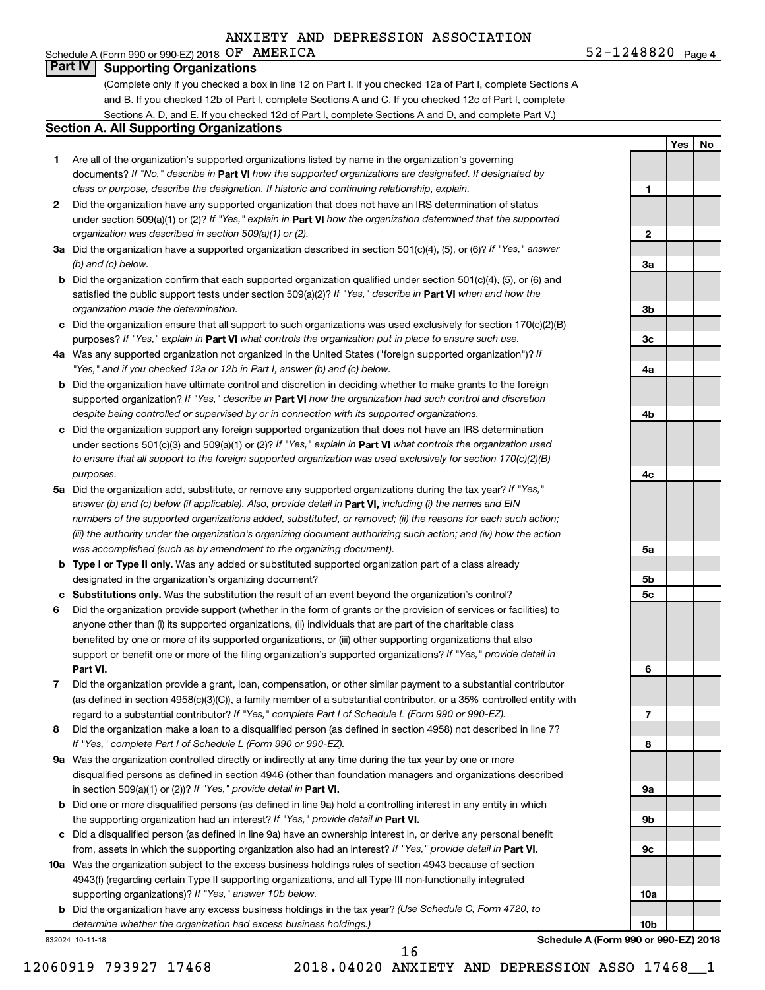### Schedule A (Form 990 or 990-EZ) 2018  $OF$   $AMERICA$   $52-1248820$   $Page$ **Part IV Supporting Organizations**

(Complete only if you checked a box in line 12 on Part I. If you checked 12a of Part I, complete Sections A and B. If you checked 12b of Part I, complete Sections A and C. If you checked 12c of Part I, complete Sections A, D, and E. If you checked 12d of Part I, complete Sections A and D, and complete Part V.)

#### **Section A. All Supporting Organizations**

- **1** Are all of the organization's supported organizations listed by name in the organization's governing documents? If "No," describe in Part VI how the supported organizations are designated. If designated by *class or purpose, describe the designation. If historic and continuing relationship, explain.*
- **2** Did the organization have any supported organization that does not have an IRS determination of status under section 509(a)(1) or (2)? If "Yes," explain in Part **VI** how the organization determined that the supported *organization was described in section 509(a)(1) or (2).*
- **3a** Did the organization have a supported organization described in section 501(c)(4), (5), or (6)? If "Yes," answer *(b) and (c) below.*
- **b** Did the organization confirm that each supported organization qualified under section 501(c)(4), (5), or (6) and satisfied the public support tests under section 509(a)(2)? If "Yes," describe in Part VI when and how the *organization made the determination.*
- **c** Did the organization ensure that all support to such organizations was used exclusively for section 170(c)(2)(B) purposes? If "Yes," explain in Part VI what controls the organization put in place to ensure such use.
- **4 a** *If* Was any supported organization not organized in the United States ("foreign supported organization")? *"Yes," and if you checked 12a or 12b in Part I, answer (b) and (c) below.*
- **b** Did the organization have ultimate control and discretion in deciding whether to make grants to the foreign supported organization? If "Yes," describe in Part VI how the organization had such control and discretion *despite being controlled or supervised by or in connection with its supported organizations.*
- **c** Did the organization support any foreign supported organization that does not have an IRS determination under sections 501(c)(3) and 509(a)(1) or (2)? If "Yes," explain in Part VI what controls the organization used *to ensure that all support to the foreign supported organization was used exclusively for section 170(c)(2)(B) purposes.*
- **5a** Did the organization add, substitute, or remove any supported organizations during the tax year? If "Yes," answer (b) and (c) below (if applicable). Also, provide detail in **Part VI,** including (i) the names and EIN *numbers of the supported organizations added, substituted, or removed; (ii) the reasons for each such action; (iii) the authority under the organization's organizing document authorizing such action; and (iv) how the action was accomplished (such as by amendment to the organizing document).*
- **b Type I or Type II only.** Was any added or substituted supported organization part of a class already designated in the organization's organizing document?
- **c Substitutions only.**  Was the substitution the result of an event beyond the organization's control?
- **6** Did the organization provide support (whether in the form of grants or the provision of services or facilities) to **Part VI.** support or benefit one or more of the filing organization's supported organizations? If "Yes," provide detail in anyone other than (i) its supported organizations, (ii) individuals that are part of the charitable class benefited by one or more of its supported organizations, or (iii) other supporting organizations that also
- **7** Did the organization provide a grant, loan, compensation, or other similar payment to a substantial contributor regard to a substantial contributor? If "Yes," complete Part I of Schedule L (Form 990 or 990-EZ). (as defined in section 4958(c)(3)(C)), a family member of a substantial contributor, or a 35% controlled entity with
- **8** Did the organization make a loan to a disqualified person (as defined in section 4958) not described in line 7? *If "Yes," complete Part I of Schedule L (Form 990 or 990-EZ).*
- **9 a** Was the organization controlled directly or indirectly at any time during the tax year by one or more in section 509(a)(1) or (2))? If "Yes," provide detail in **Part VI.** disqualified persons as defined in section 4946 (other than foundation managers and organizations described
- **b** Did one or more disqualified persons (as defined in line 9a) hold a controlling interest in any entity in which the supporting organization had an interest? If "Yes," provide detail in Part VI.
- **c** Did a disqualified person (as defined in line 9a) have an ownership interest in, or derive any personal benefit from, assets in which the supporting organization also had an interest? If "Yes," provide detail in Part VI.
- **10 a** Was the organization subject to the excess business holdings rules of section 4943 because of section supporting organizations)? If "Yes," answer 10b below. 4943(f) (regarding certain Type II supporting organizations, and all Type III non-functionally integrated
	- **b** Did the organization have any excess business holdings in the tax year? (Use Schedule C, Form 4720, to *determine whether the organization had excess business holdings.)*

832024 10-11-18

**3a 3b 3c 4a 4b 4c 5a 5b 5c 6 7 8 9a 9b 9c**

**Schedule A (Form 990 or 990-EZ) 2018**

**10a**

**10b**

12060919 793927 17468 2018.04020 ANXIETY AND DEPRESSION ASSO 17468\_\_1 16

**1**

**2**

**Yes No**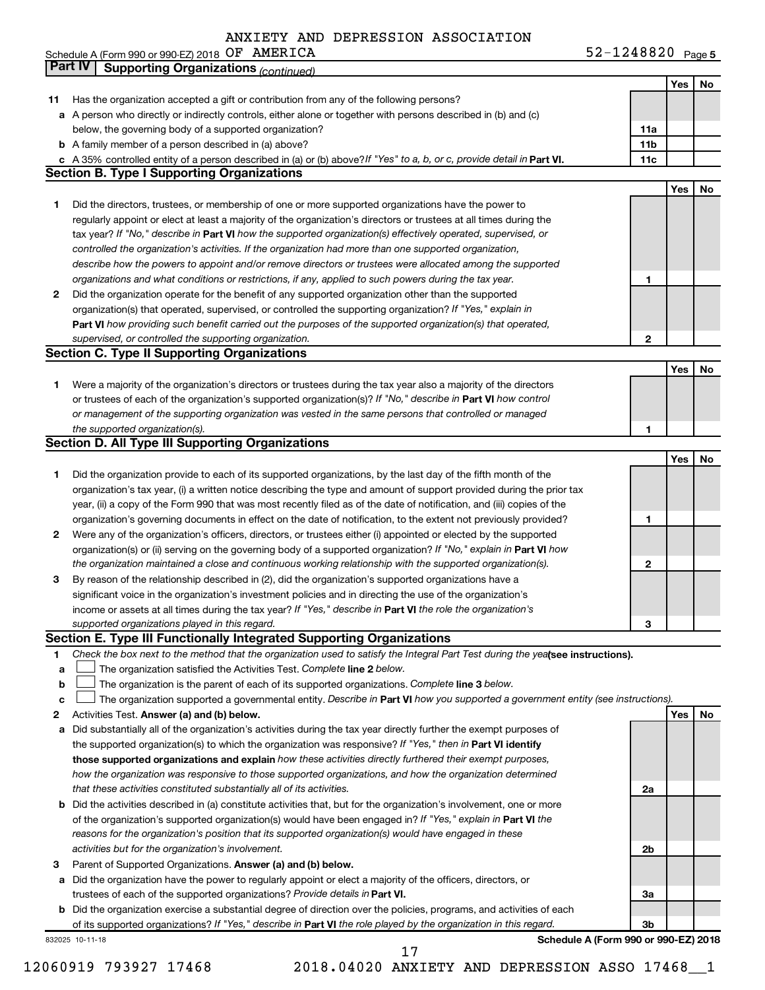| Schedule A (Form 990 or 990-EZ) 2018 $OF$ AMERICA |  | $52 - 1248820$ Page 5 |  |
|---------------------------------------------------|--|-----------------------|--|
|---------------------------------------------------|--|-----------------------|--|

|    | <b>Part IV</b><br><b>Supporting Organizations (continued)</b>                                                                   |                 |     |    |
|----|---------------------------------------------------------------------------------------------------------------------------------|-----------------|-----|----|
|    |                                                                                                                                 |                 | Yes | No |
| 11 | Has the organization accepted a gift or contribution from any of the following persons?                                         |                 |     |    |
|    | a A person who directly or indirectly controls, either alone or together with persons described in (b) and (c)                  |                 |     |    |
|    | below, the governing body of a supported organization?                                                                          | 11a             |     |    |
|    | <b>b</b> A family member of a person described in (a) above?                                                                    | 11 <sub>b</sub> |     |    |
|    | c A 35% controlled entity of a person described in (a) or (b) above? If "Yes" to a, b, or c, provide detail in Part VI.         | 11c             |     |    |
|    | <b>Section B. Type I Supporting Organizations</b>                                                                               |                 |     |    |
|    |                                                                                                                                 |                 | Yes | No |
| 1  | Did the directors, trustees, or membership of one or more supported organizations have the power to                             |                 |     |    |
|    | regularly appoint or elect at least a majority of the organization's directors or trustees at all times during the              |                 |     |    |
|    | tax year? If "No," describe in Part VI how the supported organization(s) effectively operated, supervised, or                   |                 |     |    |
|    | controlled the organization's activities. If the organization had more than one supported organization,                         |                 |     |    |
|    | describe how the powers to appoint and/or remove directors or trustees were allocated among the supported                       |                 |     |    |
|    | organizations and what conditions or restrictions, if any, applied to such powers during the tax year.                          | 1               |     |    |
| 2  | Did the organization operate for the benefit of any supported organization other than the supported                             |                 |     |    |
|    | organization(s) that operated, supervised, or controlled the supporting organization? If "Yes," explain in                      |                 |     |    |
|    | Part VI how providing such benefit carried out the purposes of the supported organization(s) that operated,                     |                 |     |    |
|    | supervised, or controlled the supporting organization.                                                                          | $\mathbf{2}$    |     |    |
|    | <b>Section C. Type II Supporting Organizations</b>                                                                              |                 |     |    |
|    |                                                                                                                                 |                 | Yes | No |
| 1. | Were a majority of the organization's directors or trustees during the tax year also a majority of the directors                |                 |     |    |
|    | or trustees of each of the organization's supported organization(s)? If "No," describe in Part VI how control                   |                 |     |    |
|    | or management of the supporting organization was vested in the same persons that controlled or managed                          |                 |     |    |
|    | the supported organization(s).                                                                                                  | 1               |     |    |
|    | <b>Section D. All Type III Supporting Organizations</b>                                                                         |                 |     |    |
|    |                                                                                                                                 |                 | Yes | No |
| 1  | Did the organization provide to each of its supported organizations, by the last day of the fifth month of the                  |                 |     |    |
|    | organization's tax year, (i) a written notice describing the type and amount of support provided during the prior tax           |                 |     |    |
|    | year, (ii) a copy of the Form 990 that was most recently filed as of the date of notification, and (iii) copies of the          |                 |     |    |
|    | organization's governing documents in effect on the date of notification, to the extent not previously provided?                | 1               |     |    |
| 2  | Were any of the organization's officers, directors, or trustees either (i) appointed or elected by the supported                |                 |     |    |
|    | organization(s) or (ii) serving on the governing body of a supported organization? If "No," explain in Part VI how              |                 |     |    |
|    | the organization maintained a close and continuous working relationship with the supported organization(s).                     | 2               |     |    |
| 3  | By reason of the relationship described in (2), did the organization's supported organizations have a                           |                 |     |    |
|    | significant voice in the organization's investment policies and in directing the use of the organization's                      |                 |     |    |
|    | income or assets at all times during the tax year? If "Yes," describe in Part VI the role the organization's                    |                 |     |    |
|    | supported organizations played in this regard.                                                                                  | з               |     |    |
|    | Section E. Type III Functionally Integrated Supporting Organizations                                                            |                 |     |    |
| 1  | Check the box next to the method that the organization used to satisfy the Integral Part Test during the yealsee instructions). |                 |     |    |
| a  | The organization satisfied the Activities Test. Complete line 2 below.                                                          |                 |     |    |
| b  | The organization is the parent of each of its supported organizations. Complete line 3 below.                                   |                 |     |    |
| c  | The organization supported a governmental entity. Describe in Part VI how you supported a government entity (see instructions). |                 |     |    |
| 2  | Activities Test. Answer (a) and (b) below.                                                                                      |                 | Yes | No |
| а  | Did substantially all of the organization's activities during the tax year directly further the exempt purposes of              |                 |     |    |
|    | the supported organization(s) to which the organization was responsive? If "Yes," then in Part VI identify                      |                 |     |    |
|    | those supported organizations and explain how these activities directly furthered their exempt purposes,                        |                 |     |    |
|    | how the organization was responsive to those supported organizations, and how the organization determined                       |                 |     |    |
|    | that these activities constituted substantially all of its activities.                                                          | 2a              |     |    |
| b  | Did the activities described in (a) constitute activities that, but for the organization's involvement, one or more             |                 |     |    |
|    | of the organization's supported organization(s) would have been engaged in? If "Yes," explain in Part VI the                    |                 |     |    |
|    | reasons for the organization's position that its supported organization(s) would have engaged in these                          |                 |     |    |
|    | activities but for the organization's involvement.                                                                              | 2b              |     |    |
| З  | Parent of Supported Organizations. Answer (a) and (b) below.                                                                    |                 |     |    |
| а  | Did the organization have the power to regularly appoint or elect a majority of the officers, directors, or                     |                 |     |    |
|    | trustees of each of the supported organizations? Provide details in Part VI.                                                    | За              |     |    |
|    | <b>b</b> Did the organization exercise a substantial degree of direction over the policies, programs, and activities of each    |                 |     |    |
|    | of its supported organizations? If "Yes," describe in Part VI the role played by the organization in this regard.               | Зb              |     |    |
|    | Schedule A (Form 990 or 990-EZ) 2018<br>832025 10-11-18                                                                         |                 |     |    |

17

<sup>12060919 793927 17468 2018.04020</sup> ANXIETY AND DEPRESSION ASSO 17468\_\_1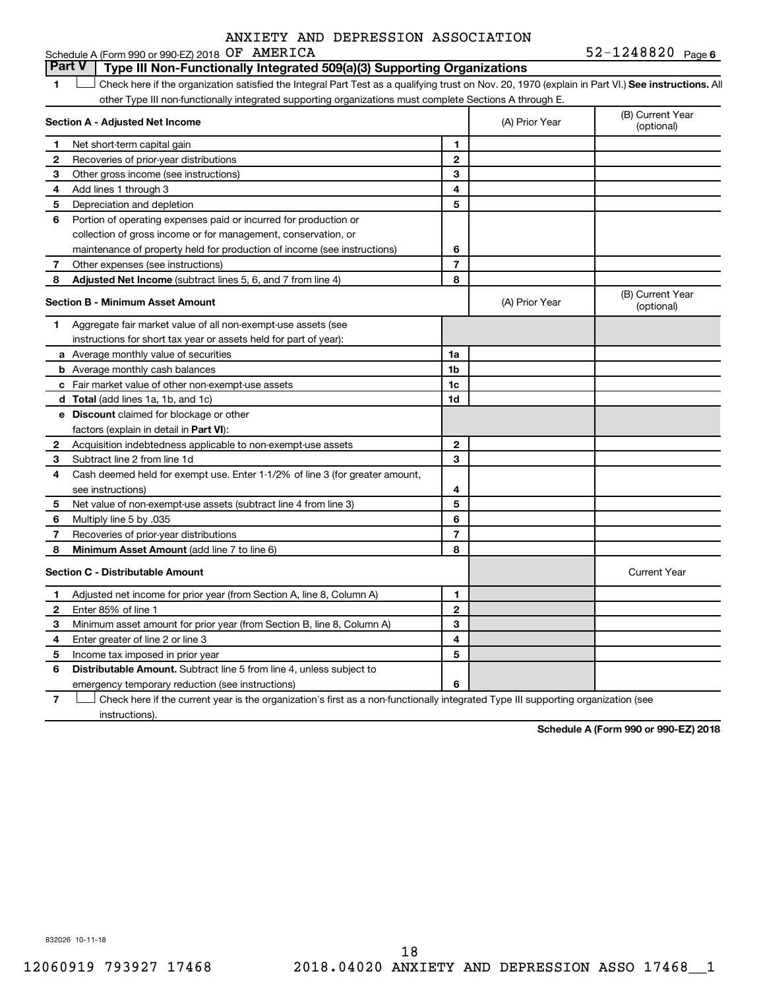#### **1 Letter or if the organization satisfied the Integral Part Test as a qualifying trust on Nov. 20, 1970 (explain in Part VI.) See instructions. All Section A - Adjusted Net Income 1 2 3 4 5 6 7 8 1 2 3 4 5 6 7 Adjusted Net Income** (subtract lines 5, 6, and 7 from line 4) **8 8 Section B - Minimum Asset Amount 1 2 3 4 5 6 7 8 a** Average monthly value of securities **b** Average monthly cash balances **c** Fair market value of other non-exempt-use assets **d Total**  (add lines 1a, 1b, and 1c) **e Discount** claimed for blockage or other **1a 1b 1c 1d 2 3 4 5 6 7 8** factors (explain in detail in Part VI): **Minimum Asset Amount**  (add line 7 to line 6) **Section C - Distributable Amount 1 2 3 4 5 6 1 2 3 4 5 6** Distributable Amount. Subtract line 5 from line 4, unless subject to Schedule A (Form 990 or 990-EZ) 2018  $OF$   $AMERICA$   $52-1248820$   $Page$ other Type III non-functionally integrated supporting organizations must complete Sections A through E. (B) Current Year (A) Prior Year Net short-term capital gain Recoveries of prior-year distributions Other gross income (see instructions) Add lines 1 through 3 Depreciation and depletion Portion of operating expenses paid or incurred for production or collection of gross income or for management, conservation, or maintenance of property held for production of income (see instructions) Other expenses (see instructions) (B) Current Year  $(A)$  Prior Year  $\left\{\n\begin{array}{ccc}\n\end{array}\n\right\}$  (optional) Aggregate fair market value of all non-exempt-use assets (see instructions for short tax year or assets held for part of year): Acquisition indebtedness applicable to non-exempt-use assets Subtract line 2 from line 1d Cash deemed held for exempt use. Enter 1-1/2% of line 3 (for greater amount, see instructions) Net value of non-exempt-use assets (subtract line 4 from line 3) Multiply line 5 by .035 Recoveries of prior-year distributions Current Year Adjusted net income for prior year (from Section A, line 8, Column A) Enter 85% of line 1 Minimum asset amount for prior year (from Section B, line 8, Column A) Enter greater of line 2 or line 3 Income tax imposed in prior year emergency temporary reduction (see instructions) **Part V Type III Non-Functionally Integrated 509(a)(3) Supporting Organizations**   $\Box$

**7** Check here if the current year is the organization's first as a non-functionally integrated Type III supporting organization (see † instructions).

**Schedule A (Form 990 or 990-EZ) 2018**

832026 10-11-18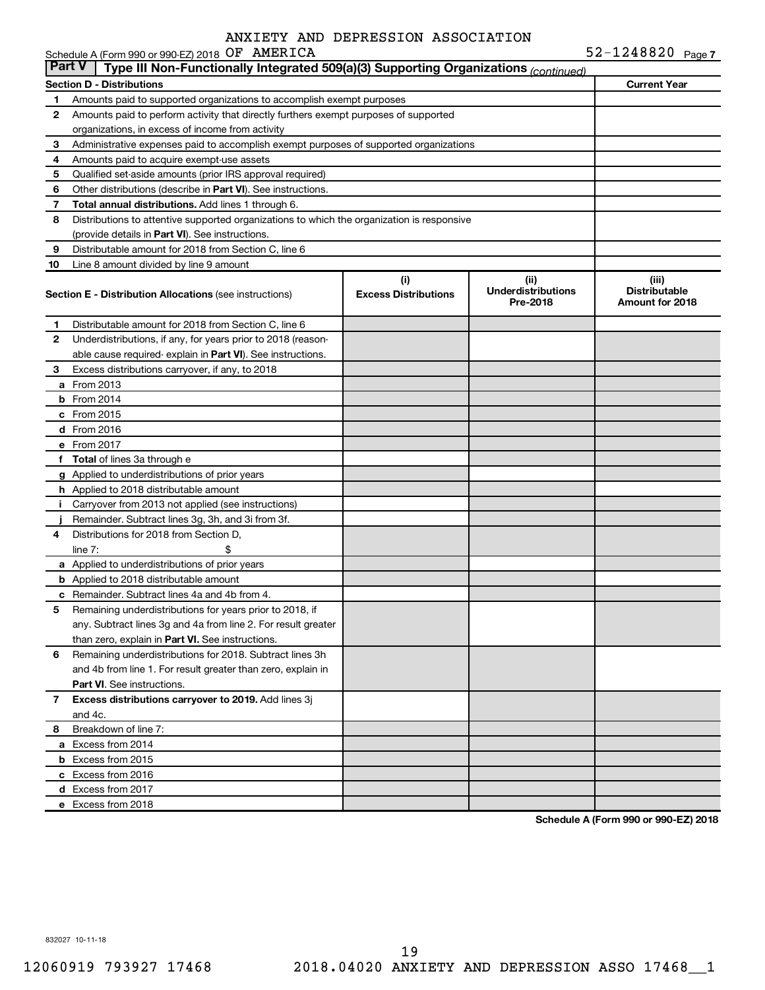|               | Schedule A (Form 990 or 990-EZ) 2018 OF AMERICA                                            |                                    |                                               | $52 - 1248820$ Page 7                            |
|---------------|--------------------------------------------------------------------------------------------|------------------------------------|-----------------------------------------------|--------------------------------------------------|
| <b>Part V</b> | Type III Non-Functionally Integrated 509(a)(3) Supporting Organizations (continued)        |                                    |                                               |                                                  |
|               | <b>Section D - Distributions</b>                                                           |                                    |                                               | <b>Current Year</b>                              |
| 1             | Amounts paid to supported organizations to accomplish exempt purposes                      |                                    |                                               |                                                  |
| 2             | Amounts paid to perform activity that directly furthers exempt purposes of supported       |                                    |                                               |                                                  |
|               | organizations, in excess of income from activity                                           |                                    |                                               |                                                  |
| З             | Administrative expenses paid to accomplish exempt purposes of supported organizations      |                                    |                                               |                                                  |
| 4             | Amounts paid to acquire exempt-use assets                                                  |                                    |                                               |                                                  |
| 5             | Qualified set-aside amounts (prior IRS approval required)                                  |                                    |                                               |                                                  |
| 6             | Other distributions (describe in <b>Part VI</b> ). See instructions.                       |                                    |                                               |                                                  |
| 7             | Total annual distributions. Add lines 1 through 6.                                         |                                    |                                               |                                                  |
| 8             | Distributions to attentive supported organizations to which the organization is responsive |                                    |                                               |                                                  |
|               | (provide details in Part VI). See instructions.                                            |                                    |                                               |                                                  |
| 9             | Distributable amount for 2018 from Section C, line 6                                       |                                    |                                               |                                                  |
| 10            | Line 8 amount divided by line 9 amount                                                     |                                    |                                               |                                                  |
|               | <b>Section E - Distribution Allocations (see instructions)</b>                             | (i)<br><b>Excess Distributions</b> | (ii)<br><b>Underdistributions</b><br>Pre-2018 | (iii)<br><b>Distributable</b><br>Amount for 2018 |
| 1             | Distributable amount for 2018 from Section C, line 6                                       |                                    |                                               |                                                  |
| 2             | Underdistributions, if any, for years prior to 2018 (reason-                               |                                    |                                               |                                                  |
|               | able cause required-explain in Part VI). See instructions.                                 |                                    |                                               |                                                  |
| 3             | Excess distributions carryover, if any, to 2018                                            |                                    |                                               |                                                  |
|               | <b>a</b> From 2013                                                                         |                                    |                                               |                                                  |
|               | $b$ From 2014                                                                              |                                    |                                               |                                                  |
|               | c From 2015                                                                                |                                    |                                               |                                                  |
|               | d From 2016                                                                                |                                    |                                               |                                                  |
|               | e From 2017                                                                                |                                    |                                               |                                                  |
|               | f Total of lines 3a through e                                                              |                                    |                                               |                                                  |
|               | g Applied to underdistributions of prior years                                             |                                    |                                               |                                                  |
|               | <b>h</b> Applied to 2018 distributable amount                                              |                                    |                                               |                                                  |
| Ť.            | Carryover from 2013 not applied (see instructions)                                         |                                    |                                               |                                                  |
|               | Remainder. Subtract lines 3g, 3h, and 3i from 3f.                                          |                                    |                                               |                                                  |
| 4             | Distributions for 2018 from Section D.                                                     |                                    |                                               |                                                  |
|               | line $7:$                                                                                  |                                    |                                               |                                                  |
|               | a Applied to underdistributions of prior years                                             |                                    |                                               |                                                  |
|               | <b>b</b> Applied to 2018 distributable amount                                              |                                    |                                               |                                                  |
|               | <b>c</b> Remainder. Subtract lines 4a and 4b from 4.                                       |                                    |                                               |                                                  |
| 5             | Remaining underdistributions for years prior to 2018, if                                   |                                    |                                               |                                                  |
|               | any. Subtract lines 3g and 4a from line 2. For result greater                              |                                    |                                               |                                                  |
|               | than zero, explain in Part VI. See instructions.                                           |                                    |                                               |                                                  |
| 6             | Remaining underdistributions for 2018. Subtract lines 3h                                   |                                    |                                               |                                                  |
|               | and 4b from line 1. For result greater than zero, explain in                               |                                    |                                               |                                                  |
|               | <b>Part VI.</b> See instructions.                                                          |                                    |                                               |                                                  |
| 7             | Excess distributions carryover to 2019. Add lines 3j                                       |                                    |                                               |                                                  |
|               | and 4c.                                                                                    |                                    |                                               |                                                  |
| 8             | Breakdown of line 7:                                                                       |                                    |                                               |                                                  |
|               | a Excess from 2014                                                                         |                                    |                                               |                                                  |
|               | <b>b</b> Excess from 2015                                                                  |                                    |                                               |                                                  |
|               | c Excess from 2016                                                                         |                                    |                                               |                                                  |
|               | d Excess from 2017                                                                         |                                    |                                               |                                                  |
|               | e Excess from 2018                                                                         |                                    |                                               |                                                  |
|               |                                                                                            |                                    |                                               |                                                  |

**Schedule A (Form 990 or 990-EZ) 2018**

832027 10-11-18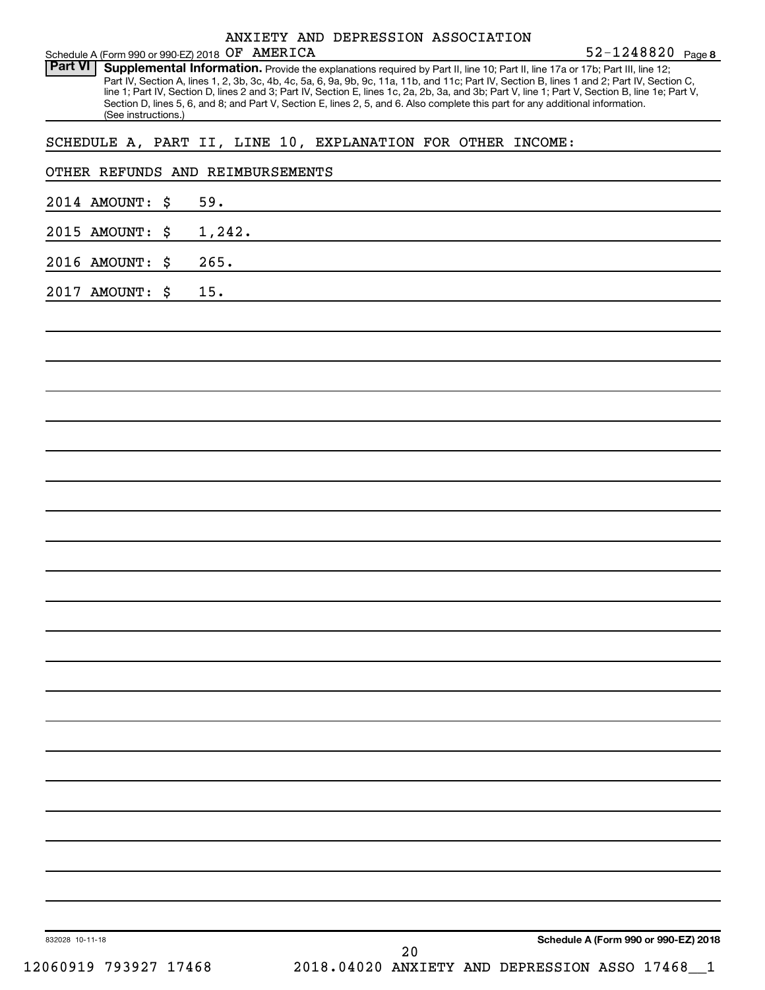| Schedule A (Form 990 or 990-EZ) 2018 OF AMERICA                                                                                                                                                                                                                                                                                                                                                                                                                                                                                                                                                               | 52-1248820 Page 8 |
|---------------------------------------------------------------------------------------------------------------------------------------------------------------------------------------------------------------------------------------------------------------------------------------------------------------------------------------------------------------------------------------------------------------------------------------------------------------------------------------------------------------------------------------------------------------------------------------------------------------|-------------------|
| <b>Part VI</b><br>Supplemental Information. Provide the explanations required by Part II, line 10; Part II, line 17a or 17b; Part III, line 12;<br>Part IV, Section A, lines 1, 2, 3b, 3c, 4b, 4c, 5a, 6, 9a, 9b, 9c, 11a, 11b, and 11c; Part IV, Section B, lines 1 and 2; Part IV, Section C,<br>line 1; Part IV, Section D, lines 2 and 3; Part IV, Section E, lines 1c, 2a, 2b, 3a, and 3b; Part V, line 1; Part V, Section B, line 1e; Part V,<br>Section D, lines 5, 6, and 8; and Part V, Section E, lines 2, 5, and 6. Also complete this part for any additional information.<br>(See instructions.) |                   |
| SCHEDULE A, PART II, LINE 10, EXPLANATION FOR OTHER INCOME:                                                                                                                                                                                                                                                                                                                                                                                                                                                                                                                                                   |                   |
| OTHER REFUNDS AND REIMBURSEMENTS                                                                                                                                                                                                                                                                                                                                                                                                                                                                                                                                                                              |                   |
| 59.<br>2014 AMOUNT:<br>\$                                                                                                                                                                                                                                                                                                                                                                                                                                                                                                                                                                                     |                   |
| 1,242.<br>2015 AMOUNT:<br>\$                                                                                                                                                                                                                                                                                                                                                                                                                                                                                                                                                                                  |                   |
| 265.<br>2016 AMOUNT:<br>\$                                                                                                                                                                                                                                                                                                                                                                                                                                                                                                                                                                                    |                   |
| 15.<br>2017 AMOUNT:<br>\$                                                                                                                                                                                                                                                                                                                                                                                                                                                                                                                                                                                     |                   |
|                                                                                                                                                                                                                                                                                                                                                                                                                                                                                                                                                                                                               |                   |
|                                                                                                                                                                                                                                                                                                                                                                                                                                                                                                                                                                                                               |                   |
|                                                                                                                                                                                                                                                                                                                                                                                                                                                                                                                                                                                                               |                   |
|                                                                                                                                                                                                                                                                                                                                                                                                                                                                                                                                                                                                               |                   |
|                                                                                                                                                                                                                                                                                                                                                                                                                                                                                                                                                                                                               |                   |
|                                                                                                                                                                                                                                                                                                                                                                                                                                                                                                                                                                                                               |                   |
|                                                                                                                                                                                                                                                                                                                                                                                                                                                                                                                                                                                                               |                   |
|                                                                                                                                                                                                                                                                                                                                                                                                                                                                                                                                                                                                               |                   |
|                                                                                                                                                                                                                                                                                                                                                                                                                                                                                                                                                                                                               |                   |
|                                                                                                                                                                                                                                                                                                                                                                                                                                                                                                                                                                                                               |                   |
|                                                                                                                                                                                                                                                                                                                                                                                                                                                                                                                                                                                                               |                   |
|                                                                                                                                                                                                                                                                                                                                                                                                                                                                                                                                                                                                               |                   |
|                                                                                                                                                                                                                                                                                                                                                                                                                                                                                                                                                                                                               |                   |
|                                                                                                                                                                                                                                                                                                                                                                                                                                                                                                                                                                                                               |                   |
|                                                                                                                                                                                                                                                                                                                                                                                                                                                                                                                                                                                                               |                   |
|                                                                                                                                                                                                                                                                                                                                                                                                                                                                                                                                                                                                               |                   |
|                                                                                                                                                                                                                                                                                                                                                                                                                                                                                                                                                                                                               |                   |
|                                                                                                                                                                                                                                                                                                                                                                                                                                                                                                                                                                                                               |                   |
|                                                                                                                                                                                                                                                                                                                                                                                                                                                                                                                                                                                                               |                   |
|                                                                                                                                                                                                                                                                                                                                                                                                                                                                                                                                                                                                               |                   |
|                                                                                                                                                                                                                                                                                                                                                                                                                                                                                                                                                                                                               |                   |

**Schedule A (Form 990 or 990-EZ) 2018**

832028 10-11-18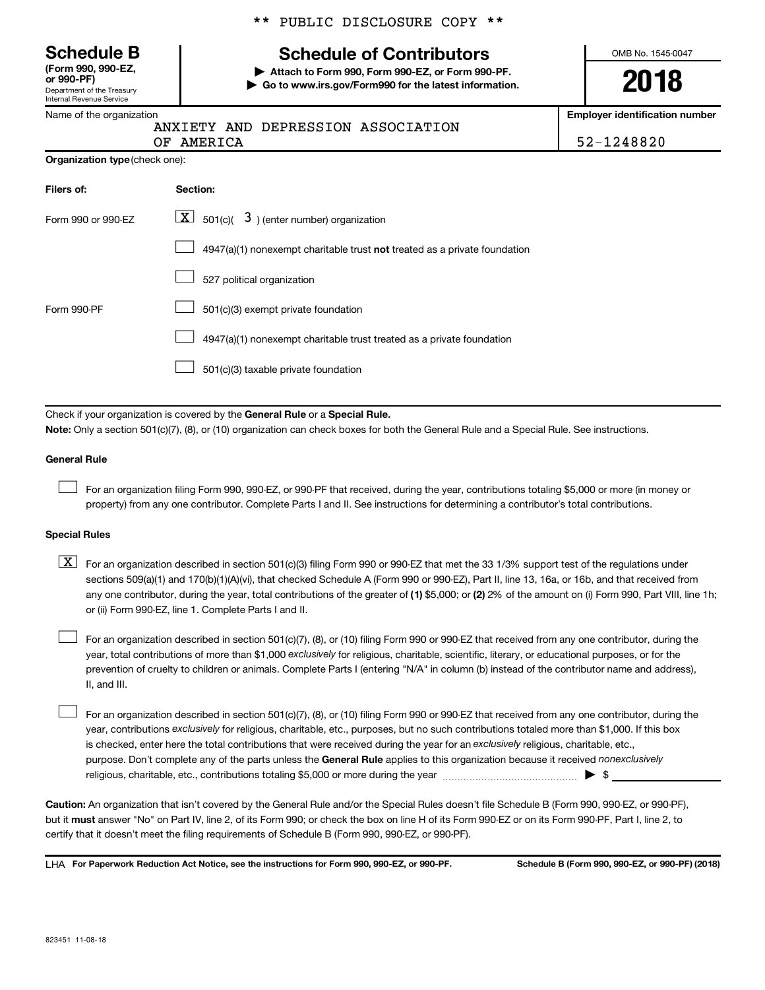Department of the Treasury Internal Revenue Service **(Form 990, 990-EZ,**

|  |  | ** PUBLIC DISCLOSURE COPY ** |  |  |
|--|--|------------------------------|--|--|
|--|--|------------------------------|--|--|

# **Schedule B Schedule of Contributors**

**or 990-PF) | Attach to Form 990, Form 990-EZ, or Form 990-PF. | Go to www.irs.gov/Form990 for the latest information.** OMB No. 1545-0047

**2018**

**Employer identification number**

**Organization type** (check one):

|  | ANXIETY AND DEPRESSION ASSOCIATION |
|--|------------------------------------|
|  |                                    |

| OF AMERICA | 52-1248820 |
|------------|------------|

| Filers of:         | Section:                                                                    |
|--------------------|-----------------------------------------------------------------------------|
| Form 990 or 990-EZ | $ \mathbf{X} $ 501(c)( 3) (enter number) organization                       |
|                    | $4947(a)(1)$ nonexempt charitable trust not treated as a private foundation |
|                    | 527 political organization                                                  |
| Form 990-PF        | 501(c)(3) exempt private foundation                                         |
|                    | 4947(a)(1) nonexempt charitable trust treated as a private foundation       |
|                    | 501(c)(3) taxable private foundation                                        |

Check if your organization is covered by the General Rule or a Special Rule.

**Note:**  Only a section 501(c)(7), (8), or (10) organization can check boxes for both the General Rule and a Special Rule. See instructions.

#### **General Rule**

 $\Box$ 

For an organization filing Form 990, 990-EZ, or 990-PF that received, during the year, contributions totaling \$5,000 or more (in money or property) from any one contributor. Complete Parts I and II. See instructions for determining a contributor's total contributions.

#### **Special Rules**

any one contributor, during the year, total contributions of the greater of (1) \$5,000; or (2) 2% of the amount on (i) Form 990, Part VIII, line 1h;  $\boxed{\text{X}}$  For an organization described in section 501(c)(3) filing Form 990 or 990-EZ that met the 33 1/3% support test of the regulations under sections 509(a)(1) and 170(b)(1)(A)(vi), that checked Schedule A (Form 990 or 990-EZ), Part II, line 13, 16a, or 16b, and that received from or (ii) Form 990-EZ, line 1. Complete Parts I and II.

year, total contributions of more than \$1,000 *exclusively* for religious, charitable, scientific, literary, or educational purposes, or for the For an organization described in section 501(c)(7), (8), or (10) filing Form 990 or 990-EZ that received from any one contributor, during the prevention of cruelty to children or animals. Complete Parts I (entering "N/A" in column (b) instead of the contributor name and address), II, and III.  $\Box$ 

purpose. Don't complete any of the parts unless the General Rule applies to this organization because it received nonexclusively year, contributions exclusively for religious, charitable, etc., purposes, but no such contributions totaled more than \$1,000. If this box is checked, enter here the total contributions that were received during the year for an exclusively religious, charitable, etc., For an organization described in section 501(c)(7), (8), or (10) filing Form 990 or 990-EZ that received from any one contributor, during the religious, charitable, etc., contributions totaling \$5,000 or more during the year  $~\ldots\ldots\ldots\ldots\ldots\ldots\ldots\ldots\blacktriangleright~$ \$  $\Box$ 

**Caution:**  An organization that isn't covered by the General Rule and/or the Special Rules doesn't file Schedule B (Form 990, 990-EZ, or 990-PF),  **must** but it answer "No" on Part IV, line 2, of its Form 990; or check the box on line H of its Form 990-EZ or on its Form 990-PF, Part I, line 2, to certify that it doesn't meet the filing requirements of Schedule B (Form 990, 990-EZ, or 990-PF).

**For Paperwork Reduction Act Notice, see the instructions for Form 990, 990-EZ, or 990-PF. Schedule B (Form 990, 990-EZ, or 990-PF) (2018)** LHA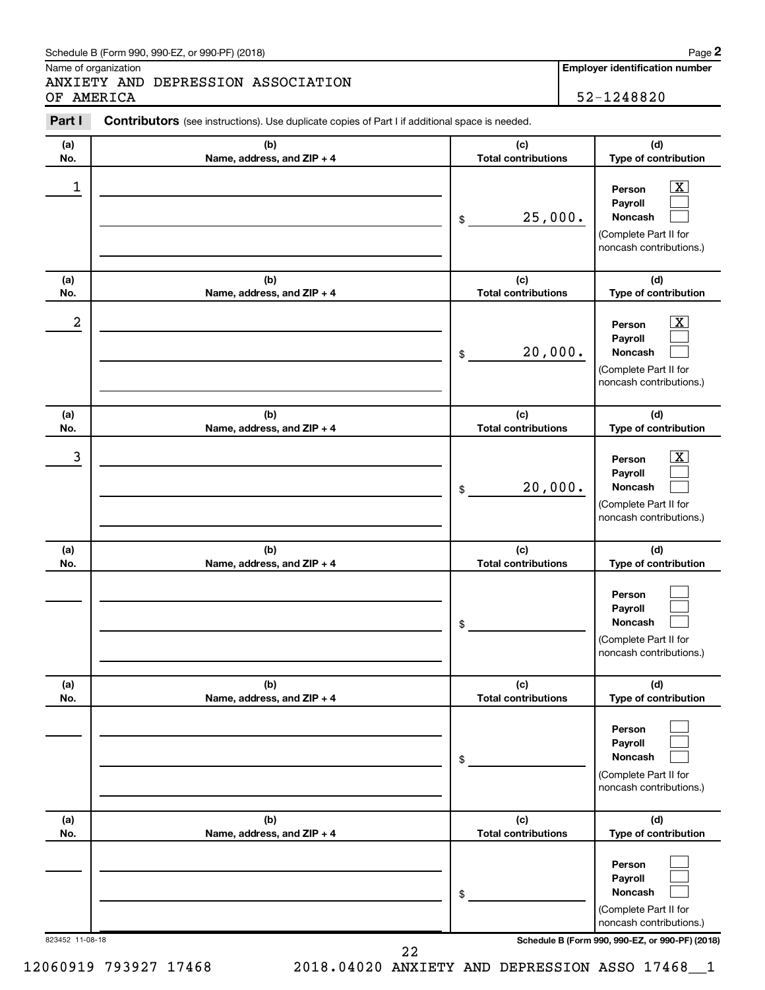#### Schedule B (Form 990, 990-EZ, or 990-PF) (2018)

Name of organization

ANXIETY AND DEPRESSION ASSOCIATION OF AMERICA 52-1248820

**Employer identification number**

| Part I           | <b>Contributors</b> (see instructions). Use duplicate copies of Part I if additional space is needed. |                                   |                                                                                                             |
|------------------|-------------------------------------------------------------------------------------------------------|-----------------------------------|-------------------------------------------------------------------------------------------------------------|
| (a)              | (b)                                                                                                   | (c)                               | (d)                                                                                                         |
| No.              | Name, address, and ZIP + 4                                                                            | <b>Total contributions</b>        | Type of contribution                                                                                        |
| 1                |                                                                                                       | 25,000.<br>\$                     | $\overline{\mathbf{x}}$<br>Person<br>Payroll<br>Noncash<br>(Complete Part II for<br>noncash contributions.) |
| (a)<br>No.       | (b)<br>Name, address, and ZIP + 4                                                                     | (c)<br><b>Total contributions</b> | (d)<br>Type of contribution                                                                                 |
|                  |                                                                                                       |                                   |                                                                                                             |
| $\boldsymbol{2}$ |                                                                                                       | 20,000.<br>\$                     | $\overline{\mathbf{x}}$<br>Person<br>Payroll<br>Noncash<br>(Complete Part II for<br>noncash contributions.) |
| (a)<br>No.       | (b)<br>Name, address, and ZIP + 4                                                                     | (c)<br><b>Total contributions</b> | (d)<br>Type of contribution                                                                                 |
| $\mathbf{3}$     |                                                                                                       | 20,000.<br>\$                     | $\overline{\mathbf{x}}$<br>Person<br>Payroll<br>Noncash<br>(Complete Part II for<br>noncash contributions.) |
| (a)<br>No.       | (b)<br>Name, address, and ZIP + 4                                                                     | (c)<br><b>Total contributions</b> | (d)<br>Type of contribution                                                                                 |
|                  |                                                                                                       | \$                                | Person<br>Payroll<br>Noncash<br>(Complete Part II for<br>noncash contributions.)                            |
| (a)<br>No.       | (b)<br>Name, address, and ZIP + 4                                                                     | (c)<br><b>Total contributions</b> | (d)<br>Type of contribution                                                                                 |
|                  |                                                                                                       | \$                                | Person<br>Payroll<br>Noncash<br>(Complete Part II for<br>noncash contributions.)                            |
| (a)<br>No.       | (b)<br>Name, address, and ZIP + 4                                                                     | (c)<br><b>Total contributions</b> | (d)<br>Type of contribution                                                                                 |
|                  |                                                                                                       | \$                                | Person<br>Payroll<br>Noncash<br>(Complete Part II for<br>noncash contributions.)                            |
| 823452 11-08-18  |                                                                                                       |                                   | Schedule B (Form 990, 990-EZ, or 990-PF) (2018)                                                             |

12060919 793927 17468 2018.04020 ANXIETY AND DEPRESSION ASSO 17468\_\_1 22

**2**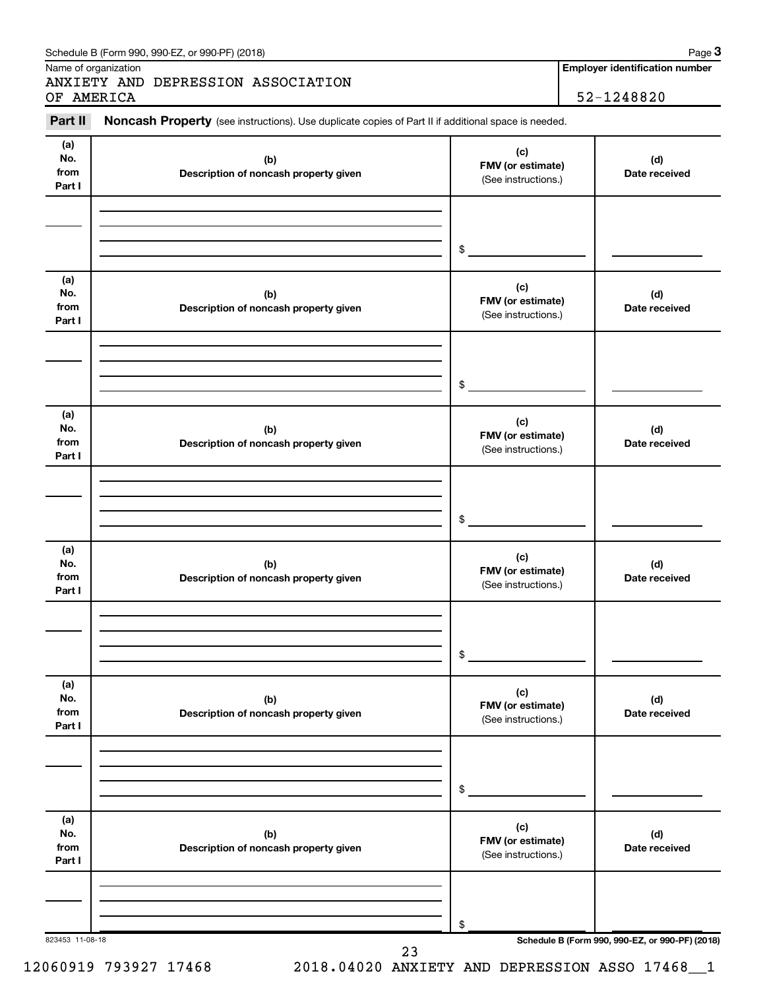| Part II                      | Noncash Property (see instructions). Use duplicate copies of Part II if additional space is needed. |                                                 |                      |  |
|------------------------------|-----------------------------------------------------------------------------------------------------|-------------------------------------------------|----------------------|--|
| (a)<br>No.<br>from<br>Part I | (b)<br>Description of noncash property given                                                        | (c)<br>FMV (or estimate)<br>(See instructions.) | (d)<br>Date received |  |
|                              |                                                                                                     | $\frac{1}{2}$                                   |                      |  |
| (a)<br>No.<br>from<br>Part I | (b)<br>Description of noncash property given                                                        | (c)<br>FMV (or estimate)<br>(See instructions.) | (d)<br>Date received |  |
|                              |                                                                                                     | $\frac{1}{2}$                                   |                      |  |
| (a)<br>No.<br>from<br>Part I | (b)<br>Description of noncash property given                                                        | (c)<br>FMV (or estimate)<br>(See instructions.) | (d)<br>Date received |  |
|                              |                                                                                                     | $\frac{1}{2}$                                   |                      |  |
| (a)<br>No.<br>from<br>Part I | (b)<br>Description of noncash property given                                                        | (c)<br>FMV (or estimate)<br>(See instructions.) | (d)<br>Date received |  |
|                              |                                                                                                     | \$                                              |                      |  |
| (a)<br>No.<br>from<br>Part I | (b)<br>Description of noncash property given                                                        | (c)<br>FMV (or estimate)<br>(See instructions.) | (d)<br>Date received |  |
|                              |                                                                                                     | \$                                              |                      |  |
| (a)<br>No.<br>from<br>Part I | (b)<br>Description of noncash property given                                                        | (c)<br>FMV (or estimate)<br>(See instructions.) | (d)<br>Date received |  |
|                              |                                                                                                     | \$                                              |                      |  |

12060919 793927 17468 2018.04020 ANXIETY AND DEPRESSION ASSO 17468\_\_1

Schedule B (Form 990, 990-EZ, or 990-PF) (2018)

Name of organization

23

**Employer identification number 3**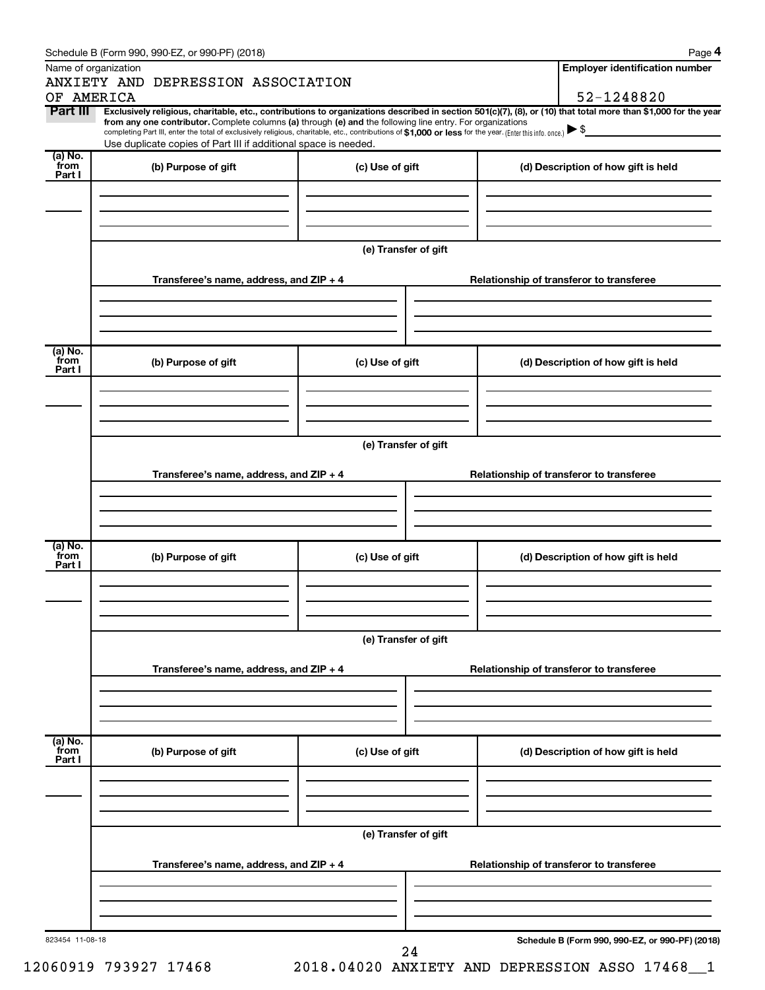| Name of organization      |                                                                                                                                                                                                                                                                                                                                                                                                                                                                                                                  |                      | <b>Employer identification number</b>           |
|---------------------------|------------------------------------------------------------------------------------------------------------------------------------------------------------------------------------------------------------------------------------------------------------------------------------------------------------------------------------------------------------------------------------------------------------------------------------------------------------------------------------------------------------------|----------------------|-------------------------------------------------|
|                           | ANXIETY AND DEPRESSION ASSOCIATION                                                                                                                                                                                                                                                                                                                                                                                                                                                                               |                      |                                                 |
| OF AMERICA                |                                                                                                                                                                                                                                                                                                                                                                                                                                                                                                                  |                      | 52-1248820                                      |
| Part III                  | Exclusively religious, charitable, etc., contributions to organizations described in section 501(c)(7), (8), or (10) that total more than \$1,000 for the year<br>from any one contributor. Complete columns (a) through (e) and the following line entry. For organizations<br>completing Part III, enter the total of exclusively religious, charitable, etc., contributions of \$1,000 or less for the year. (Enter this info. once.) ▶ \$<br>Use duplicate copies of Part III if additional space is needed. |                      |                                                 |
| (a) No.<br>from<br>Part I | (b) Purpose of gift                                                                                                                                                                                                                                                                                                                                                                                                                                                                                              | (c) Use of gift      | (d) Description of how gift is held             |
|                           |                                                                                                                                                                                                                                                                                                                                                                                                                                                                                                                  |                      |                                                 |
|                           |                                                                                                                                                                                                                                                                                                                                                                                                                                                                                                                  | (e) Transfer of gift |                                                 |
|                           | Transferee's name, address, and ZIP + 4                                                                                                                                                                                                                                                                                                                                                                                                                                                                          |                      | Relationship of transferor to transferee        |
|                           |                                                                                                                                                                                                                                                                                                                                                                                                                                                                                                                  |                      |                                                 |
| (a) No.<br>`from          | (b) Purpose of gift                                                                                                                                                                                                                                                                                                                                                                                                                                                                                              | (c) Use of gift      | (d) Description of how gift is held             |
| Part I                    |                                                                                                                                                                                                                                                                                                                                                                                                                                                                                                                  |                      |                                                 |
|                           |                                                                                                                                                                                                                                                                                                                                                                                                                                                                                                                  |                      |                                                 |
|                           |                                                                                                                                                                                                                                                                                                                                                                                                                                                                                                                  | (e) Transfer of gift |                                                 |
|                           | Transferee's name, address, and ZIP + 4                                                                                                                                                                                                                                                                                                                                                                                                                                                                          |                      | Relationship of transferor to transferee        |
|                           |                                                                                                                                                                                                                                                                                                                                                                                                                                                                                                                  |                      |                                                 |
| (a) No.<br>from<br>Part I | (b) Purpose of gift                                                                                                                                                                                                                                                                                                                                                                                                                                                                                              | (c) Use of gift      | (d) Description of how gift is held             |
|                           |                                                                                                                                                                                                                                                                                                                                                                                                                                                                                                                  |                      |                                                 |
|                           |                                                                                                                                                                                                                                                                                                                                                                                                                                                                                                                  | (e) Transfer of gift |                                                 |
|                           | Transferee's name, address, and ZIP + 4                                                                                                                                                                                                                                                                                                                                                                                                                                                                          |                      | Relationship of transferor to transferee        |
|                           |                                                                                                                                                                                                                                                                                                                                                                                                                                                                                                                  |                      |                                                 |
| (a) No.<br>from<br>Part I | (b) Purpose of gift                                                                                                                                                                                                                                                                                                                                                                                                                                                                                              | (c) Use of gift      | (d) Description of how gift is held             |
|                           |                                                                                                                                                                                                                                                                                                                                                                                                                                                                                                                  |                      |                                                 |
|                           |                                                                                                                                                                                                                                                                                                                                                                                                                                                                                                                  | (e) Transfer of gift |                                                 |
|                           | Transferee's name, address, and ZIP + 4                                                                                                                                                                                                                                                                                                                                                                                                                                                                          |                      | Relationship of transferor to transferee        |
|                           |                                                                                                                                                                                                                                                                                                                                                                                                                                                                                                                  |                      |                                                 |
| 823454 11-08-18           |                                                                                                                                                                                                                                                                                                                                                                                                                                                                                                                  | 24                   | Schedule B (Form 990, 990-EZ, or 990-PF) (2018) |

12060919 793927 17468 2018.04020 ANXIETY AND DEPRESSION ASSO 17468\_\_1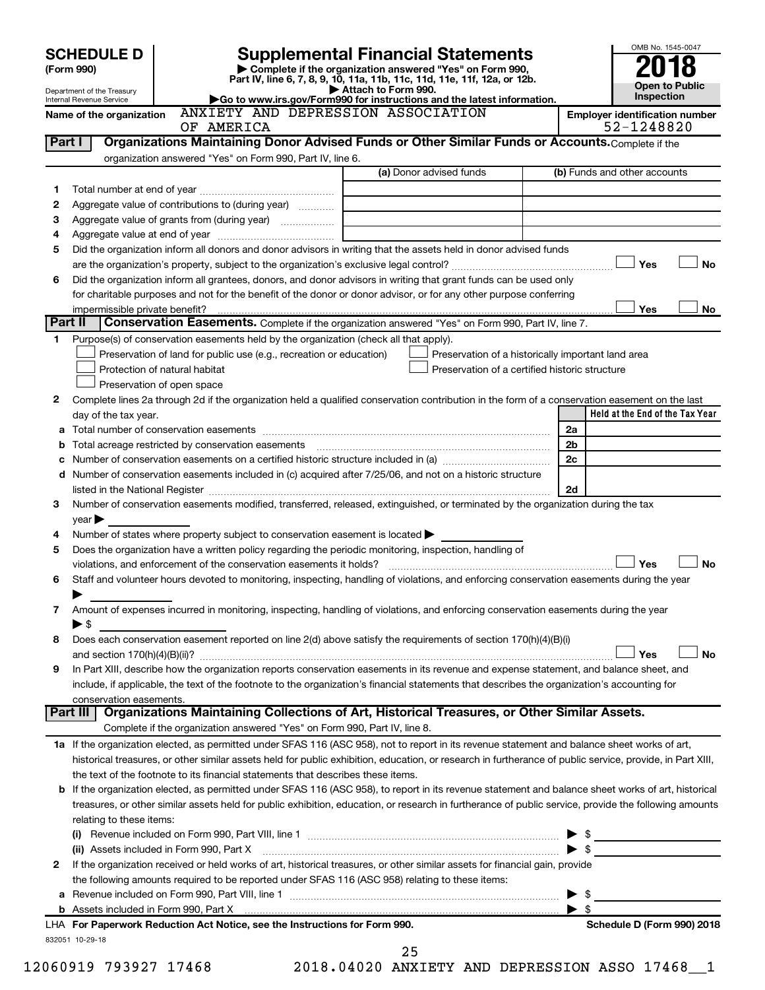|         | <b>SCHEDULE D</b>                                      |                                                                                       |                                                                                                                                                                                                                                                                                                            | OMB No. 1545-0047                                   |
|---------|--------------------------------------------------------|---------------------------------------------------------------------------------------|------------------------------------------------------------------------------------------------------------------------------------------------------------------------------------------------------------------------------------------------------------------------------------------------------------|-----------------------------------------------------|
|         | (Form 990)                                             |                                                                                       | <b>Supplemental Financial Statements</b><br>Complete if the organization answered "Yes" on Form 990,                                                                                                                                                                                                       |                                                     |
|         |                                                        |                                                                                       | Part IV, line 6, 7, 8, 9, 10, 11a, 11b, 11c, 11d, 11e, 11f, 12a, or 12b.<br>Attach to Form 990.                                                                                                                                                                                                            | <b>Open to Public</b>                               |
|         | Department of the Treasury<br>Internal Revenue Service |                                                                                       | Go to www.irs.gov/Form990 for instructions and the latest information.                                                                                                                                                                                                                                     | Inspection                                          |
|         | Name of the organization                               | OF AMERICA                                                                            | ANXIETY AND DEPRESSION ASSOCIATION                                                                                                                                                                                                                                                                         | <b>Employer identification number</b><br>52-1248820 |
| Part I  |                                                        |                                                                                       | Organizations Maintaining Donor Advised Funds or Other Similar Funds or Accounts. Complete if the                                                                                                                                                                                                          |                                                     |
|         |                                                        | organization answered "Yes" on Form 990, Part IV, line 6.                             |                                                                                                                                                                                                                                                                                                            |                                                     |
|         |                                                        |                                                                                       | (a) Donor advised funds                                                                                                                                                                                                                                                                                    | (b) Funds and other accounts                        |
| 1.      |                                                        |                                                                                       |                                                                                                                                                                                                                                                                                                            |                                                     |
| 2       |                                                        | Aggregate value of contributions to (during year)                                     |                                                                                                                                                                                                                                                                                                            |                                                     |
| 3       |                                                        |                                                                                       | the control of the control of the control of the control of the control of                                                                                                                                                                                                                                 |                                                     |
| 4       |                                                        |                                                                                       |                                                                                                                                                                                                                                                                                                            |                                                     |
| 5       |                                                        |                                                                                       | Did the organization inform all donors and donor advisors in writing that the assets held in donor advised funds                                                                                                                                                                                           |                                                     |
|         |                                                        |                                                                                       |                                                                                                                                                                                                                                                                                                            | Yes<br><b>No</b>                                    |
| 6       |                                                        |                                                                                       | Did the organization inform all grantees, donors, and donor advisors in writing that grant funds can be used only                                                                                                                                                                                          |                                                     |
|         |                                                        |                                                                                       | for charitable purposes and not for the benefit of the donor or donor advisor, or for any other purpose conferring                                                                                                                                                                                         | Yes<br>No                                           |
| Part II | impermissible private benefit?                         |                                                                                       | Conservation Easements. Complete if the organization answered "Yes" on Form 990, Part IV, line 7.                                                                                                                                                                                                          |                                                     |
| 1       |                                                        | Purpose(s) of conservation easements held by the organization (check all that apply). |                                                                                                                                                                                                                                                                                                            |                                                     |
|         |                                                        | Preservation of land for public use (e.g., recreation or education)                   | Preservation of a historically important land area                                                                                                                                                                                                                                                         |                                                     |
|         |                                                        | Protection of natural habitat                                                         | Preservation of a certified historic structure                                                                                                                                                                                                                                                             |                                                     |
|         |                                                        | Preservation of open space                                                            |                                                                                                                                                                                                                                                                                                            |                                                     |
| 2       |                                                        |                                                                                       | Complete lines 2a through 2d if the organization held a qualified conservation contribution in the form of a conservation easement on the last                                                                                                                                                             |                                                     |
|         | day of the tax year.                                   |                                                                                       |                                                                                                                                                                                                                                                                                                            | Held at the End of the Tax Year                     |
|         |                                                        |                                                                                       |                                                                                                                                                                                                                                                                                                            | 2a                                                  |
|         |                                                        | <b>b</b> Total acreage restricted by conservation easements                           |                                                                                                                                                                                                                                                                                                            | 2 <sub>b</sub>                                      |
| c       |                                                        |                                                                                       | Number of conservation easements on a certified historic structure included in (a) manufacture included in (a)<br>d Number of conservation easements included in (c) acquired after 7/25/06, and not on a historic structure                                                                               | 2c                                                  |
|         |                                                        |                                                                                       |                                                                                                                                                                                                                                                                                                            | 2d                                                  |
| 3       |                                                        |                                                                                       | Number of conservation easements modified, transferred, released, extinguished, or terminated by the organization during the tax                                                                                                                                                                           |                                                     |
|         | $\mathsf{year}$                                        |                                                                                       |                                                                                                                                                                                                                                                                                                            |                                                     |
| 4       |                                                        | Number of states where property subject to conservation easement is located >         |                                                                                                                                                                                                                                                                                                            |                                                     |
| 5       |                                                        |                                                                                       | Does the organization have a written policy regarding the periodic monitoring, inspection, handling of                                                                                                                                                                                                     |                                                     |
|         |                                                        | violations, and enforcement of the conservation easements it holds?                   |                                                                                                                                                                                                                                                                                                            | Yes<br>No                                           |
| 6       |                                                        |                                                                                       | Staff and volunteer hours devoted to monitoring, inspecting, handling of violations, and enforcing conservation easements during the year                                                                                                                                                                  |                                                     |
|         |                                                        |                                                                                       |                                                                                                                                                                                                                                                                                                            |                                                     |
| 7       |                                                        |                                                                                       | Amount of expenses incurred in monitoring, inspecting, handling of violations, and enforcing conservation easements during the year                                                                                                                                                                        |                                                     |
| 8       | $\blacktriangleright$ \$                               |                                                                                       | Does each conservation easement reported on line 2(d) above satisfy the requirements of section 170(h)(4)(B)(i)                                                                                                                                                                                            |                                                     |
|         |                                                        |                                                                                       |                                                                                                                                                                                                                                                                                                            | Yes<br><b>No</b>                                    |
| 9       |                                                        |                                                                                       | In Part XIII, describe how the organization reports conservation easements in its revenue and expense statement, and balance sheet, and                                                                                                                                                                    |                                                     |
|         |                                                        |                                                                                       | include, if applicable, the text of the footnote to the organization's financial statements that describes the organization's accounting for                                                                                                                                                               |                                                     |
|         | conservation easements.                                |                                                                                       |                                                                                                                                                                                                                                                                                                            |                                                     |
|         | Part III                                               |                                                                                       | Organizations Maintaining Collections of Art, Historical Treasures, or Other Similar Assets.                                                                                                                                                                                                               |                                                     |
|         |                                                        | Complete if the organization answered "Yes" on Form 990, Part IV, line 8.             |                                                                                                                                                                                                                                                                                                            |                                                     |
|         |                                                        |                                                                                       | 1a If the organization elected, as permitted under SFAS 116 (ASC 958), not to report in its revenue statement and balance sheet works of art,                                                                                                                                                              |                                                     |
|         |                                                        |                                                                                       | historical treasures, or other similar assets held for public exhibition, education, or research in furtherance of public service, provide, in Part XIII,                                                                                                                                                  |                                                     |
|         |                                                        | the text of the footnote to its financial statements that describes these items.      |                                                                                                                                                                                                                                                                                                            |                                                     |
| b       |                                                        |                                                                                       | If the organization elected, as permitted under SFAS 116 (ASC 958), to report in its revenue statement and balance sheet works of art, historical<br>treasures, or other similar assets held for public exhibition, education, or research in furtherance of public service, provide the following amounts |                                                     |
|         | relating to these items:                               |                                                                                       |                                                                                                                                                                                                                                                                                                            |                                                     |
|         |                                                        |                                                                                       |                                                                                                                                                                                                                                                                                                            | $\frac{1}{2}$                                       |
|         |                                                        | (ii) Assets included in Form 990, Part X                                              |                                                                                                                                                                                                                                                                                                            |                                                     |
| 2       |                                                        |                                                                                       | If the organization received or held works of art, historical treasures, or other similar assets for financial gain, provide                                                                                                                                                                               |                                                     |
|         |                                                        |                                                                                       | the following amounts required to be reported under SFAS 116 (ASC 958) relating to these items:                                                                                                                                                                                                            |                                                     |
| а       |                                                        |                                                                                       |                                                                                                                                                                                                                                                                                                            | - \$<br>▶                                           |
|         |                                                        |                                                                                       |                                                                                                                                                                                                                                                                                                            | $\blacktriangleright$ \$                            |
|         |                                                        | LHA For Paperwork Reduction Act Notice, see the Instructions for Form 990.            |                                                                                                                                                                                                                                                                                                            | Schedule D (Form 990) 2018                          |

25

12060919 793927 17468 2018.04020 ANXIETY AND DEPRESSION ASSO 17468\_\_1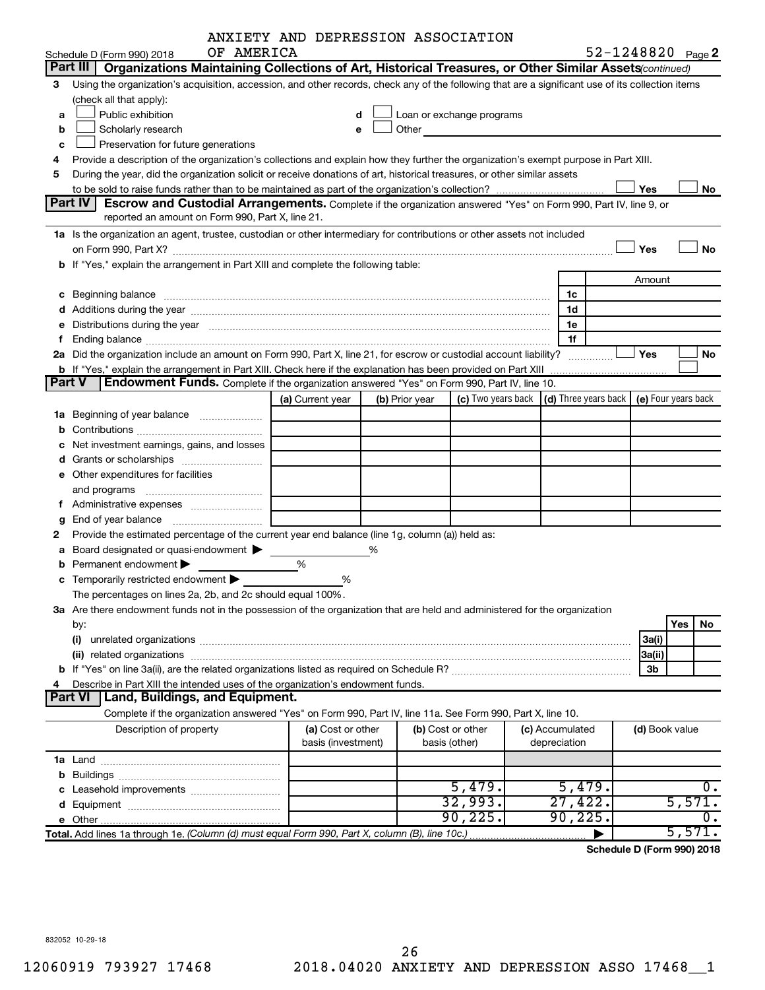|  | ANXIETY AND DEPRESSION ASSOCIATION |
|--|------------------------------------|
|  |                                    |

|               |                                                                                                                                                                                                                                | ANXIETY AND DEPRESSION ASSOCIATION |   |                |                           |                                                         |                |                     |
|---------------|--------------------------------------------------------------------------------------------------------------------------------------------------------------------------------------------------------------------------------|------------------------------------|---|----------------|---------------------------|---------------------------------------------------------|----------------|---------------------|
|               | OF AMERICA<br>Schedule D (Form 990) 2018                                                                                                                                                                                       |                                    |   |                |                           |                                                         |                | 52-1248820 Page 2   |
|               | Organizations Maintaining Collections of Art, Historical Treasures, or Other Similar Assets (continued)<br>Part III                                                                                                            |                                    |   |                |                           |                                                         |                |                     |
| З             | Using the organization's acquisition, accession, and other records, check any of the following that are a significant use of its collection items                                                                              |                                    |   |                |                           |                                                         |                |                     |
|               | (check all that apply):                                                                                                                                                                                                        |                                    |   |                |                           |                                                         |                |                     |
| a             | Public exhibition                                                                                                                                                                                                              | d                                  |   |                | Loan or exchange programs |                                                         |                |                     |
| b             | Scholarly research                                                                                                                                                                                                             | e                                  |   | Other          |                           |                                                         |                |                     |
| c             | Preservation for future generations                                                                                                                                                                                            |                                    |   |                |                           |                                                         |                |                     |
| 4             | Provide a description of the organization's collections and explain how they further the organization's exempt purpose in Part XIII.                                                                                           |                                    |   |                |                           |                                                         |                |                     |
| 5             | During the year, did the organization solicit or receive donations of art, historical treasures, or other similar assets                                                                                                       |                                    |   |                |                           |                                                         |                |                     |
|               |                                                                                                                                                                                                                                |                                    |   |                |                           |                                                         | Yes            | No                  |
|               | Part IV<br>Escrow and Custodial Arrangements. Complete if the organization answered "Yes" on Form 990, Part IV, line 9, or                                                                                                     |                                    |   |                |                           |                                                         |                |                     |
|               | reported an amount on Form 990, Part X, line 21.                                                                                                                                                                               |                                    |   |                |                           |                                                         |                |                     |
|               | 1a Is the organization an agent, trustee, custodian or other intermediary for contributions or other assets not included                                                                                                       |                                    |   |                |                           |                                                         |                |                     |
|               | on Form 990, Part X? [11] matter continuum matter contract and contract and contract and contract and contract and contract and contract and contract and contract and contract and contract and contract and contract and con |                                    |   |                |                           |                                                         | Yes            | <b>No</b>           |
|               | b If "Yes," explain the arrangement in Part XIII and complete the following table:                                                                                                                                             |                                    |   |                |                           |                                                         |                |                     |
|               |                                                                                                                                                                                                                                |                                    |   |                |                           |                                                         | Amount         |                     |
|               | c Beginning balance measurements and the contract of Beginning balance measurements and the contract of the contract of the contract of the contract of the contract of the contract of the contract of the contract of the co |                                    |   |                |                           | 1c                                                      |                |                     |
|               |                                                                                                                                                                                                                                |                                    |   |                |                           | 1d                                                      |                |                     |
|               | e Distributions during the year manufactured and contained and contained and the year manufactured and contained and the year manufactured and contained and contained and contained and contained and contained and contained |                                    |   |                |                           | 1e                                                      |                |                     |
| Ť.            |                                                                                                                                                                                                                                |                                    |   |                |                           | 1f                                                      |                |                     |
|               | 2a Did the organization include an amount on Form 990, Part X, line 21, for escrow or custodial account liability?                                                                                                             |                                    |   |                |                           |                                                         | Yes            | No                  |
|               | b If "Yes," explain the arrangement in Part XIII. Check here if the explanation has been provided on Part XIII                                                                                                                 |                                    |   |                |                           |                                                         |                |                     |
| <b>Part V</b> | Endowment Funds. Complete if the organization answered "Yes" on Form 990, Part IV, line 10.                                                                                                                                    |                                    |   |                |                           |                                                         |                |                     |
|               |                                                                                                                                                                                                                                | (a) Current year                   |   | (b) Prior year |                           | (c) Two years back $\vert$ (d) Three years back $\vert$ |                | (e) Four years back |
|               | 1a Beginning of year balance                                                                                                                                                                                                   |                                    |   |                |                           |                                                         |                |                     |
|               |                                                                                                                                                                                                                                |                                    |   |                |                           |                                                         |                |                     |
|               | <b>c</b> Net investment earnings, gains, and losses                                                                                                                                                                            |                                    |   |                |                           |                                                         |                |                     |
|               |                                                                                                                                                                                                                                |                                    |   |                |                           |                                                         |                |                     |
|               | <b>e</b> Other expenditures for facilities                                                                                                                                                                                     |                                    |   |                |                           |                                                         |                |                     |
|               |                                                                                                                                                                                                                                |                                    |   |                |                           |                                                         |                |                     |
|               |                                                                                                                                                                                                                                |                                    |   |                |                           |                                                         |                |                     |
| g             |                                                                                                                                                                                                                                |                                    |   |                |                           |                                                         |                |                     |
| 2             | Provide the estimated percentage of the current year end balance (line 1g, column (a)) held as:                                                                                                                                |                                    |   |                |                           |                                                         |                |                     |
|               | <b>a</b> Board designated or quasi-endowment $\blacktriangleright$                                                                                                                                                             |                                    | ℅ |                |                           |                                                         |                |                     |
|               | <b>b</b> Permanent endowment $\blacktriangleright$                                                                                                                                                                             | %                                  |   |                |                           |                                                         |                |                     |
|               | <b>c</b> Temporarily restricted endowment $\blacktriangleright$                                                                                                                                                                | %                                  |   |                |                           |                                                         |                |                     |
|               | The percentages on lines 2a, 2b, and 2c should equal 100%.                                                                                                                                                                     |                                    |   |                |                           |                                                         |                |                     |
|               | 3a Are there endowment funds not in the possession of the organization that are held and administered for the organization                                                                                                     |                                    |   |                |                           |                                                         |                |                     |
|               | by:                                                                                                                                                                                                                            |                                    |   |                |                           |                                                         |                | Yes<br>No.          |
|               |                                                                                                                                                                                                                                |                                    |   |                |                           |                                                         | 3a(i)          |                     |
|               |                                                                                                                                                                                                                                |                                    |   |                |                           |                                                         | 3a(ii)         |                     |
|               |                                                                                                                                                                                                                                |                                    |   |                |                           |                                                         | 3b             |                     |
| 4             | Describe in Part XIII the intended uses of the organization's endowment funds.                                                                                                                                                 |                                    |   |                |                           |                                                         |                |                     |
|               | Land, Buildings, and Equipment.<br>Part VI                                                                                                                                                                                     |                                    |   |                |                           |                                                         |                |                     |
|               | Complete if the organization answered "Yes" on Form 990, Part IV, line 11a. See Form 990, Part X, line 10.                                                                                                                     |                                    |   |                |                           |                                                         |                |                     |
|               | Description of property                                                                                                                                                                                                        | (a) Cost or other                  |   |                | (b) Cost or other         | (c) Accumulated                                         | (d) Book value |                     |
|               |                                                                                                                                                                                                                                | basis (investment)                 |   |                | basis (other)             | depreciation                                            |                |                     |
|               |                                                                                                                                                                                                                                |                                    |   |                |                           |                                                         |                |                     |
|               |                                                                                                                                                                                                                                |                                    |   |                |                           |                                                         |                |                     |
|               |                                                                                                                                                                                                                                |                                    |   |                | 5,479.                    | 5,479.                                                  |                | υ.                  |
|               |                                                                                                                                                                                                                                |                                    |   |                | 32,993.                   | 27,422.                                                 |                | 5,571.              |
|               | e Other.                                                                                                                                                                                                                       |                                    |   |                | 90, 225.                  | 90, 225.                                                |                | υ.                  |
|               | Total. Add lines 1a through 1e. (Column (d) must equal Form 990, Part X, column (B), line 10c.)                                                                                                                                |                                    |   |                |                           |                                                         |                | 5,571.              |

**Schedule D (Form 990) 2018**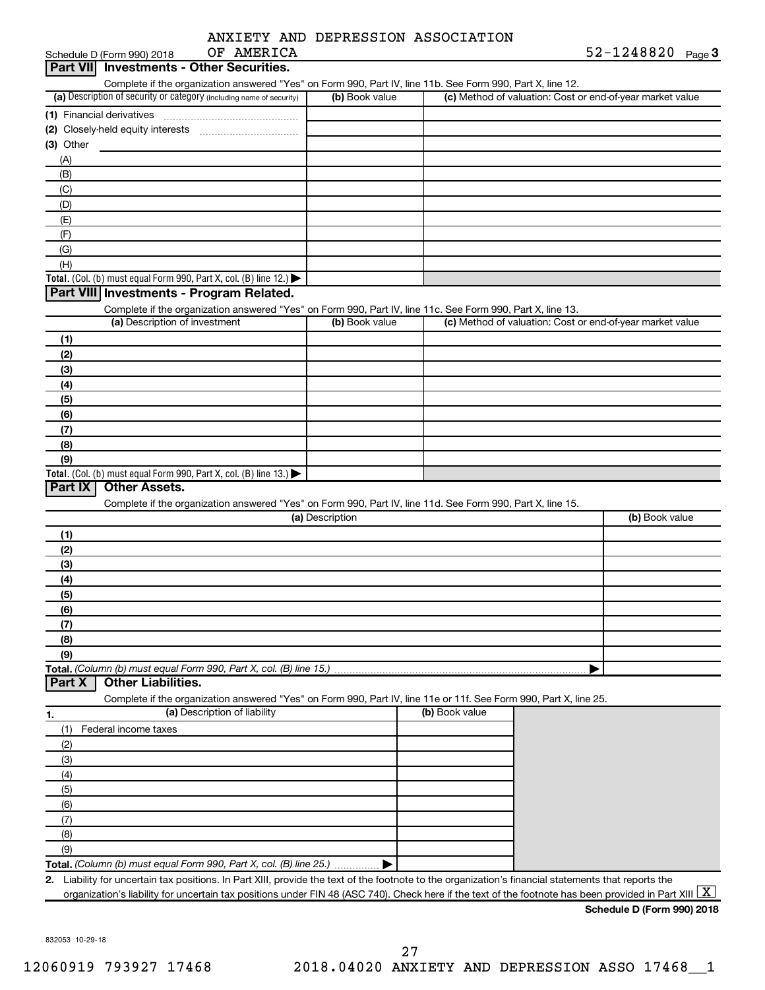|  | ANXIETY AND DEPRESSION ASSOCIATION |
|--|------------------------------------|
|  |                                    |

| OF AMERICA<br>Schedule D (Form 990) 2018                                                                                                             |                 |                | $52 - 1248820$ Page 3                                     |
|------------------------------------------------------------------------------------------------------------------------------------------------------|-----------------|----------------|-----------------------------------------------------------|
| Part VII Investments - Other Securities.                                                                                                             |                 |                |                                                           |
| Complete if the organization answered "Yes" on Form 990, Part IV, line 11b. See Form 990, Part X, line 12.                                           |                 |                |                                                           |
| (a) Description of security or category (including name of security)                                                                                 | (b) Book value  |                | (c) Method of valuation: Cost or end-of-year market value |
|                                                                                                                                                      |                 |                |                                                           |
|                                                                                                                                                      |                 |                |                                                           |
| $(3)$ Other                                                                                                                                          |                 |                |                                                           |
| (A)                                                                                                                                                  |                 |                |                                                           |
| (B)                                                                                                                                                  |                 |                |                                                           |
| (C)                                                                                                                                                  |                 |                |                                                           |
| (D)                                                                                                                                                  |                 |                |                                                           |
| (E)                                                                                                                                                  |                 |                |                                                           |
| (F)                                                                                                                                                  |                 |                |                                                           |
| (G)                                                                                                                                                  |                 |                |                                                           |
| (H)                                                                                                                                                  |                 |                |                                                           |
| Total. (Col. (b) must equal Form 990, Part X, col. (B) line 12.) $\blacktriangleright$                                                               |                 |                |                                                           |
| Part VIII Investments - Program Related.                                                                                                             |                 |                |                                                           |
| Complete if the organization answered "Yes" on Form 990, Part IV, line 11c. See Form 990, Part X, line 13.                                           |                 |                |                                                           |
| (a) Description of investment                                                                                                                        | (b) Book value  |                | (c) Method of valuation: Cost or end-of-year market value |
| (1)                                                                                                                                                  |                 |                |                                                           |
| (2)                                                                                                                                                  |                 |                |                                                           |
|                                                                                                                                                      |                 |                |                                                           |
| (3)                                                                                                                                                  |                 |                |                                                           |
| (4)                                                                                                                                                  |                 |                |                                                           |
| (5)                                                                                                                                                  |                 |                |                                                           |
| (6)                                                                                                                                                  |                 |                |                                                           |
| (7)                                                                                                                                                  |                 |                |                                                           |
| (8)                                                                                                                                                  |                 |                |                                                           |
| (9)                                                                                                                                                  |                 |                |                                                           |
| Total. (Col. (b) must equal Form 990, Part X, col. (B) line 13.) $\blacktriangleright$<br><b>Other Assets.</b>                                       |                 |                |                                                           |
| Part IX                                                                                                                                              |                 |                |                                                           |
| Complete if the organization answered "Yes" on Form 990, Part IV, line 11d. See Form 990, Part X, line 15.                                           |                 |                |                                                           |
|                                                                                                                                                      | (a) Description |                | (b) Book value                                            |
| (1)                                                                                                                                                  |                 |                |                                                           |
| (2)                                                                                                                                                  |                 |                |                                                           |
| (3)                                                                                                                                                  |                 |                |                                                           |
| (4)                                                                                                                                                  |                 |                |                                                           |
| (5)                                                                                                                                                  |                 |                |                                                           |
| (6)                                                                                                                                                  |                 |                |                                                           |
| (7)                                                                                                                                                  |                 |                |                                                           |
| (8)                                                                                                                                                  |                 |                |                                                           |
| (9)                                                                                                                                                  |                 |                |                                                           |
| Total. (Column (b) must equal Form 990, Part X, col. (B) line 15.)<br><b>Other Liabilities.</b><br>Part X                                            |                 |                |                                                           |
| Complete if the organization answered "Yes" on Form 990, Part IV, line 11e or 11f. See Form 990, Part X, line 25.                                    |                 |                |                                                           |
| (a) Description of liability<br>1.                                                                                                                   |                 | (b) Book value |                                                           |
| Federal income taxes<br>(1)                                                                                                                          |                 |                |                                                           |
| (2)                                                                                                                                                  |                 |                |                                                           |
| (3)                                                                                                                                                  |                 |                |                                                           |
| (4)                                                                                                                                                  |                 |                |                                                           |
| (5)                                                                                                                                                  |                 |                |                                                           |
| (6)                                                                                                                                                  |                 |                |                                                           |
| (7)                                                                                                                                                  |                 |                |                                                           |
| (8)                                                                                                                                                  |                 |                |                                                           |
| (9)                                                                                                                                                  |                 |                |                                                           |
| Total. (Column (b) must equal Form 990, Part X, col. (B) line 25.)                                                                                   |                 |                |                                                           |
| 2. Liability for uncertain tax positions. In Part XIII, provide the text of the footnote to the organization's financial statements that reports the |                 |                |                                                           |
| organization's liability for uncertain tax positions under FIN 48 (ASC 740). Check here if the text of the footnote has been provided in Part XIII   |                 |                | X<br>$1.1.5 \text{ N}$ (Ferma 000) 0040                   |

**Schedule D (Form 990) 2018**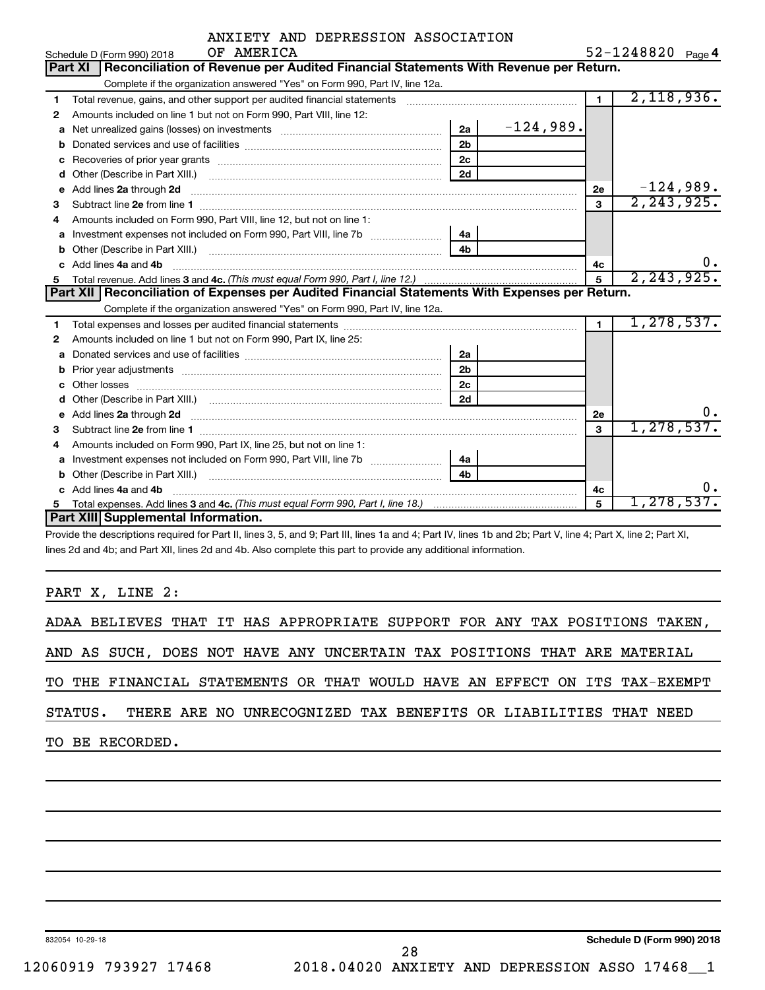|             |  | ANXIETY AND DEPRESSION ASSOCIATION |                |
|-------------|--|------------------------------------|----------------|
| גיז שהמאג ה |  |                                    | $52 - 1218820$ |

|              | Schedule D (Form 990) 2018<br>OF AMERICA                                                                       |                |             |                | 52-1248820<br>Page 4 |
|--------------|----------------------------------------------------------------------------------------------------------------|----------------|-------------|----------------|----------------------|
|              | Reconciliation of Revenue per Audited Financial Statements With Revenue per Return.<br><b>Part XI</b>          |                |             |                |                      |
|              | Complete if the organization answered "Yes" on Form 990, Part IV, line 12a.                                    |                |             |                |                      |
| 1.           | Total revenue, gains, and other support per audited financial statements                                       |                |             | $\blacksquare$ | 2,118,936.           |
| 2            | Amounts included on line 1 but not on Form 990, Part VIII, line 12:                                            |                |             |                |                      |
| a            |                                                                                                                | 2a             | $-124,989.$ |                |                      |
| b            |                                                                                                                | 2 <sub>b</sub> |             |                |                      |
| C            |                                                                                                                | 2c             |             |                |                      |
| d            |                                                                                                                | 2d             |             |                |                      |
| e            | Add lines 2a through 2d                                                                                        |                |             | 2e             | $-124,989.$          |
| 3            |                                                                                                                |                |             | 3              | 2, 243, 925.         |
| 4            | Amounts included on Form 990, Part VIII, line 12, but not on line 1:                                           |                |             |                |                      |
| a            |                                                                                                                | 4a             |             |                |                      |
| b            |                                                                                                                | 4 <sub>b</sub> |             |                |                      |
| <sub>c</sub> | Add lines 4a and 4b                                                                                            |                |             | 4c             | ο.                   |
|              |                                                                                                                |                |             | 5              | 2, 243, 925.         |
|              |                                                                                                                |                |             |                |                      |
|              | Part XII   Reconciliation of Expenses per Audited Financial Statements With Expenses per Return.               |                |             |                |                      |
|              | Complete if the organization answered "Yes" on Form 990, Part IV, line 12a.                                    |                |             |                |                      |
| 1            |                                                                                                                |                |             | $\blacksquare$ | 1, 278, 537.         |
| 2            | Amounts included on line 1 but not on Form 990, Part IX, line 25:                                              |                |             |                |                      |
| a            |                                                                                                                | 2a             |             |                |                      |
| b            | Prior year adjustments [ www.communications of the contract of the contract of the contract of the contract of | 2 <sub>b</sub> |             |                |                      |
| C            |                                                                                                                | 2c             |             |                |                      |
| d            |                                                                                                                | 2d             |             |                |                      |
| е            | Add lines 2a through 2d                                                                                        |                |             | 2e             | Ο.                   |
| 3            |                                                                                                                |                |             | 3              | 1, 278, 537.         |
| 4            | Amounts included on Form 990, Part IX, line 25, but not on line 1:                                             |                |             |                |                      |
| a            |                                                                                                                | 4a             |             |                |                      |
| b            |                                                                                                                | 4 <sub>h</sub> |             |                |                      |
|              | Add lines 4a and 4b                                                                                            |                |             | 4c             | ο.                   |
| 5            | Part XIII Supplemental Information.                                                                            |                |             | 5              | <u>1,278,537.</u>    |

Provide the descriptions required for Part II, lines 3, 5, and 9; Part III, lines 1a and 4; Part IV, lines 1b and 2b; Part V, line 4; Part X, line 2; Part XI, lines 2d and 4b; and Part XII, lines 2d and 4b. Also complete this part to provide any additional information.

PART X, LINE 2:

|  |                                                                          |  |  |  |  |  |  | ADAA BELIEVES THAT IT HAS APPROPRIATE SUPPORT FOR ANY TAX POSITIONS TAKEN, |
|--|--------------------------------------------------------------------------|--|--|--|--|--|--|----------------------------------------------------------------------------|
|  | AND AS SUCH, DOES NOT HAVE ANY UNCERTAIN TAX POSITIONS THAT ARE MATERIAL |  |  |  |  |  |  |                                                                            |
|  |                                                                          |  |  |  |  |  |  | TO THE FINANCIAL STATEMENTS OR THAT WOULD HAVE AN EFFECT ON ITS TAX-EXEMPT |
|  | STATUS. THERE ARE NO UNRECOGNIZED TAX BENEFITS OR LIABILITIES THAT NEED  |  |  |  |  |  |  |                                                                            |
|  | TO BE RECORDED.                                                          |  |  |  |  |  |  |                                                                            |
|  |                                                                          |  |  |  |  |  |  |                                                                            |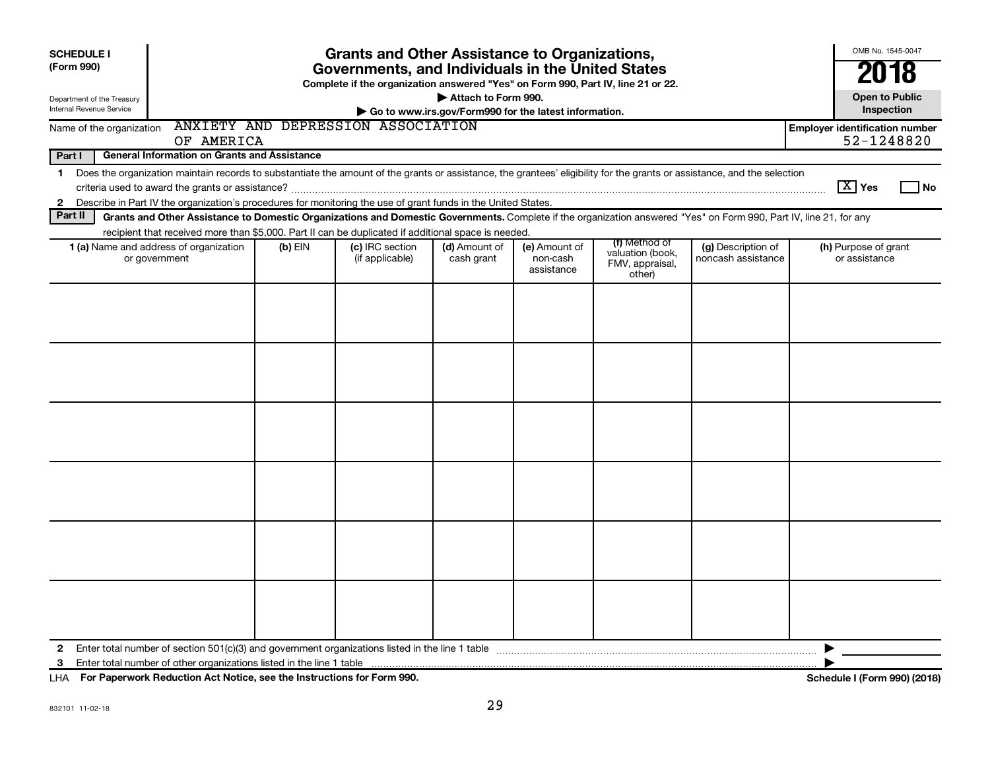| <b>SCHEDULE I</b><br>(Form 990)<br>Department of the Treasury                                                                                                                                                                                                                                                                            | <b>Grants and Other Assistance to Organizations,</b><br>Governments, and Individuals in the United States<br>Complete if the organization answered "Yes" on Form 990, Part IV, line 21 or 22.<br>Attach to Form 990.<br>Internal Revenue Service<br>Go to www.irs.gov/Form990 for the latest information. |           |                                    |                             |                                         |                                               |                                          |                                                     |  |  |
|------------------------------------------------------------------------------------------------------------------------------------------------------------------------------------------------------------------------------------------------------------------------------------------------------------------------------------------|-----------------------------------------------------------------------------------------------------------------------------------------------------------------------------------------------------------------------------------------------------------------------------------------------------------|-----------|------------------------------------|-----------------------------|-----------------------------------------|-----------------------------------------------|------------------------------------------|-----------------------------------------------------|--|--|
| Name of the organization                                                                                                                                                                                                                                                                                                                 |                                                                                                                                                                                                                                                                                                           |           | ANXIETY AND DEPRESSION ASSOCIATION |                             |                                         |                                               |                                          | Inspection<br><b>Employer identification number</b> |  |  |
| 52-1248820<br>OF AMERICA                                                                                                                                                                                                                                                                                                                 |                                                                                                                                                                                                                                                                                                           |           |                                    |                             |                                         |                                               |                                          |                                                     |  |  |
| Part I<br><b>General Information on Grants and Assistance</b>                                                                                                                                                                                                                                                                            |                                                                                                                                                                                                                                                                                                           |           |                                    |                             |                                         |                                               |                                          |                                                     |  |  |
| Does the organization maintain records to substantiate the amount of the grants or assistance, the grantees' eligibility for the grants or assistance, and the selection<br>1<br>$\boxed{\text{X}}$ Yes<br>Describe in Part IV the organization's procedures for monitoring the use of grant funds in the United States.<br>$\mathbf{2}$ |                                                                                                                                                                                                                                                                                                           |           |                                    |                             |                                         |                                               |                                          |                                                     |  |  |
| Part II                                                                                                                                                                                                                                                                                                                                  | Grants and Other Assistance to Domestic Organizations and Domestic Governments. Complete if the organization answered "Yes" on Form 990, Part IV, line 21, for any                                                                                                                                        |           |                                    |                             |                                         |                                               |                                          |                                                     |  |  |
|                                                                                                                                                                                                                                                                                                                                          | recipient that received more than \$5,000. Part II can be duplicated if additional space is needed.                                                                                                                                                                                                       |           |                                    |                             |                                         | (f) Method of                                 |                                          |                                                     |  |  |
|                                                                                                                                                                                                                                                                                                                                          | 1 (a) Name and address of organization<br>or government                                                                                                                                                                                                                                                   | $(b)$ EIN | (c) IRC section<br>(if applicable) | (d) Amount of<br>cash grant | (e) Amount of<br>non-cash<br>assistance | valuation (book,<br>FMV, appraisal,<br>other) | (g) Description of<br>noncash assistance | (h) Purpose of grant<br>or assistance               |  |  |
|                                                                                                                                                                                                                                                                                                                                          |                                                                                                                                                                                                                                                                                                           |           |                                    |                             |                                         |                                               |                                          |                                                     |  |  |
|                                                                                                                                                                                                                                                                                                                                          |                                                                                                                                                                                                                                                                                                           |           |                                    |                             |                                         |                                               |                                          |                                                     |  |  |
|                                                                                                                                                                                                                                                                                                                                          |                                                                                                                                                                                                                                                                                                           |           |                                    |                             |                                         |                                               |                                          |                                                     |  |  |
|                                                                                                                                                                                                                                                                                                                                          |                                                                                                                                                                                                                                                                                                           |           |                                    |                             |                                         |                                               |                                          |                                                     |  |  |
|                                                                                                                                                                                                                                                                                                                                          |                                                                                                                                                                                                                                                                                                           |           |                                    |                             |                                         |                                               |                                          |                                                     |  |  |
|                                                                                                                                                                                                                                                                                                                                          |                                                                                                                                                                                                                                                                                                           |           |                                    |                             |                                         |                                               |                                          |                                                     |  |  |
| $\mathbf{2}$<br>3                                                                                                                                                                                                                                                                                                                        | Enter total number of section 501(c)(3) and government organizations listed in the line 1 table                                                                                                                                                                                                           |           |                                    |                             |                                         |                                               |                                          |                                                     |  |  |

**For Paperwork Reduction Act Notice, see the Instructions for Form 990. Schedule I (Form 990) (2018)** LHA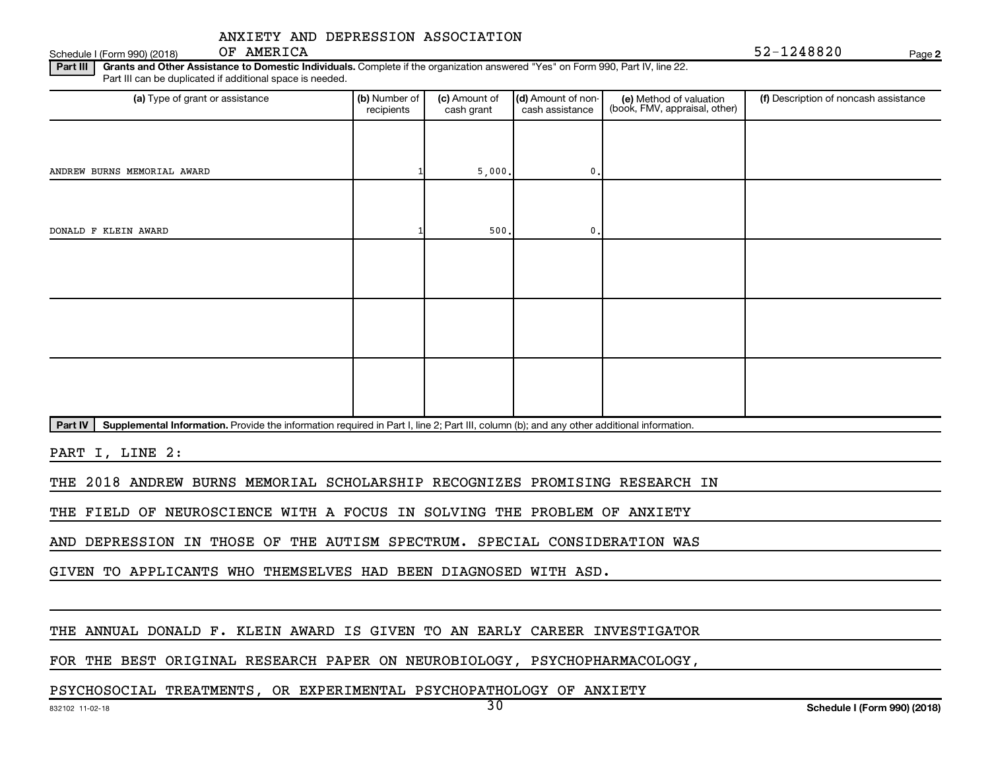Schedule I (Form 990) (2018) OF AMERICA

52-1248820

**2**

Part III | Grants and Other Assistance to Domestic Individuals. Complete if the organization answered "Yes" on Form 990, Part IV, line 22. Part III can be duplicated if additional space is needed.

| (a) Type of grant or assistance | (b) Number of<br>recipients | (c) Amount of<br>cash grant | (d) Amount of non-<br>cash assistance | (e) Method of valuation<br>(book, FMV, appraisal, other) | (f) Description of noncash assistance |
|---------------------------------|-----------------------------|-----------------------------|---------------------------------------|----------------------------------------------------------|---------------------------------------|
|                                 |                             |                             |                                       |                                                          |                                       |
| ANDREW BURNS MEMORIAL AWARD     |                             | 5,000.                      | $\mathbf{0}$ .                        |                                                          |                                       |
|                                 |                             |                             |                                       |                                                          |                                       |
| DONALD F KLEIN AWARD            |                             | 500.                        | $\mathbf{0}$ .                        |                                                          |                                       |
|                                 |                             |                             |                                       |                                                          |                                       |
|                                 |                             |                             |                                       |                                                          |                                       |
|                                 |                             |                             |                                       |                                                          |                                       |
|                                 |                             |                             |                                       |                                                          |                                       |
|                                 |                             |                             |                                       |                                                          |                                       |
|                                 |                             |                             |                                       |                                                          |                                       |

Part IV | Supplemental Information. Provide the information required in Part I, line 2; Part III, column (b); and any other additional information.

PART I, LINE 2:

THE 2018 ANDREW BURNS MEMORIAL SCHOLARSHIP RECOGNIZES PROMISING RESEARCH IN

THE FIELD OF NEUROSCIENCE WITH A FOCUS IN SOLVING THE PROBLEM OF ANXIETY

AND DEPRESSION IN THOSE OF THE AUTISM SPECTRUM. SPECIAL CONSIDERATION WAS

GIVEN TO APPLICANTS WHO THEMSELVES HAD BEEN DIAGNOSED WITH ASD.

### THE ANNUAL DONALD F. KLEIN AWARD IS GIVEN TO AN EARLY CAREER INVESTIGATOR

FOR THE BEST ORIGINAL RESEARCH PAPER ON NEUROBIOLOGY, PSYCHOPHARMACOLOGY,

### PSYCHOSOCIAL TREATMENTS, OR EXPERIMENTAL PSYCHOPATHOLOGY OF ANXIETY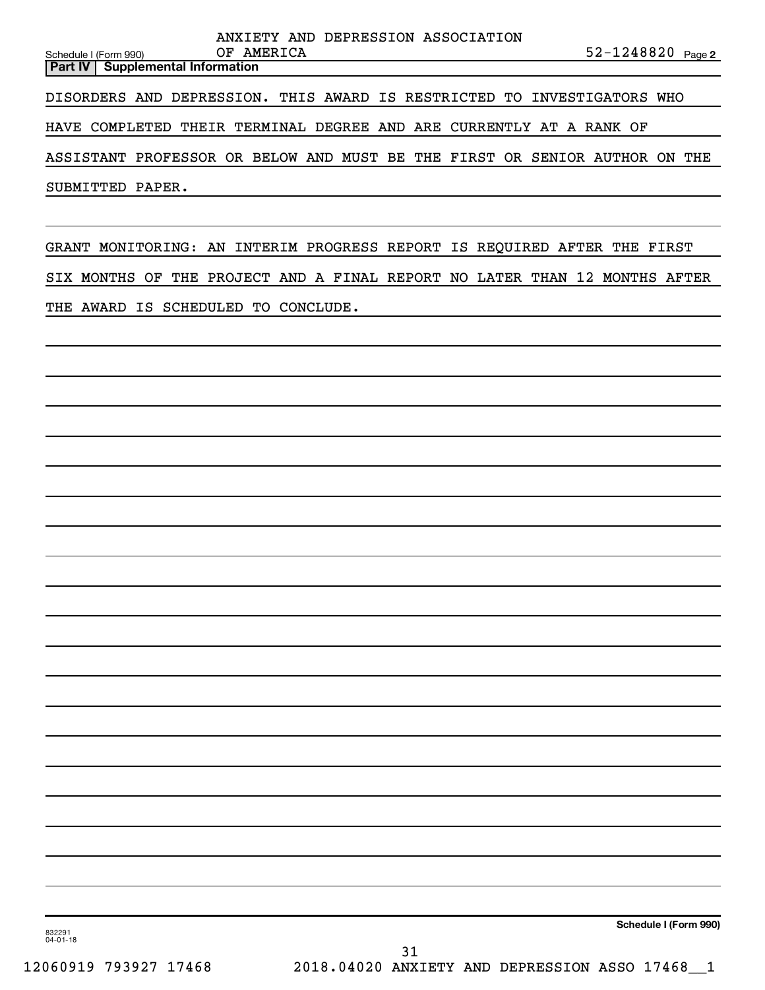| ANXIETY AND DEPRESSION ASSOCIATION<br>52-1248820 Page 2<br>OF AMERICA<br>Schedule I (Form 990) |
|------------------------------------------------------------------------------------------------|
| <b>Supplemental Information</b><br>Part IV                                                     |
| DISORDERS AND DEPRESSION. THIS AWARD IS RESTRICTED TO INVESTIGATORS WHO                        |
| HAVE COMPLETED THEIR TERMINAL DEGREE AND ARE CURRENTLY AT A RANK OF                            |
| ASSISTANT PROFESSOR OR BELOW AND MUST BE THE FIRST OR SENIOR AUTHOR ON THE                     |
| SUBMITTED PAPER.                                                                               |
|                                                                                                |
| GRANT MONITORING: AN INTERIM PROGRESS REPORT IS REQUIRED AFTER THE FIRST                       |
| SIX MONTHS OF THE PROJECT AND A FINAL REPORT NO LATER THAN 12 MONTHS AFTER                     |
| THE AWARD IS SCHEDULED TO CONCLUDE.                                                            |
|                                                                                                |
|                                                                                                |
|                                                                                                |
|                                                                                                |
|                                                                                                |
|                                                                                                |
|                                                                                                |
|                                                                                                |
|                                                                                                |
|                                                                                                |
|                                                                                                |
|                                                                                                |
|                                                                                                |
|                                                                                                |

832291 04-01-18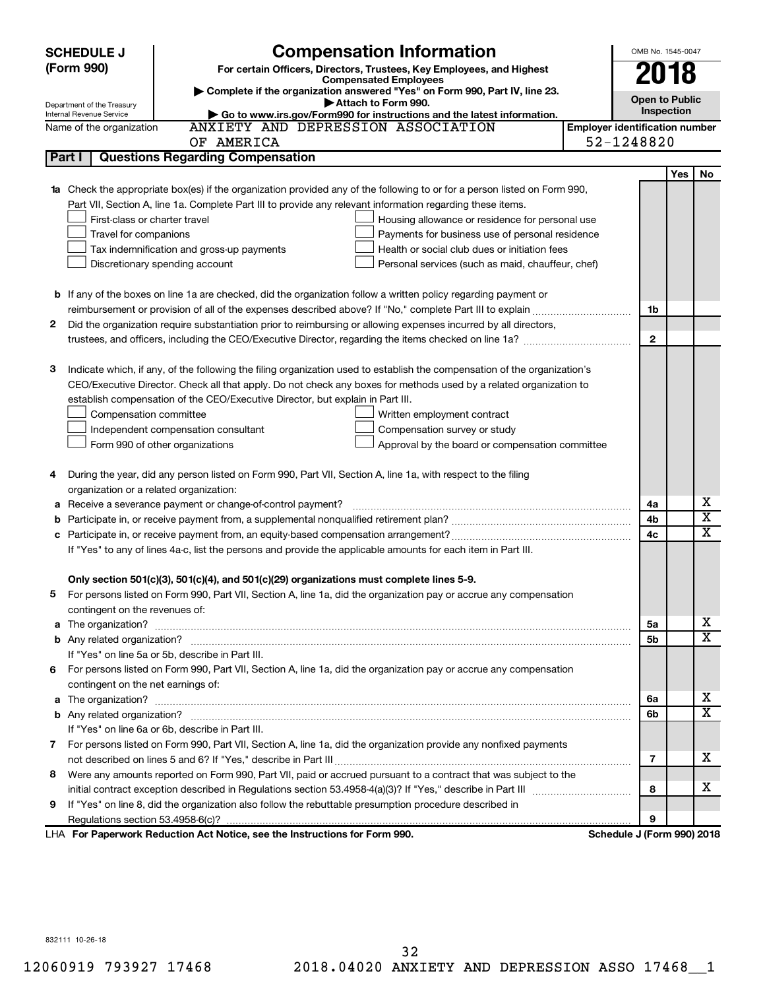|   | <b>SCHEDULE J</b>                                      | <b>Compensation Information</b>                                                                                                                                                                                                     |                                       | OMB No. 1545-0047          |     |             |
|---|--------------------------------------------------------|-------------------------------------------------------------------------------------------------------------------------------------------------------------------------------------------------------------------------------------|---------------------------------------|----------------------------|-----|-------------|
|   | (Form 990)                                             | For certain Officers, Directors, Trustees, Key Employees, and Highest                                                                                                                                                               |                                       | 2018                       |     |             |
|   |                                                        | <b>Compensated Employees</b>                                                                                                                                                                                                        |                                       |                            |     |             |
|   |                                                        | Complete if the organization answered "Yes" on Form 990, Part IV, line 23.<br>Attach to Form 990.                                                                                                                                   |                                       | <b>Open to Public</b>      |     |             |
|   | Department of the Treasury<br>Internal Revenue Service | Go to www.irs.gov/Form990 for instructions and the latest information.                                                                                                                                                              |                                       | Inspection                 |     |             |
|   | Name of the organization                               | ANXIETY AND DEPRESSION ASSOCIATION                                                                                                                                                                                                  | <b>Employer identification number</b> |                            |     |             |
|   |                                                        | OF AMERICA                                                                                                                                                                                                                          | 52-1248820                            |                            |     |             |
|   | Part I                                                 | <b>Questions Regarding Compensation</b>                                                                                                                                                                                             |                                       |                            |     |             |
|   |                                                        |                                                                                                                                                                                                                                     |                                       |                            | Yes | No          |
|   |                                                        | 1a Check the appropriate box(es) if the organization provided any of the following to or for a person listed on Form 990,                                                                                                           |                                       |                            |     |             |
|   |                                                        | Part VII, Section A, line 1a. Complete Part III to provide any relevant information regarding these items.                                                                                                                          |                                       |                            |     |             |
|   | First-class or charter travel                          | Housing allowance or residence for personal use                                                                                                                                                                                     |                                       |                            |     |             |
|   | Travel for companions                                  | Payments for business use of personal residence                                                                                                                                                                                     |                                       |                            |     |             |
|   |                                                        | Tax indemnification and gross-up payments<br>Health or social club dues or initiation fees                                                                                                                                          |                                       |                            |     |             |
|   |                                                        | Discretionary spending account<br>Personal services (such as maid, chauffeur, chef)                                                                                                                                                 |                                       |                            |     |             |
|   |                                                        |                                                                                                                                                                                                                                     |                                       |                            |     |             |
|   |                                                        | <b>b</b> If any of the boxes on line 1a are checked, did the organization follow a written policy regarding payment or                                                                                                              |                                       |                            |     |             |
|   |                                                        |                                                                                                                                                                                                                                     |                                       | 1b                         |     |             |
| 2 |                                                        | Did the organization require substantiation prior to reimbursing or allowing expenses incurred by all directors,                                                                                                                    |                                       |                            |     |             |
|   |                                                        |                                                                                                                                                                                                                                     |                                       | $\mathbf{2}$               |     |             |
|   |                                                        |                                                                                                                                                                                                                                     |                                       |                            |     |             |
| з |                                                        | Indicate which, if any, of the following the filing organization used to establish the compensation of the organization's                                                                                                           |                                       |                            |     |             |
|   |                                                        | CEO/Executive Director. Check all that apply. Do not check any boxes for methods used by a related organization to                                                                                                                  |                                       |                            |     |             |
|   |                                                        | establish compensation of the CEO/Executive Director, but explain in Part III.                                                                                                                                                      |                                       |                            |     |             |
|   | Compensation committee                                 | Written employment contract                                                                                                                                                                                                         |                                       |                            |     |             |
|   |                                                        | Independent compensation consultant<br>Compensation survey or study                                                                                                                                                                 |                                       |                            |     |             |
|   |                                                        | Form 990 of other organizations<br>Approval by the board or compensation committee                                                                                                                                                  |                                       |                            |     |             |
|   |                                                        |                                                                                                                                                                                                                                     |                                       |                            |     |             |
| 4 |                                                        | During the year, did any person listed on Form 990, Part VII, Section A, line 1a, with respect to the filing                                                                                                                        |                                       |                            |     |             |
|   | organization or a related organization:                |                                                                                                                                                                                                                                     |                                       |                            |     | х           |
| а |                                                        | Receive a severance payment or change-of-control payment?                                                                                                                                                                           |                                       | 4a                         |     | х           |
| b |                                                        |                                                                                                                                                                                                                                     |                                       | 4b                         |     | $\mathbf x$ |
| c |                                                        |                                                                                                                                                                                                                                     |                                       | 4c                         |     |             |
|   |                                                        | If "Yes" to any of lines 4a-c, list the persons and provide the applicable amounts for each item in Part III.                                                                                                                       |                                       |                            |     |             |
|   |                                                        | Only section 501(c)(3), 501(c)(4), and 501(c)(29) organizations must complete lines 5-9.                                                                                                                                            |                                       |                            |     |             |
|   |                                                        | For persons listed on Form 990, Part VII, Section A, line 1a, did the organization pay or accrue any compensation                                                                                                                   |                                       |                            |     |             |
|   | contingent on the revenues of:                         |                                                                                                                                                                                                                                     |                                       |                            |     |             |
|   |                                                        | a The organization? <b>contracts</b> and contracts are contracted and contract and contract and contract and contract and contract and contract and contract and contract and contract and contract and contract and contract and c |                                       | 5а                         |     | х           |
|   |                                                        |                                                                                                                                                                                                                                     |                                       | 5b                         |     | x           |
|   |                                                        | If "Yes" on line 5a or 5b, describe in Part III.                                                                                                                                                                                    |                                       |                            |     |             |
|   |                                                        | 6 For persons listed on Form 990, Part VII, Section A, line 1a, did the organization pay or accrue any compensation                                                                                                                 |                                       |                            |     |             |
|   | contingent on the net earnings of:                     |                                                                                                                                                                                                                                     |                                       |                            |     |             |
|   |                                                        |                                                                                                                                                                                                                                     |                                       | 6a                         |     | х           |
|   |                                                        |                                                                                                                                                                                                                                     |                                       | 6b                         |     | x           |
|   |                                                        | If "Yes" on line 6a or 6b, describe in Part III.                                                                                                                                                                                    |                                       |                            |     |             |
|   |                                                        | 7 For persons listed on Form 990, Part VII, Section A, line 1a, did the organization provide any nonfixed payments                                                                                                                  |                                       |                            |     |             |
|   |                                                        |                                                                                                                                                                                                                                     |                                       | 7                          |     | х           |
| 8 |                                                        | Were any amounts reported on Form 990, Part VII, paid or accrued pursuant to a contract that was subject to the                                                                                                                     |                                       |                            |     |             |
|   |                                                        |                                                                                                                                                                                                                                     |                                       | 8                          |     | х           |
| 9 |                                                        | If "Yes" on line 8, did the organization also follow the rebuttable presumption procedure described in                                                                                                                              |                                       |                            |     |             |
|   |                                                        |                                                                                                                                                                                                                                     |                                       | 9                          |     |             |
|   |                                                        | LHA For Paperwork Reduction Act Notice, see the Instructions for Form 990.                                                                                                                                                          |                                       | Schedule J (Form 990) 2018 |     |             |

832111 10-26-18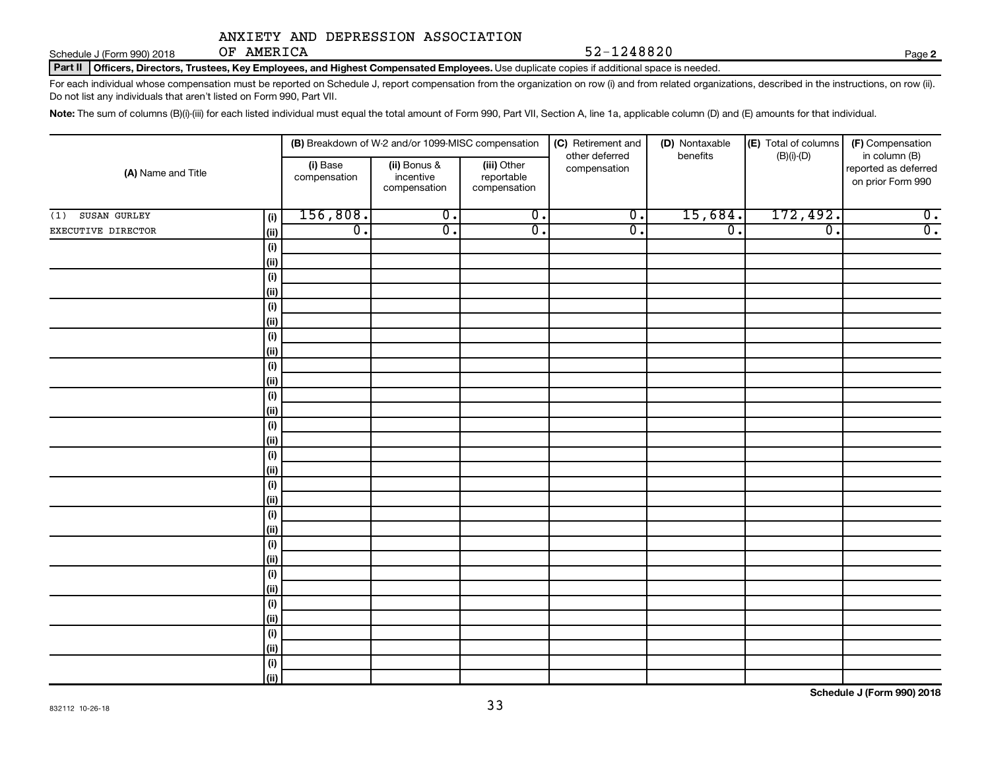Schedule J (Form 990) 2018 OF AMERICA

OF AMERICA 52-1248820

**2**

Part II | Officers, Directors, Trustees, Key Employees, and Highest Compensated Employees. Use duplicate copies if additional space is needed.

For each individual whose compensation must be reported on Schedule J, report compensation from the organization on row (i) and from related organizations, described in the instructions, on row (ii). Do not list any individuals that aren't listed on Form 990, Part VII.

Note: The sum of columns (B)(i)-(iii) for each listed individual must equal the total amount of Form 990, Part VII, Section A, line 1a, applicable column (D) and (E) amounts for that individual.

| (A) Name and Title  |             |                          | (B) Breakdown of W-2 and/or 1099-MISC compensation |                                           | (C) Retirement and             | (D) Nontaxable   | (E) Total of columns<br>(F) Compensation<br>benefits |                                                            |  |
|---------------------|-------------|--------------------------|----------------------------------------------------|-------------------------------------------|--------------------------------|------------------|------------------------------------------------------|------------------------------------------------------------|--|
|                     |             | (i) Base<br>compensation | (ii) Bonus &<br>incentive<br>compensation          | (iii) Other<br>reportable<br>compensation | other deferred<br>compensation |                  | $(B)(i)-(D)$                                         | in column (B)<br>reported as deferred<br>on prior Form 990 |  |
| SUSAN GURLEY<br>(1) | (i)         | 156,808.                 | $\overline{0}$ .                                   | $\overline{0}$ .                          | $\overline{0}$ .               | 15,684.          | 172,492.                                             | $\overline{0}$ .                                           |  |
| EXECUTIVE DIRECTOR  | (ii)        | $\overline{0}$ .         | $\overline{0}$ .                                   | $\overline{0}$ .                          | $\overline{0}$ .               | $\overline{0}$ . | $\overline{0}$ .                                     | $\overline{0}$ .                                           |  |
|                     | (i)         |                          |                                                    |                                           |                                |                  |                                                      |                                                            |  |
|                     | (ii)        |                          |                                                    |                                           |                                |                  |                                                      |                                                            |  |
|                     | (i)         |                          |                                                    |                                           |                                |                  |                                                      |                                                            |  |
|                     | (ii)        |                          |                                                    |                                           |                                |                  |                                                      |                                                            |  |
|                     | (i)         |                          |                                                    |                                           |                                |                  |                                                      |                                                            |  |
|                     | (ii)        |                          |                                                    |                                           |                                |                  |                                                      |                                                            |  |
|                     | (i)         |                          |                                                    |                                           |                                |                  |                                                      |                                                            |  |
|                     | (ii)        |                          |                                                    |                                           |                                |                  |                                                      |                                                            |  |
|                     | (i)         |                          |                                                    |                                           |                                |                  |                                                      |                                                            |  |
|                     | (ii)        |                          |                                                    |                                           |                                |                  |                                                      |                                                            |  |
|                     | (i)<br>(ii) |                          |                                                    |                                           |                                |                  |                                                      |                                                            |  |
|                     | (i)         |                          |                                                    |                                           |                                |                  |                                                      |                                                            |  |
|                     | (ii)        |                          |                                                    |                                           |                                |                  |                                                      |                                                            |  |
|                     | (i)         |                          |                                                    |                                           |                                |                  |                                                      |                                                            |  |
|                     | (ii)        |                          |                                                    |                                           |                                |                  |                                                      |                                                            |  |
|                     | (i)         |                          |                                                    |                                           |                                |                  |                                                      |                                                            |  |
|                     | (ii)        |                          |                                                    |                                           |                                |                  |                                                      |                                                            |  |
|                     | (i)         |                          |                                                    |                                           |                                |                  |                                                      |                                                            |  |
|                     | (ii)        |                          |                                                    |                                           |                                |                  |                                                      |                                                            |  |
|                     | (i)         |                          |                                                    |                                           |                                |                  |                                                      |                                                            |  |
|                     | (ii)        |                          |                                                    |                                           |                                |                  |                                                      |                                                            |  |
|                     | $(\sf{i})$  |                          |                                                    |                                           |                                |                  |                                                      |                                                            |  |
|                     | (ii)        |                          |                                                    |                                           |                                |                  |                                                      |                                                            |  |
|                     | (i)         |                          |                                                    |                                           |                                |                  |                                                      |                                                            |  |
|                     | (ii)        |                          |                                                    |                                           |                                |                  |                                                      |                                                            |  |
|                     | (i)         |                          |                                                    |                                           |                                |                  |                                                      |                                                            |  |
|                     | (ii)        |                          |                                                    |                                           |                                |                  |                                                      |                                                            |  |
|                     | (i)         |                          |                                                    |                                           |                                |                  |                                                      |                                                            |  |
|                     | (ii)        |                          |                                                    |                                           |                                |                  |                                                      |                                                            |  |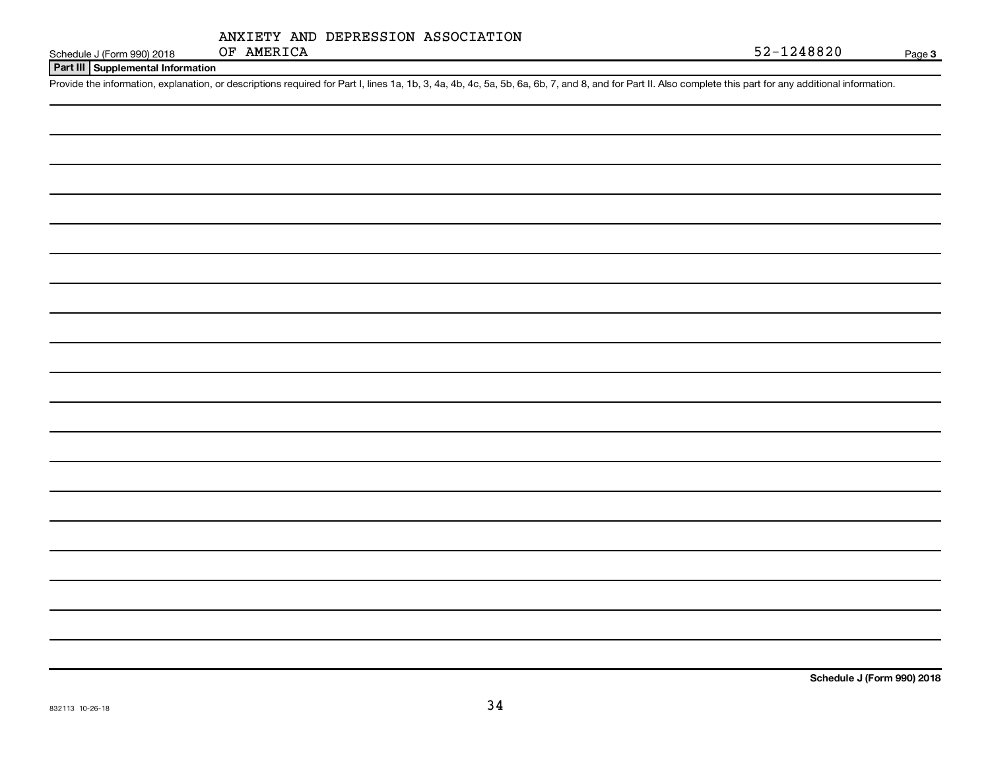|            |  | ANXIETY AND DEPRESSION ASSOCIATION |
|------------|--|------------------------------------|
| OF AMERICA |  |                                    |

Schedule J (Form 990) 2018 OF AMERICA 52-1248820

**Part III Supplemental Information**

Provide the information, explanation, or descriptions required for Part I, lines 1a, 1b, 3, 4a, 4b, 4c, 5a, 5b, 6a, 6b, 7, and 8, and for Part II. Also complete this part for any additional information.

**Schedule J (Form 990) 2018**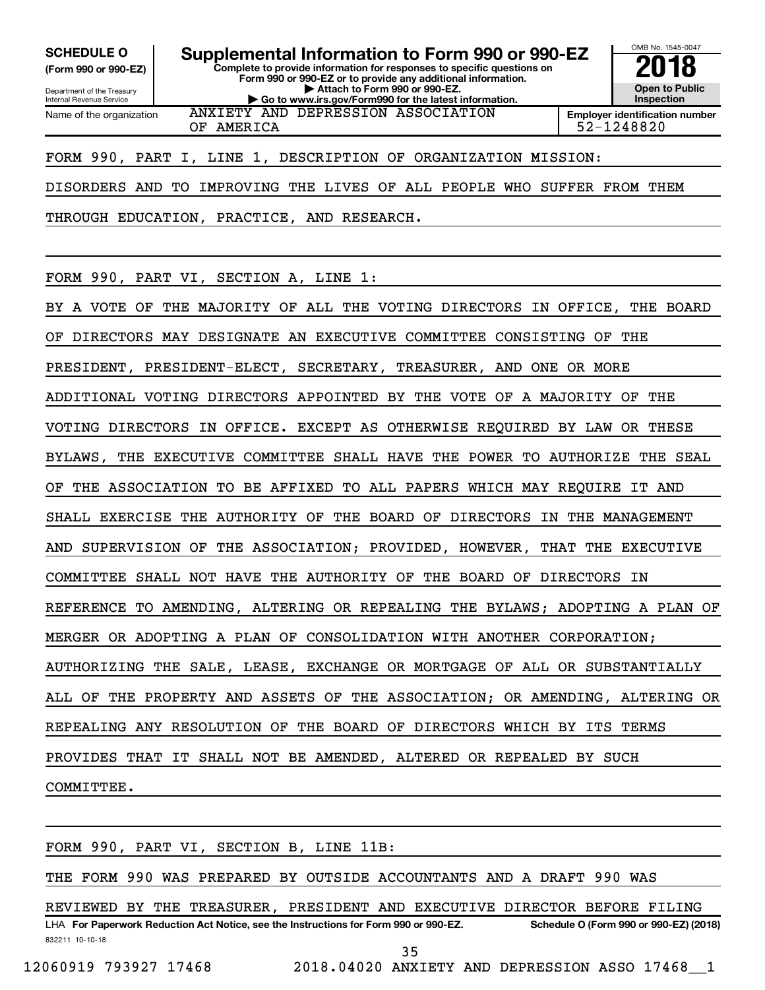**(Form 990 or 990-EZ)**

Name of the organization

Department of the Treasury Internal Revenue Service

**Form 990 or 990-EZ or to provide any additional information. | Attach to Form 990 or 990-EZ. | Go to www.irs.gov/Form990 for the latest information.** ANXIETY AND DEPRESSION ASSOCIATION

**Complete to provide information for responses to specific questions on**



OF AMERICA 52-1248820

FORM 990, PART I, LINE 1, DESCRIPTION OF ORGANIZATION MISSION:

DISORDERS AND TO IMPROVING THE LIVES OF ALL PEOPLE WHO SUFFER FROM THEM

THROUGH EDUCATION, PRACTICE, AND RESEARCH.

FORM 990, PART VI, SECTION A, LINE 1:

BY A VOTE OF THE MAJORITY OF ALL THE VOTING DIRECTORS IN OFFICE, THE BOARD OF DIRECTORS MAY DESIGNATE AN EXECUTIVE COMMITTEE CONSISTING OF THE PRESIDENT, PRESIDENT-ELECT, SECRETARY, TREASURER, AND ONE OR MORE ADDITIONAL VOTING DIRECTORS APPOINTED BY THE VOTE OF A MAJORITY OF THE VOTING DIRECTORS IN OFFICE. EXCEPT AS OTHERWISE REQUIRED BY LAW OR THESE BYLAWS, THE EXECUTIVE COMMITTEE SHALL HAVE THE POWER TO AUTHORIZE THE SEAL OF THE ASSOCIATION TO BE AFFIXED TO ALL PAPERS WHICH MAY REQUIRE IT AND SHALL EXERCISE THE AUTHORITY OF THE BOARD OF DIRECTORS IN THE MANAGEMENT AND SUPERVISION OF THE ASSOCIATION; PROVIDED, HOWEVER, THAT THE EXECUTIVE COMMITTEE SHALL NOT HAVE THE AUTHORITY OF THE BOARD OF DIRECTORS IN REFERENCE TO AMENDING, ALTERING OR REPEALING THE BYLAWS; ADOPTING A PLAN OF MERGER OR ADOPTING A PLAN OF CONSOLIDATION WITH ANOTHER CORPORATION; AUTHORIZING THE SALE, LEASE, EXCHANGE OR MORTGAGE OF ALL OR SUBSTANTIALLY ALL OF THE PROPERTY AND ASSETS OF THE ASSOCIATION; OR AMENDING, ALTERING OR REPEALING ANY RESOLUTION OF THE BOARD OF DIRECTORS WHICH BY ITS TERMS PROVIDES THAT IT SHALL NOT BE AMENDED, ALTERED OR REPEALED BY SUCH COMMITTEE.

832211 10-10-18 LHA For Paperwork Reduction Act Notice, see the Instructions for Form 990 or 990-EZ. Schedule O (Form 990 or 990-EZ) (2018) FORM 990, PART VI, SECTION B, LINE 11B: THE FORM 990 WAS PREPARED BY OUTSIDE ACCOUNTANTS AND A DRAFT 990 WAS REVIEWED BY THE TREASURER, PRESIDENT AND EXECUTIVE DIRECTOR BEFORE FILING 35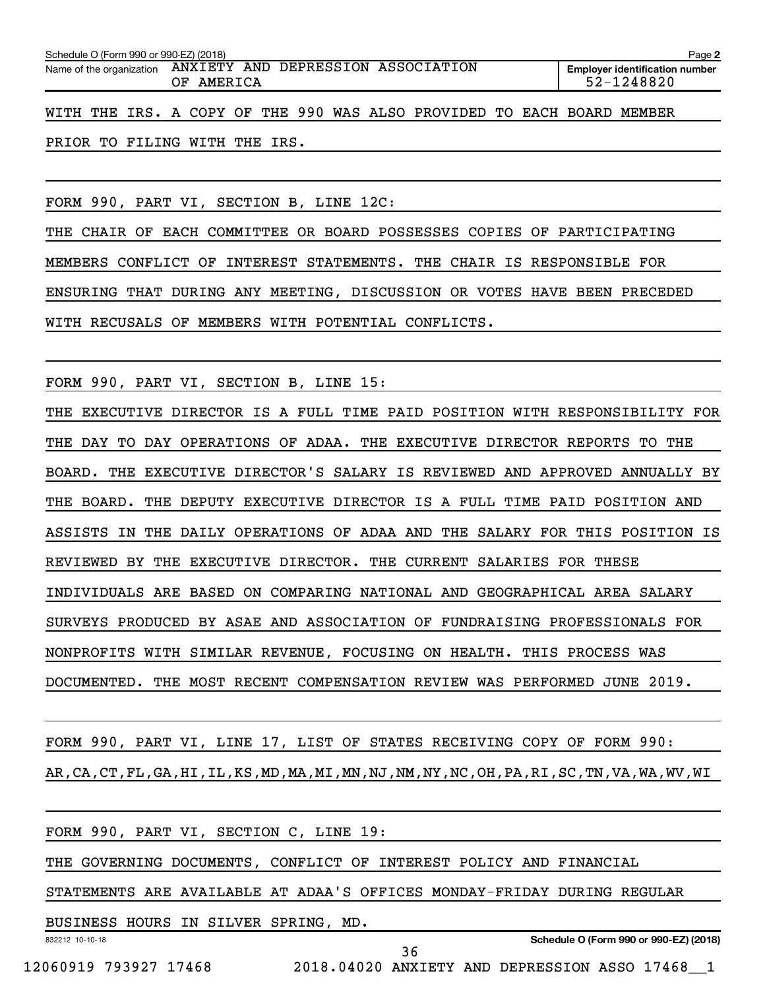| Schedule O (Form 990 or 990-EZ) (2018)<br>Page 2            |                                                                        |  |  |  |  |  |  |  |  |
|-------------------------------------------------------------|------------------------------------------------------------------------|--|--|--|--|--|--|--|--|
| Name of the organization ANXIETY AND DEPRESSION ASSOCIATION | <b>Employer identification number</b><br>52-1248820                    |  |  |  |  |  |  |  |  |
|                                                             | WITH THE IRS. A COPY OF THE 990 WAS ALSO PROVIDED TO EACH BOARD MEMBER |  |  |  |  |  |  |  |  |

PRIOR TO FILING WITH THE IRS.

FORM 990, PART VI, SECTION B, LINE 12C:

THE CHAIR OF EACH COMMITTEE OR BOARD POSSESSES COPIES OF PARTICIPATING MEMBERS CONFLICT OF INTEREST STATEMENTS. THE CHAIR IS RESPONSIBLE FOR ENSURING THAT DURING ANY MEETING, DISCUSSION OR VOTES HAVE BEEN PRECEDED WITH RECUSALS OF MEMBERS WITH POTENTIAL CONFLICTS.

FORM 990, PART VI, SECTION B, LINE 15:

THE EXECUTIVE DIRECTOR IS A FULL TIME PAID POSITION WITH RESPONSIBILITY FOR THE DAY TO DAY OPERATIONS OF ADAA. THE EXECUTIVE DIRECTOR REPORTS TO THE BOARD. THE EXECUTIVE DIRECTOR'S SALARY IS REVIEWED AND APPROVED ANNUALLY BY THE BOARD. THE DEPUTY EXECUTIVE DIRECTOR IS A FULL TIME PAID POSITION AND ASSISTS IN THE DAILY OPERATIONS OF ADAA AND THE SALARY FOR THIS POSITION IS REVIEWED BY THE EXECUTIVE DIRECTOR. THE CURRENT SALARIES FOR THESE INDIVIDUALS ARE BASED ON COMPARING NATIONAL AND GEOGRAPHICAL AREA SALARY SURVEYS PRODUCED BY ASAE AND ASSOCIATION OF FUNDRAISING PROFESSIONALS FOR NONPROFITS WITH SIMILAR REVENUE, FOCUSING ON HEALTH. THIS PROCESS WAS DOCUMENTED. THE MOST RECENT COMPENSATION REVIEW WAS PERFORMED JUNE 2019.

FORM 990, PART VI, LINE 17, LIST OF STATES RECEIVING COPY OF FORM 990: AR,CA,CT,FL,GA,HI,IL,KS,MD,MA,MI,MN,NJ,NM,NY,NC,OH,PA,RI,SC,TN,VA,WA,WV,WI

|                                      | FORM 990, PART VI, SECTION C, LINE 19:                                  |    |                                        |
|--------------------------------------|-------------------------------------------------------------------------|----|----------------------------------------|
|                                      | THE GOVERNING DOCUMENTS, CONFLICT OF INTEREST POLICY AND FINANCIAL      |    |                                        |
|                                      | STATEMENTS ARE AVAILABLE AT ADAA'S OFFICES MONDAY-FRIDAY DURING REGULAR |    |                                        |
| BUSINESS HOURS IN SILVER SPRING, MD. |                                                                         |    |                                        |
| 832212 10-10-18                      |                                                                         | 36 | Schedule O (Form 990 or 990-EZ) (2018) |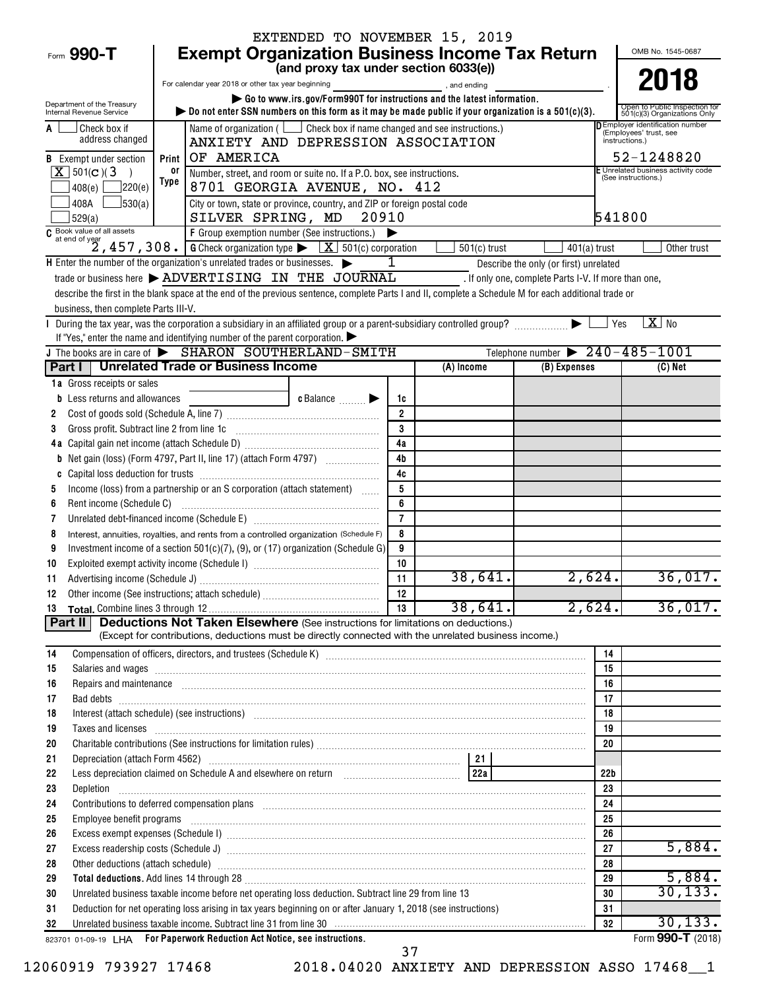|                                                        |                                                                                                                                                                                                                                      | EXTENDED TO NOVEMBER 15, 2019                                                                                |                                          |                |                                                                                                |                                                               |  |  |  |  |
|--------------------------------------------------------|--------------------------------------------------------------------------------------------------------------------------------------------------------------------------------------------------------------------------------------|--------------------------------------------------------------------------------------------------------------|------------------------------------------|----------------|------------------------------------------------------------------------------------------------|---------------------------------------------------------------|--|--|--|--|
| Form 990-T                                             | <b>Exempt Organization Business Income Tax Return</b>                                                                                                                                                                                |                                                                                                              |                                          |                |                                                                                                | OMB No. 1545-0687                                             |  |  |  |  |
|                                                        |                                                                                                                                                                                                                                      | (and proxy tax under section 6033(e))                                                                        |                                          |                |                                                                                                |                                                               |  |  |  |  |
|                                                        | For calendar year 2018 or other tax year beginning                                                                                                                                                                                   |                                                                                                              |                                          | and ending,    |                                                                                                | 2018                                                          |  |  |  |  |
| Department of the Treasury<br>Internal Revenue Service | bo not enter SSN numbers on this form as it may be made public if your organization is a $501(c)(3)$ .                                                                                                                               | Go to www.irs.gov/Form990T for instructions and the latest information.                                      |                                          |                |                                                                                                | Open to Public Inspection for<br>501(c)(3) Organizations Only |  |  |  |  |
| Check box if                                           |                                                                                                                                                                                                                                      | Name of organization ( $\Box$ Check box if name changed and see instructions.)                               |                                          |                |                                                                                                | <b>DEmployer identification number</b>                        |  |  |  |  |
| address changed                                        | ANXIETY AND DEPRESSION ASSOCIATION                                                                                                                                                                                                   |                                                                                                              | (Employees' trust, see<br>instructions.) |                |                                                                                                |                                                               |  |  |  |  |
| <b>B</b> Exempt under section                          | OF AMERICA<br>Print                                                                                                                                                                                                                  |                                                                                                              |                                          |                |                                                                                                |                                                               |  |  |  |  |
| $X$ 501(c)(3)                                          | or                                                                                                                                                                                                                                   | E Unrelated business activity code<br>Number, street, and room or suite no. If a P.O. box, see instructions. |                                          |                |                                                                                                |                                                               |  |  |  |  |
| 220(e) <br>408(e)                                      | Type                                                                                                                                                                                                                                 | 8701 GEORGIA AVENUE, NO. 412                                                                                 |                                          |                |                                                                                                | (See instructions.)                                           |  |  |  |  |
| 408A<br>J530(a)                                        |                                                                                                                                                                                                                                      | City or town, state or province, country, and ZIP or foreign postal code                                     |                                          |                |                                                                                                |                                                               |  |  |  |  |
| 529(a)                                                 | SILVER SPRING, MD                                                                                                                                                                                                                    | 20910                                                                                                        |                                          |                |                                                                                                | 541800                                                        |  |  |  |  |
|                                                        |                                                                                                                                                                                                                                      |                                                                                                              |                                          |                |                                                                                                |                                                               |  |  |  |  |
|                                                        | H Enter the number of the organization's unrelated trades or businesses.                                                                                                                                                             |                                                                                                              | 1                                        | $501(c)$ trust | $401(a)$ trust                                                                                 | Other trust                                                   |  |  |  |  |
|                                                        | trade or business here > ADVERTISING IN THE JOURNAL                                                                                                                                                                                  |                                                                                                              |                                          |                | Describe the only (or first) unrelated<br>. If only one, complete Parts I-V. If more than one, |                                                               |  |  |  |  |
|                                                        | describe the first in the blank space at the end of the previous sentence, complete Parts I and II, complete a Schedule M for each additional trade or                                                                               |                                                                                                              |                                          |                |                                                                                                |                                                               |  |  |  |  |
| business, then complete Parts III-V.                   |                                                                                                                                                                                                                                      |                                                                                                              |                                          |                |                                                                                                |                                                               |  |  |  |  |
|                                                        |                                                                                                                                                                                                                                      |                                                                                                              |                                          |                |                                                                                                | $\overline{X}$ No<br>Yes                                      |  |  |  |  |
|                                                        | If "Yes," enter the name and identifying number of the parent corporation. $\blacktriangleright$                                                                                                                                     |                                                                                                              |                                          |                |                                                                                                |                                                               |  |  |  |  |
|                                                        | J The books are in care of $\triangleright$ SHARON SOUTHERLAND-SMITH                                                                                                                                                                 |                                                                                                              |                                          |                | Telephone number $\triangleright$ 240 - 485 - 1001                                             |                                                               |  |  |  |  |
|                                                        | Part I   Unrelated Trade or Business Income                                                                                                                                                                                          |                                                                                                              |                                          | (A) Income     | (B) Expenses                                                                                   | $(C)$ Net                                                     |  |  |  |  |
| 1a Gross receipts or sales                             |                                                                                                                                                                                                                                      |                                                                                                              |                                          |                |                                                                                                |                                                               |  |  |  |  |
| <b>b</b> Less returns and allowances                   |                                                                                                                                                                                                                                      | c Balance                                                                                                    | 1c                                       |                |                                                                                                |                                                               |  |  |  |  |
| 2                                                      |                                                                                                                                                                                                                                      |                                                                                                              | $\overline{2}$                           |                |                                                                                                |                                                               |  |  |  |  |
| 3                                                      |                                                                                                                                                                                                                                      |                                                                                                              | 3<br>4a                                  |                |                                                                                                |                                                               |  |  |  |  |
| b                                                      | Net gain (loss) (Form 4797, Part II, line 17) (attach Form 4797)                                                                                                                                                                     |                                                                                                              | 4 <sub>b</sub>                           |                |                                                                                                |                                                               |  |  |  |  |
| C                                                      |                                                                                                                                                                                                                                      |                                                                                                              | 4c                                       |                |                                                                                                |                                                               |  |  |  |  |
| 5                                                      | Income (loss) from a partnership or an S corporation (attach statement)                                                                                                                                                              |                                                                                                              | 5                                        |                |                                                                                                |                                                               |  |  |  |  |
| 6                                                      |                                                                                                                                                                                                                                      |                                                                                                              | 6                                        |                |                                                                                                |                                                               |  |  |  |  |
| 7                                                      |                                                                                                                                                                                                                                      |                                                                                                              | $\overline{7}$                           |                |                                                                                                |                                                               |  |  |  |  |
| 8                                                      | Interest, annuities, royalties, and rents from a controlled organization (Schedule F)                                                                                                                                                |                                                                                                              | 8                                        |                |                                                                                                |                                                               |  |  |  |  |
| 9                                                      | Investment income of a section $501(c)(7)$ , (9), or (17) organization (Schedule G)                                                                                                                                                  |                                                                                                              | 9                                        |                |                                                                                                |                                                               |  |  |  |  |
| 10                                                     |                                                                                                                                                                                                                                      |                                                                                                              | 10                                       |                |                                                                                                |                                                               |  |  |  |  |
| 11                                                     |                                                                                                                                                                                                                                      |                                                                                                              | $\overline{11}$                          | 38,641.        | 2,624.                                                                                         | 36,017.                                                       |  |  |  |  |
| 12                                                     |                                                                                                                                                                                                                                      |                                                                                                              | 12                                       |                | 2,624.                                                                                         |                                                               |  |  |  |  |
| 13<br>Part II                                          | <b>Deductions Not Taken Elsewhere</b> (See instructions for limitations on deductions.)                                                                                                                                              |                                                                                                              | 13                                       | 38,641.        |                                                                                                | 36,017.                                                       |  |  |  |  |
|                                                        | (Except for contributions, deductions must be directly connected with the unrelated business income.)                                                                                                                                |                                                                                                              |                                          |                |                                                                                                |                                                               |  |  |  |  |
| 14                                                     |                                                                                                                                                                                                                                      |                                                                                                              |                                          |                | 14                                                                                             |                                                               |  |  |  |  |
| 15                                                     | Salaries and wages information contains and contained a state of the state of the state of the state of the state of the state of the state of the state of the state of the state of the state of the state of the state of t       |                                                                                                              |                                          |                | 15                                                                                             |                                                               |  |  |  |  |
| 16                                                     | Repairs and maintenance measurements are accommodated and maintenance measurements and maintenance measurement                                                                                                                       |                                                                                                              |                                          |                | 16                                                                                             |                                                               |  |  |  |  |
| 17                                                     |                                                                                                                                                                                                                                      |                                                                                                              |                                          |                | 17                                                                                             |                                                               |  |  |  |  |
| 18                                                     | Interest (attach schedule) (see instructions) www.communications.communications are interest (attach schedule)                                                                                                                       |                                                                                                              |                                          |                | 18                                                                                             |                                                               |  |  |  |  |
| 19                                                     | Taxes and licenses <b>contract the contract of the contract of the contract of the contract of the contract of the contract of the contract of the contract of the contract of the contract of the contract of the contract of t</b> |                                                                                                              |                                          |                | 19                                                                                             |                                                               |  |  |  |  |
| 20                                                     |                                                                                                                                                                                                                                      |                                                                                                              |                                          |                | 20                                                                                             |                                                               |  |  |  |  |
| 21                                                     |                                                                                                                                                                                                                                      |                                                                                                              |                                          |                |                                                                                                |                                                               |  |  |  |  |
| 22<br>23                                               | Less depreciation claimed on Schedule A and elsewhere on return [1, 1, 1, 1, 1, 1, 1, 1, 1, 1, 22a                                                                                                                                   |                                                                                                              |                                          |                | 22b<br>23                                                                                      |                                                               |  |  |  |  |
| 24                                                     |                                                                                                                                                                                                                                      |                                                                                                              |                                          |                | 24                                                                                             |                                                               |  |  |  |  |
| 25                                                     | Employee benefit programs in the continuum contract of the contract of the contract of the contract of the contract of the contract of the contract of the contract of the contract of the contract of the contract of the con       |                                                                                                              |                                          |                | 25                                                                                             |                                                               |  |  |  |  |
| 26                                                     | Excess exempt expenses (Schedule I) www.assemicrocommunications.communications.com                                                                                                                                                   |                                                                                                              |                                          |                | 26                                                                                             |                                                               |  |  |  |  |
| 27                                                     |                                                                                                                                                                                                                                      |                                                                                                              |                                          |                | 27                                                                                             | 5,884.                                                        |  |  |  |  |
| 28                                                     | Other deductions (attach schedule) www.communications.communications.communications.com                                                                                                                                              |                                                                                                              |                                          |                | 28                                                                                             |                                                               |  |  |  |  |
| 29                                                     | Total deductions. Add lines 14 through 28 [11] manufactures in the contract of the contract of the contract of the contract of the contract of the contract of the contract of the contract of the contract of the contract of       |                                                                                                              |                                          |                | 29                                                                                             | 5,884.                                                        |  |  |  |  |
| 30                                                     | Unrelated business taxable income before net operating loss deduction. Subtract line 29 from line 13                                                                                                                                 |                                                                                                              |                                          |                | 30                                                                                             | 30, 133.                                                      |  |  |  |  |
| 31                                                     | Deduction for net operating loss arising in tax years beginning on or after January 1, 2018 (see instructions)                                                                                                                       |                                                                                                              |                                          |                | 31                                                                                             |                                                               |  |  |  |  |
| 32                                                     | Unrelated business taxable income. Subtract line 31 from line 30 manufactured contains and contained business taxable income. Subtract line 31 from line 30 manufactured contains and the United States of the United States a       |                                                                                                              |                                          |                | 32                                                                                             | 30, 133.                                                      |  |  |  |  |
|                                                        | 823701 01-09-19 LHA For Paperwork Reduction Act Notice, see instructions.                                                                                                                                                            |                                                                                                              |                                          |                |                                                                                                | Form 990-T (2018)                                             |  |  |  |  |

12060919 793927 17468 2018.04020 ANXIETY AND DEPRESSION ASSO 17468\_\_1

37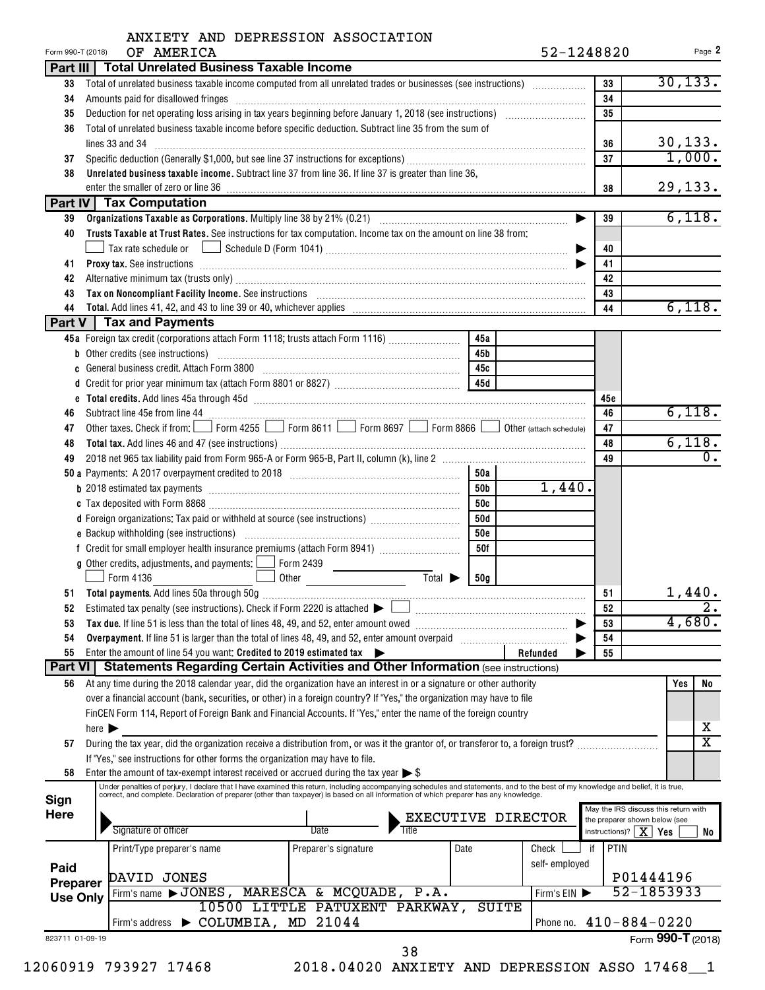|                                                     | OF AMERICA<br>Form 990-T (2018)                                                                                                                                                                                                                                                                                           |                                |                    |            | 52-1248820         |                        | Page 2                               |  |  |  |
|-----------------------------------------------------|---------------------------------------------------------------------------------------------------------------------------------------------------------------------------------------------------------------------------------------------------------------------------------------------------------------------------|--------------------------------|--------------------|------------|--------------------|------------------------|--------------------------------------|--|--|--|
|                                                     | Part III   Total Unrelated Business Taxable Income                                                                                                                                                                                                                                                                        |                                |                    |            |                    |                        |                                      |  |  |  |
| 33                                                  | Total of unrelated business taxable income computed from all unrelated trades or businesses (see instructions)                                                                                                                                                                                                            |                                |                    |            |                    | 33                     | 30, 133.                             |  |  |  |
| 34                                                  | Amounts paid for disallowed fringes [11] Amount and the contract of the final state of the state of the state of the state of the state of the state of the state of the state of the state of the state of the state of the s                                                                                            |                                |                    |            |                    | 34                     |                                      |  |  |  |
| 35                                                  |                                                                                                                                                                                                                                                                                                                           |                                |                    |            |                    | 35                     |                                      |  |  |  |
| 36                                                  | Total of unrelated business taxable income before specific deduction. Subtract line 35 from the sum of                                                                                                                                                                                                                    |                                |                    |            |                    |                        |                                      |  |  |  |
|                                                     | lines 33 and 34                                                                                                                                                                                                                                                                                                           | 36                             | 30, 133.<br>1,000. |            |                    |                        |                                      |  |  |  |
| 37                                                  |                                                                                                                                                                                                                                                                                                                           | 37                             |                    |            |                    |                        |                                      |  |  |  |
| 38                                                  | Unrelated business taxable income. Subtract line 37 from line 36. If line 37 is greater than line 36,                                                                                                                                                                                                                     |                                |                    |            |                    |                        |                                      |  |  |  |
|                                                     |                                                                                                                                                                                                                                                                                                                           |                                |                    |            |                    | 38                     | 29,133.                              |  |  |  |
|                                                     | Part IV   Tax Computation                                                                                                                                                                                                                                                                                                 |                                |                    |            |                    |                        |                                      |  |  |  |
| 39                                                  |                                                                                                                                                                                                                                                                                                                           |                                |                    |            | ▶                  | 39                     | 6,118.                               |  |  |  |
| 40                                                  | Trusts Taxable at Trust Rates. See instructions for tax computation. Income tax on the amount on line 38 from:                                                                                                                                                                                                            |                                |                    |            |                    |                        |                                      |  |  |  |
|                                                     |                                                                                                                                                                                                                                                                                                                           |                                |                    |            |                    | 40                     |                                      |  |  |  |
| 41                                                  | Proxy tax. See instructions information and contact the contract of the contract of the contract of the contract of the contract of the contract of the contract of the contract of the contract of the contract of the contra                                                                                            |                                |                    |            |                    | 41                     |                                      |  |  |  |
| 42                                                  | Alternative minimum tax (trusts only) manufactured and an according to the state of the state of the state only                                                                                                                                                                                                           |                                |                    |            |                    | 42                     |                                      |  |  |  |
| 43                                                  | Tax on Noncompliant Facility Income. See instructions [11] Martin Matter and Martin Matter and Martin Matter and Ma                                                                                                                                                                                                       |                                |                    |            |                    | 43                     |                                      |  |  |  |
| 44                                                  |                                                                                                                                                                                                                                                                                                                           |                                |                    |            |                    | 44                     | 6,118.                               |  |  |  |
|                                                     | Part V   Tax and Payments                                                                                                                                                                                                                                                                                                 |                                |                    |            |                    |                        |                                      |  |  |  |
|                                                     | 45a Foreign tax credit (corporations attach Form 1118; trusts attach Form 1116)                                                                                                                                                                                                                                           |                                |                    | 45a        |                    |                        |                                      |  |  |  |
|                                                     |                                                                                                                                                                                                                                                                                                                           |                                |                    | 45b        |                    |                        |                                      |  |  |  |
|                                                     | c General business credit. Attach Form 3800 [11] [11] Contract Contract Contract Contract Contract Contract Co                                                                                                                                                                                                            |                                |                    | 45с        |                    |                        |                                      |  |  |  |
|                                                     |                                                                                                                                                                                                                                                                                                                           |                                |                    |            |                    |                        |                                      |  |  |  |
| e                                                   |                                                                                                                                                                                                                                                                                                                           |                                |                    |            |                    | 45c                    |                                      |  |  |  |
| 46                                                  | Subtract line 45e from line 44                                                                                                                                                                                                                                                                                            |                                |                    |            |                    | 46                     | 6,118.                               |  |  |  |
| 47                                                  | Other taxes. Check if from: Form 4255 Form 8611 Form 8697 Form 8866 Other (attach schedule)                                                                                                                                                                                                                               |                                |                    |            |                    | 47                     |                                      |  |  |  |
| 48                                                  |                                                                                                                                                                                                                                                                                                                           |                                |                    |            |                    | 48                     | 6,118.                               |  |  |  |
| 49                                                  |                                                                                                                                                                                                                                                                                                                           |                                |                    |            |                    | 49                     | $0$ .                                |  |  |  |
|                                                     |                                                                                                                                                                                                                                                                                                                           |                                |                    | 50a        |                    |                        |                                      |  |  |  |
|                                                     |                                                                                                                                                                                                                                                                                                                           |                                |                    | 50b        | 1,440.             |                        |                                      |  |  |  |
|                                                     |                                                                                                                                                                                                                                                                                                                           |                                |                    | 50c        |                    |                        |                                      |  |  |  |
|                                                     | d Foreign organizations: Tax paid or withheld at source (see instructions) [                                                                                                                                                                                                                                              |                                |                    | 50d        |                    |                        |                                      |  |  |  |
|                                                     |                                                                                                                                                                                                                                                                                                                           |                                |                    | <b>50e</b> |                    |                        |                                      |  |  |  |
|                                                     |                                                                                                                                                                                                                                                                                                                           |                                |                    | 50f        |                    |                        |                                      |  |  |  |
|                                                     |                                                                                                                                                                                                                                                                                                                           |                                |                    |            |                    |                        |                                      |  |  |  |
|                                                     | <b>g</b> Other credits, adjustments, and payments: $\Box$ Form 2439                                                                                                                                                                                                                                                       |                                |                    |            |                    |                        |                                      |  |  |  |
|                                                     | Form 4136                                                                                                                                                                                                                                                                                                                 | Other                          | Total >            | 50g        |                    |                        |                                      |  |  |  |
|                                                     |                                                                                                                                                                                                                                                                                                                           |                                |                    |            |                    | 51                     | 1,440.                               |  |  |  |
|                                                     |                                                                                                                                                                                                                                                                                                                           |                                |                    |            |                    | 52                     | ، ،                                  |  |  |  |
| 53                                                  |                                                                                                                                                                                                                                                                                                                           |                                |                    |            |                    | 53                     | 4,680.                               |  |  |  |
| 54                                                  | Overpayment. If line 51 is larger than the total of lines 48, 49, and 52, enter amount overpaid                                                                                                                                                                                                                           |                                |                    |            |                    | 54                     |                                      |  |  |  |
| 55                                                  | Enter the amount of line 54 you want: Credited to 2019 estimated tax                                                                                                                                                                                                                                                      |                                |                    |            | Refunded           | 55                     |                                      |  |  |  |
|                                                     | Part VI   Statements Regarding Certain Activities and Other Information (see instructions)                                                                                                                                                                                                                                |                                |                    |            |                    |                        |                                      |  |  |  |
| 56                                                  | At any time during the 2018 calendar year, did the organization have an interest in or a signature or other authority                                                                                                                                                                                                     |                                |                    |            |                    |                        | Yes<br>No                            |  |  |  |
|                                                     | over a financial account (bank, securities, or other) in a foreign country? If "Yes," the organization may have to file                                                                                                                                                                                                   |                                |                    |            |                    |                        |                                      |  |  |  |
|                                                     | FinCEN Form 114, Report of Foreign Bank and Financial Accounts. If "Yes," enter the name of the foreign country                                                                                                                                                                                                           |                                |                    |            |                    |                        |                                      |  |  |  |
|                                                     | here $\blacktriangleright$                                                                                                                                                                                                                                                                                                |                                |                    |            |                    |                        | х                                    |  |  |  |
| 57                                                  | During the tax year, did the organization receive a distribution from, or was it the grantor of, or transferor to, a foreign trust?                                                                                                                                                                                       |                                |                    |            |                    |                        | $\overline{\mathtt{x}}$              |  |  |  |
|                                                     | If "Yes," see instructions for other forms the organization may have to file.                                                                                                                                                                                                                                             |                                |                    |            |                    |                        |                                      |  |  |  |
| 58                                                  | Enter the amount of tax-exempt interest received or accrued during the tax year $\triangleright$ \$                                                                                                                                                                                                                       |                                |                    |            |                    |                        |                                      |  |  |  |
|                                                     | Under penalties of perjury, I declare that I have examined this return, including accompanying schedules and statements, and to the best of my knowledge and belief, it is true,<br>correct, and complete. Declaration of preparer (other than taxpayer) is based on all information of which preparer has any knowledge. |                                |                    |            |                    |                        |                                      |  |  |  |
|                                                     |                                                                                                                                                                                                                                                                                                                           |                                |                    |            |                    |                        | May the IRS discuss this return with |  |  |  |
|                                                     |                                                                                                                                                                                                                                                                                                                           |                                |                    |            | EXECUTIVE DIRECTOR |                        | the preparer shown below (see        |  |  |  |
|                                                     |                                                                                                                                                                                                                                                                                                                           | Date                           | Title              |            |                    | instructions)? $X$ Yes | No                                   |  |  |  |
|                                                     | Signature of officer                                                                                                                                                                                                                                                                                                      |                                |                    |            | Check              | PTIN<br>if             |                                      |  |  |  |
|                                                     | Print/Type preparer's name                                                                                                                                                                                                                                                                                                | Preparer's signature           | Date               |            |                    |                        |                                      |  |  |  |
|                                                     |                                                                                                                                                                                                                                                                                                                           |                                |                    |            | self-employed      |                        |                                      |  |  |  |
|                                                     | DAVID JONES                                                                                                                                                                                                                                                                                                               |                                |                    |            |                    |                        | P01444196                            |  |  |  |
|                                                     | Firm's name > JONES, MARESCA & MCQUADE, P.A.                                                                                                                                                                                                                                                                              |                                |                    |            | Firm's EIN         |                        | 52-1853933                           |  |  |  |
| Sign<br>Here<br>Paid<br>Preparer<br><b>Use Only</b> |                                                                                                                                                                                                                                                                                                                           | 10500 LITTLE PATUXENT PARKWAY, |                    |            | SUITE              |                        |                                      |  |  |  |
|                                                     | Firm's address > COLUMBIA, MD 21044                                                                                                                                                                                                                                                                                       |                                |                    |            |                    |                        | Phone no. $410 - 884 - 0220$         |  |  |  |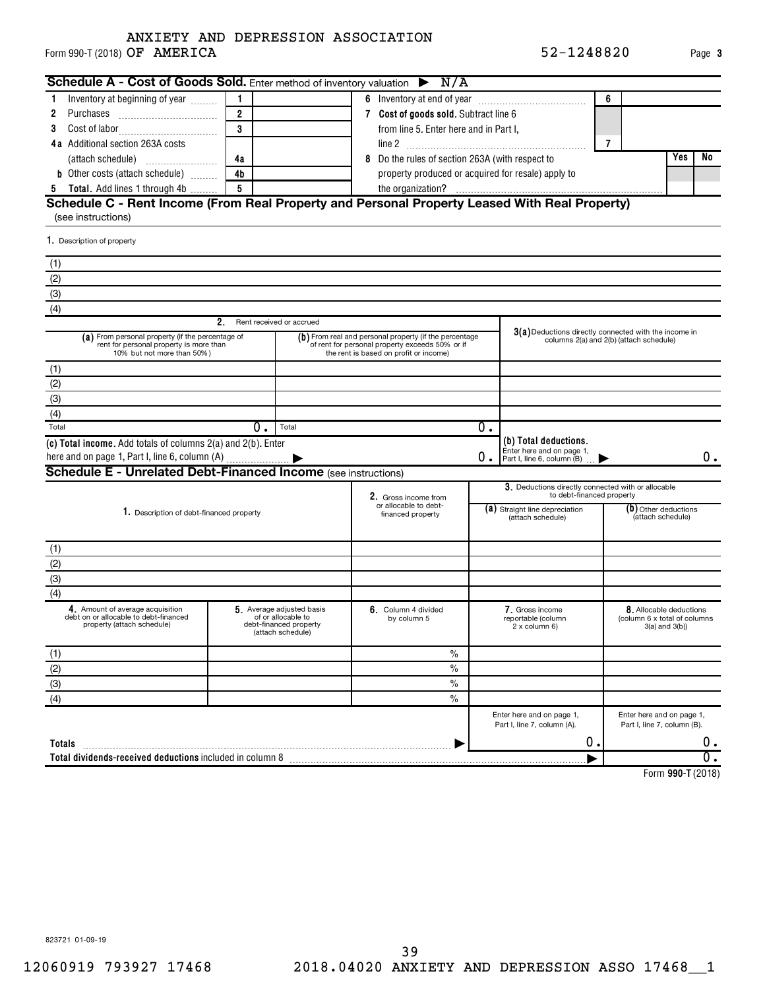### Form 990-T (2018)  $\mathsf{OF}$   $\mathsf{AMERICA}$   $\mathsf{52-1248820}$   $\mathsf{Page}$ ANXIETY AND DEPRESSION ASSOCIATION

| Schedule A - Cost of Goods Sold. Enter method of inventory valuation $\triangleright$ N/A                                 |                |                                                                                                |                                                                                                                                                     |    |                                                                                  |   |                                                                           |                  |
|---------------------------------------------------------------------------------------------------------------------------|----------------|------------------------------------------------------------------------------------------------|-----------------------------------------------------------------------------------------------------------------------------------------------------|----|----------------------------------------------------------------------------------|---|---------------------------------------------------------------------------|------------------|
| Inventory at beginning of year<br>1                                                                                       | 1              |                                                                                                |                                                                                                                                                     |    |                                                                                  | 6 |                                                                           |                  |
| 2                                                                                                                         | $\overline{2}$ |                                                                                                | 7 Cost of goods sold. Subtract line 6                                                                                                               |    |                                                                                  |   |                                                                           |                  |
| 3                                                                                                                         | 3              |                                                                                                | from line 5. Enter here and in Part I,                                                                                                              |    |                                                                                  |   |                                                                           |                  |
| <b>4a</b> Additional section 263A costs                                                                                   |                |                                                                                                |                                                                                                                                                     |    |                                                                                  | 7 |                                                                           |                  |
|                                                                                                                           | 4a             |                                                                                                | 8 Do the rules of section 263A (with respect to                                                                                                     |    |                                                                                  |   | Yes<br>No                                                                 |                  |
| <b>b</b> Other costs (attach schedule)                                                                                    | 4 <sub>b</sub> |                                                                                                | property produced or acquired for resale) apply to                                                                                                  |    |                                                                                  |   |                                                                           |                  |
| 5 Total. Add lines 1 through 4b                                                                                           | 5              |                                                                                                |                                                                                                                                                     |    |                                                                                  |   |                                                                           |                  |
| Schedule C - Rent Income (From Real Property and Personal Property Leased With Real Property)                             |                |                                                                                                |                                                                                                                                                     |    |                                                                                  |   |                                                                           |                  |
| (see instructions)                                                                                                        |                |                                                                                                |                                                                                                                                                     |    |                                                                                  |   |                                                                           |                  |
| 1. Description of property                                                                                                |                |                                                                                                |                                                                                                                                                     |    |                                                                                  |   |                                                                           |                  |
| (1)                                                                                                                       |                |                                                                                                |                                                                                                                                                     |    |                                                                                  |   |                                                                           |                  |
| (2)                                                                                                                       |                |                                                                                                |                                                                                                                                                     |    |                                                                                  |   |                                                                           |                  |
| (3)                                                                                                                       |                |                                                                                                |                                                                                                                                                     |    |                                                                                  |   |                                                                           |                  |
| (4)                                                                                                                       |                |                                                                                                |                                                                                                                                                     |    |                                                                                  |   |                                                                           |                  |
|                                                                                                                           | 2.             | Rent received or accrued                                                                       |                                                                                                                                                     |    |                                                                                  |   |                                                                           |                  |
| (a) From personal property (if the percentage of<br>rent for personal property is more than<br>10% but not more than 50%) |                |                                                                                                | (b) From real and personal property (if the percentage<br>of rent for personal property exceeds 50% or if<br>the rent is based on profit or income) |    | 3(a) Deductions directly connected with the income in                            |   | columns 2(a) and 2(b) (attach schedule)                                   |                  |
| (1)                                                                                                                       |                |                                                                                                |                                                                                                                                                     |    |                                                                                  |   |                                                                           |                  |
| (2)                                                                                                                       |                |                                                                                                |                                                                                                                                                     |    |                                                                                  |   |                                                                           |                  |
| (3)                                                                                                                       |                |                                                                                                |                                                                                                                                                     |    |                                                                                  |   |                                                                           |                  |
| (4)                                                                                                                       |                |                                                                                                |                                                                                                                                                     |    |                                                                                  |   |                                                                           |                  |
| Total                                                                                                                     | 0.             | Total                                                                                          |                                                                                                                                                     | 0. |                                                                                  |   |                                                                           |                  |
| (c) Total income. Add totals of columns 2(a) and 2(b). Enter<br>here and on page 1, Part I, line 6, column (A)            |                |                                                                                                |                                                                                                                                                     | 0. | (b) Total deductions.<br>Enter here and on page 1.<br>Part I, line 6, column (B) |   |                                                                           | 0.               |
| <b>Schedule E - Unrelated Debt-Financed Income</b> (see instructions)                                                     |                |                                                                                                |                                                                                                                                                     |    |                                                                                  |   |                                                                           |                  |
|                                                                                                                           |                |                                                                                                | 2. Gross income from                                                                                                                                |    | 3. Deductions directly connected with or allocable<br>to debt-financed property  |   |                                                                           |                  |
| 1. Description of debt-financed property                                                                                  |                |                                                                                                | or allocable to debt-<br>financed property                                                                                                          |    | (a) Straight line depreciation<br>(attach schedule)                              |   | (b) Other deductions<br>(attach schedule)                                 |                  |
| (1)                                                                                                                       |                |                                                                                                |                                                                                                                                                     |    |                                                                                  |   |                                                                           |                  |
| (2)                                                                                                                       |                |                                                                                                |                                                                                                                                                     |    |                                                                                  |   |                                                                           |                  |
| (3)                                                                                                                       |                |                                                                                                |                                                                                                                                                     |    |                                                                                  |   |                                                                           |                  |
| (4)                                                                                                                       |                |                                                                                                |                                                                                                                                                     |    |                                                                                  |   |                                                                           |                  |
| 4. Amount of average acquisition<br>debt on or allocable to debt-financed<br>property (attach schedule)                   |                | 5. Average adjusted basis<br>of or allocable to<br>debt-financed property<br>(attach schedule) | $6.$ Column 4 divided<br>by column 5                                                                                                                |    | 7. Gross income<br>reportable (column<br>$2 \times$ column 6)                    |   | 8. Allocable deductions<br>(column 6 x total of columns<br>3(a) and 3(b)) |                  |
| (1)                                                                                                                       |                |                                                                                                | $\%$                                                                                                                                                |    |                                                                                  |   |                                                                           |                  |
| (2)                                                                                                                       |                |                                                                                                | $\%$                                                                                                                                                |    |                                                                                  |   |                                                                           |                  |
| (3)                                                                                                                       |                |                                                                                                | $\frac{0}{0}$                                                                                                                                       |    |                                                                                  |   |                                                                           |                  |
| (4)                                                                                                                       |                |                                                                                                | $\frac{0}{0}$                                                                                                                                       |    |                                                                                  |   |                                                                           |                  |
|                                                                                                                           |                |                                                                                                |                                                                                                                                                     |    | Enter here and on page 1,<br>Part I, line 7, column (A).                         |   | Enter here and on page 1,<br>Part I, line 7, column (B).                  |                  |
| Totals                                                                                                                    |                |                                                                                                |                                                                                                                                                     |    | ο.                                                                               |   |                                                                           | 0.               |
| Total dividends-received deductions included in column 8                                                                  |                |                                                                                                |                                                                                                                                                     |    |                                                                                  |   |                                                                           | $\overline{0}$ . |

**990-T**  Form (2018)

**3**

823721 01-09-19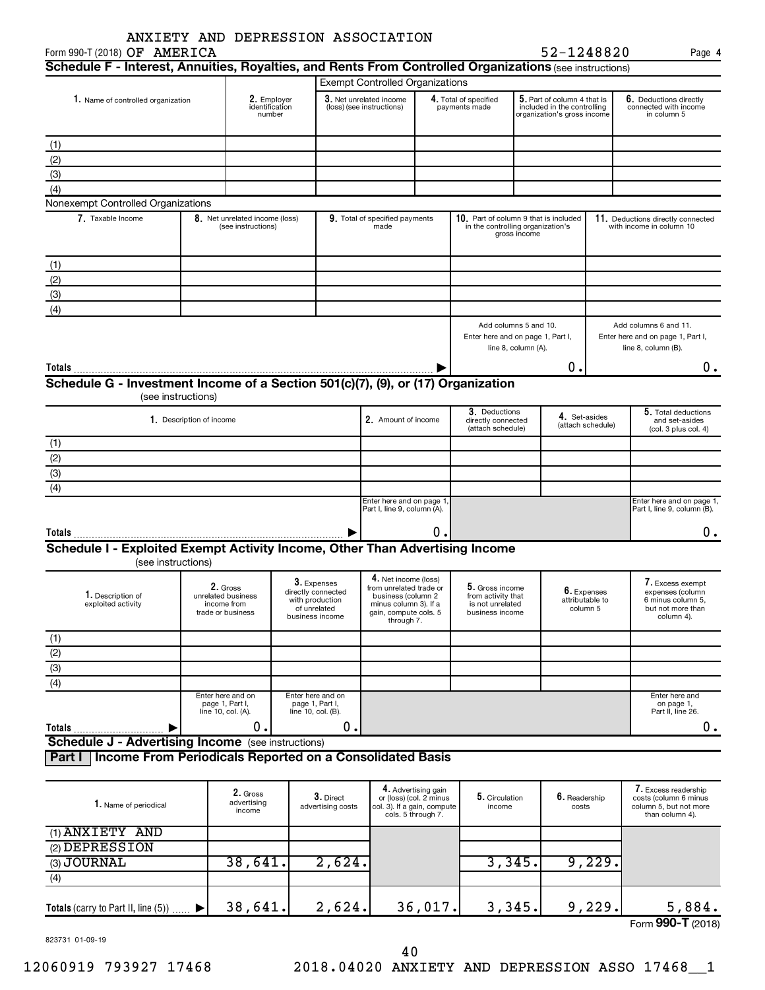| Form 990-T (2018) OF AMERICA                                                                            |  | ANXIETY AND DEPRESSION ASSOCIATION      |                                       |                                                      |                                                         |                                                                      |                                        |                                                                                           | 52-1248820                  |                                                                |                                                                                            |
|---------------------------------------------------------------------------------------------------------|--|-----------------------------------------|---------------------------------------|------------------------------------------------------|---------------------------------------------------------|----------------------------------------------------------------------|----------------------------------------|-------------------------------------------------------------------------------------------|-----------------------------|----------------------------------------------------------------|--------------------------------------------------------------------------------------------|
| Schedule F - Interest, Annuities, Royalties, and Rents From Controlled Organizations (see instructions) |  |                                         |                                       |                                                      |                                                         |                                                                      |                                        |                                                                                           |                             |                                                                | Page 4                                                                                     |
|                                                                                                         |  |                                         |                                       |                                                      | <b>Exempt Controlled Organizations</b>                  |                                                                      |                                        |                                                                                           |                             |                                                                |                                                                                            |
|                                                                                                         |  |                                         |                                       |                                                      |                                                         |                                                                      |                                        |                                                                                           |                             |                                                                |                                                                                            |
| 1. Name of controlled organization                                                                      |  | 2. Employer<br>identification<br>number |                                       | 3. Net unrelated income<br>(loss) (see instructions) |                                                         | 4. Total of specified<br>payments made                               |                                        | 5. Part of column 4 that is<br>included in the controlling<br>organization's gross income |                             | 6. Deductions directly<br>connected with income<br>in column 5 |                                                                                            |
| (1)                                                                                                     |  |                                         |                                       |                                                      |                                                         |                                                                      |                                        |                                                                                           |                             |                                                                |                                                                                            |
| (2)                                                                                                     |  |                                         |                                       |                                                      |                                                         |                                                                      |                                        |                                                                                           |                             |                                                                |                                                                                            |
| (3)                                                                                                     |  |                                         |                                       |                                                      |                                                         |                                                                      |                                        |                                                                                           |                             |                                                                |                                                                                            |
| (4)                                                                                                     |  |                                         |                                       |                                                      |                                                         |                                                                      |                                        |                                                                                           |                             |                                                                |                                                                                            |
| Nonexempt Controlled Organizations                                                                      |  |                                         |                                       |                                                      |                                                         |                                                                      |                                        |                                                                                           |                             |                                                                |                                                                                            |
| 7. Taxable Income                                                                                       |  | 8. Net unrelated income (loss)          |                                       |                                                      | 9. Total of specified payments                          |                                                                      | 10. Part of column 9 that is included  |                                                                                           |                             |                                                                | 11. Deductions directly connected                                                          |
|                                                                                                         |  | (see instructions)                      |                                       |                                                      | made                                                    |                                                                      | in the controlling organization's      | gross income                                                                              |                             |                                                                | with income in column 10                                                                   |
| (1)                                                                                                     |  |                                         |                                       |                                                      |                                                         |                                                                      |                                        |                                                                                           |                             |                                                                |                                                                                            |
| (2)                                                                                                     |  |                                         |                                       |                                                      |                                                         |                                                                      |                                        |                                                                                           |                             |                                                                |                                                                                            |
| (3)                                                                                                     |  |                                         |                                       |                                                      |                                                         |                                                                      |                                        |                                                                                           |                             |                                                                |                                                                                            |
| (4)                                                                                                     |  |                                         |                                       |                                                      |                                                         |                                                                      |                                        |                                                                                           |                             |                                                                |                                                                                            |
|                                                                                                         |  |                                         |                                       |                                                      |                                                         |                                                                      | Add columns 5 and 10.                  |                                                                                           |                             |                                                                |                                                                                            |
|                                                                                                         |  |                                         |                                       |                                                      |                                                         |                                                                      | Enter here and on page 1, Part I,      | line 8, column (A).                                                                       |                             |                                                                | Add columns 6 and 11.<br>Enter here and on page 1, Part I,<br>line 8, column (B).          |
| Totals                                                                                                  |  |                                         |                                       |                                                      |                                                         |                                                                      |                                        |                                                                                           | о.                          |                                                                | 0.                                                                                         |
| Schedule G - Investment Income of a Section 501(c)(7), (9), or (17) Organization                        |  |                                         |                                       |                                                      |                                                         |                                                                      |                                        |                                                                                           |                             |                                                                |                                                                                            |
| (see instructions)                                                                                      |  |                                         |                                       |                                                      |                                                         |                                                                      |                                        |                                                                                           |                             |                                                                |                                                                                            |
|                                                                                                         |  |                                         |                                       |                                                      |                                                         |                                                                      | 3. Deductions                          |                                                                                           |                             |                                                                | 5. Total deductions                                                                        |
| 1. Description of income                                                                                |  |                                         |                                       | 2. Amount of income                                  |                                                         | directly connected<br>(attach schedule)                              |                                        | 4. Set-asides                                                                             | (attach schedule)           | and set-asides<br>(col. 3 plus col. 4)                         |                                                                                            |
| (1)                                                                                                     |  |                                         |                                       |                                                      |                                                         |                                                                      |                                        |                                                                                           |                             |                                                                |                                                                                            |
| (2)                                                                                                     |  |                                         |                                       |                                                      |                                                         |                                                                      |                                        |                                                                                           |                             |                                                                |                                                                                            |
| $\overline{3}$                                                                                          |  |                                         |                                       |                                                      |                                                         |                                                                      |                                        |                                                                                           |                             |                                                                |                                                                                            |
| $\overline{(4)}$                                                                                        |  |                                         |                                       |                                                      |                                                         |                                                                      |                                        |                                                                                           |                             |                                                                |                                                                                            |
|                                                                                                         |  |                                         |                                       |                                                      | Enter here and on page 1<br>Part I, line 9, column (A). |                                                                      |                                        |                                                                                           |                             |                                                                | Enter here and on page 1,<br>Part I, line 9, column (B).                                   |
| Totals                                                                                                  |  |                                         |                                       |                                                      |                                                         | 0.                                                                   |                                        |                                                                                           |                             |                                                                | 0.                                                                                         |
| Schedule I - Exploited Exempt Activity Income, Other Than Advertising Income                            |  |                                         |                                       |                                                      |                                                         |                                                                      |                                        |                                                                                           |                             |                                                                |                                                                                            |
| (see instructions)                                                                                      |  |                                         |                                       |                                                      |                                                         |                                                                      |                                        |                                                                                           |                             |                                                                |                                                                                            |
|                                                                                                         |  |                                         |                                       |                                                      | 4. Net income (loss)                                    |                                                                      |                                        |                                                                                           |                             |                                                                |                                                                                            |
| 1. Description of                                                                                       |  | 2. Gross                                | 3. Expenses<br>directly connected     |                                                      | from unrelated trade or                                 |                                                                      | 5. Gross income                        |                                                                                           |                             | 6. Expenses                                                    | 7. Excess exempt<br>expenses (column                                                       |
| exploited activity                                                                                      |  | unrelated business<br>income from       | with production<br>of unrelated       |                                                      | business (column 2<br>minus column 3). If a             |                                                                      | from activity that<br>is not unrelated |                                                                                           | attributable to<br>column 5 |                                                                | 6 minus column 5,<br>but not more than                                                     |
|                                                                                                         |  | trade or business                       | business income                       |                                                      | gain, compute cols. 5<br>through 7.                     |                                                                      | business income                        |                                                                                           |                             |                                                                | column 4).                                                                                 |
| (1)                                                                                                     |  |                                         |                                       |                                                      |                                                         |                                                                      |                                        |                                                                                           |                             |                                                                |                                                                                            |
|                                                                                                         |  |                                         |                                       |                                                      |                                                         |                                                                      |                                        |                                                                                           |                             |                                                                |                                                                                            |
| $\frac{(2)}{(3)}$                                                                                       |  |                                         |                                       |                                                      |                                                         |                                                                      |                                        |                                                                                           |                             |                                                                |                                                                                            |
| $\overline{(4)}$                                                                                        |  |                                         |                                       |                                                      |                                                         |                                                                      |                                        |                                                                                           |                             |                                                                |                                                                                            |
|                                                                                                         |  | Enter here and on                       | Enter here and on                     |                                                      |                                                         |                                                                      |                                        |                                                                                           |                             |                                                                | Enter here and                                                                             |
|                                                                                                         |  | page 1, Part I,<br>line 10, col. (A).   | page 1, Part I,<br>line 10, col. (B). |                                                      |                                                         |                                                                      |                                        |                                                                                           |                             |                                                                | on page 1,<br>Part II, line 26.                                                            |
|                                                                                                         |  | 0.                                      |                                       | Ο.                                                   |                                                         |                                                                      |                                        |                                                                                           |                             |                                                                | $0$ .                                                                                      |
| Totals<br><b>Schedule J - Advertising Income</b> (see instructions)                                     |  |                                         |                                       |                                                      |                                                         |                                                                      |                                        |                                                                                           |                             |                                                                |                                                                                            |
| <b>Income From Periodicals Reported on a Consolidated Basis</b>                                         |  |                                         |                                       |                                                      |                                                         |                                                                      |                                        |                                                                                           |                             |                                                                |                                                                                            |
| Part I                                                                                                  |  |                                         |                                       |                                                      |                                                         |                                                                      |                                        |                                                                                           |                             |                                                                |                                                                                            |
|                                                                                                         |  |                                         |                                       |                                                      |                                                         |                                                                      |                                        |                                                                                           |                             |                                                                |                                                                                            |
| 1. Name of periodical                                                                                   |  | 2. Gross<br>advertising<br>income       |                                       | 3. Direct<br>advertising costs                       | col. 3). If a gain, compute                             | 4. Advertising gain<br>or (loss) (col. 2 minus<br>cols. 5 through 7. | 5. Circulation<br>income               |                                                                                           | 6. Readership<br>costs      |                                                                | 7. Excess readership<br>costs (column 6 minus<br>column 5, but not more<br>than column 4). |
| (1) ANXIETY AND                                                                                         |  |                                         |                                       |                                                      |                                                         |                                                                      |                                        |                                                                                           |                             |                                                                |                                                                                            |
| (2) DEPRESSION                                                                                          |  |                                         |                                       |                                                      |                                                         |                                                                      |                                        |                                                                                           |                             |                                                                |                                                                                            |
| (3) JOURNAL                                                                                             |  | 38,641.                                 |                                       | 2,624.                                               |                                                         |                                                                      | 3,345.                                 |                                                                                           |                             | 9,229.                                                         |                                                                                            |

823731 01-09-19

12060919 793927 17468 2018.04020 ANXIETY AND DEPRESSION ASSO 17468\_\_1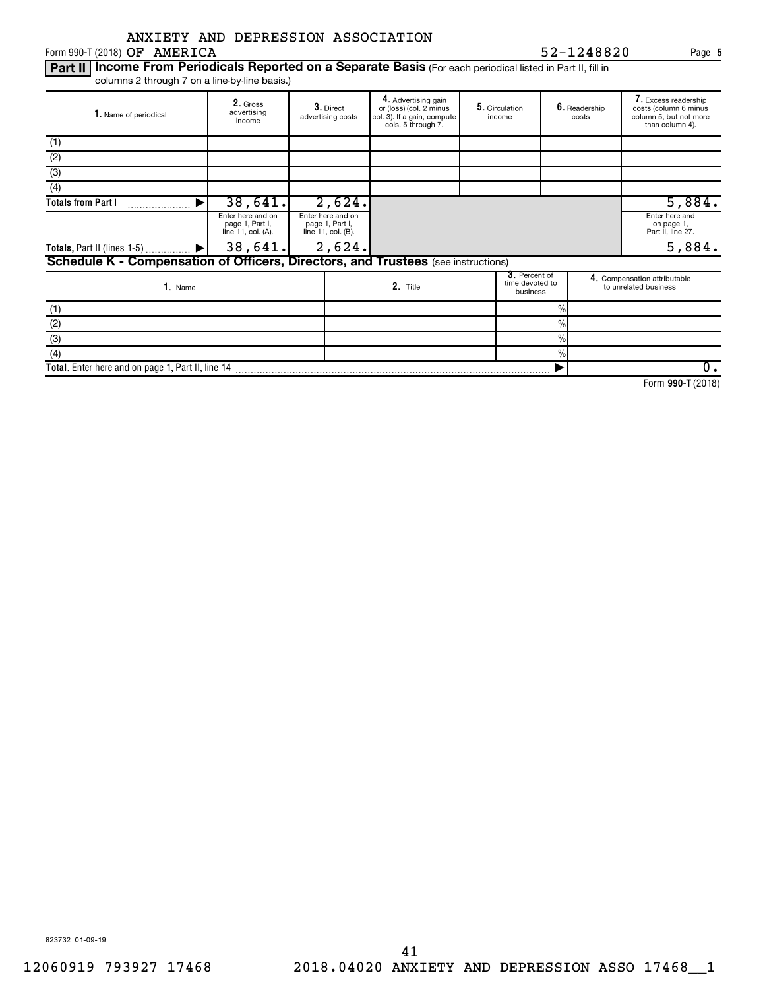|  |  | ANXIETY AND DEPRESSION ASSOCIATION |
|--|--|------------------------------------|
|  |  |                                    |

 $Form 990-T (2018)$  OF AMERICA

Part II | Income From Periodicals Reported on a Separate Basis (For each periodical listed in Part II, fill in columns 2 through 7 on a line-by-line basis.)

| 1. Name of periodical                                                             | 2. Gross<br>advertising<br>income                          | 3. Direct<br>advertising costs                             | 4. Advertising gain<br>or (loss) (col. 2 minus<br>col. 3). If a gain, compute<br>cols. 5 through 7. | 5. Circulation<br>income                     |      | 6. Readership<br>costs | 7. Excess readership<br>costs (column 6 minus<br>column 5, but not more<br>than column 4). |
|-----------------------------------------------------------------------------------|------------------------------------------------------------|------------------------------------------------------------|-----------------------------------------------------------------------------------------------------|----------------------------------------------|------|------------------------|--------------------------------------------------------------------------------------------|
| (1)                                                                               |                                                            |                                                            |                                                                                                     |                                              |      |                        |                                                                                            |
| (2)                                                                               |                                                            |                                                            |                                                                                                     |                                              |      |                        |                                                                                            |
| (3)                                                                               |                                                            |                                                            |                                                                                                     |                                              |      |                        |                                                                                            |
| (4)                                                                               |                                                            |                                                            |                                                                                                     |                                              |      |                        |                                                                                            |
| <b>Totals from Part I</b>                                                         | 38,641.                                                    | 2,624.                                                     |                                                                                                     |                                              |      |                        | 5,884.                                                                                     |
|                                                                                   | Enter here and on<br>page 1, Part I,<br>line 11, col. (A). | Enter here and on<br>page 1, Part I,<br>line 11, col. (B). |                                                                                                     |                                              |      |                        | Enter here and<br>on page 1,<br>Part II, line 27.                                          |
| Totals, Part II (lines 1-5)  ▶                                                    | 38,641.                                                    | 2,624.                                                     |                                                                                                     |                                              |      |                        | 5,884.                                                                                     |
| Schedule K - Compensation of Officers, Directors, and Trustees (see instructions) |                                                            |                                                            |                                                                                                     |                                              |      |                        |                                                                                            |
| 1. Name                                                                           |                                                            |                                                            | 2. Title                                                                                            | 3. Percent of<br>time devoted to<br>business |      |                        | 4. Compensation attributable<br>to unrelated business                                      |
| (1)                                                                               |                                                            |                                                            |                                                                                                     |                                              | $\%$ |                        |                                                                                            |
| (2)                                                                               |                                                            |                                                            |                                                                                                     |                                              | $\%$ |                        |                                                                                            |
| (3)                                                                               |                                                            |                                                            |                                                                                                     |                                              | $\%$ |                        |                                                                                            |
| (4)                                                                               |                                                            |                                                            |                                                                                                     |                                              | $\%$ |                        |                                                                                            |
| Total. Enter here and on page 1, Part II, line 14                                 |                                                            |                                                            |                                                                                                     |                                              |      |                        | 0.                                                                                         |

**990-T**  Form (2018)

**5**

OF AMERICA 52-1248820

823732 01-09-19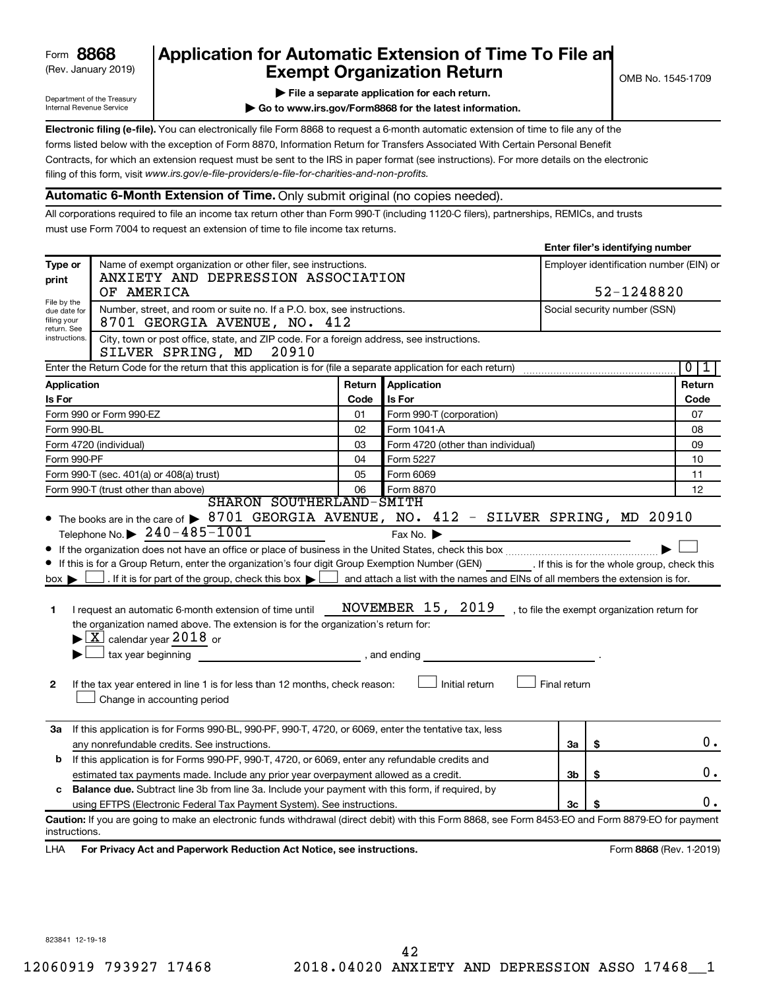# (Rev. January 2019) **Cxempt Organization Return** Manuary 2019 and States 1709 **8868 Application for Automatic Extension of Time To File an**

**Enter filer's identifying number**

Department of the Treasury Internal Revenue Service

**| Go to www.irs.gov/Form8868 for the latest information.**

**Electronic filing (e-file).** You can electronically file Form 8868 to request a 6-month automatic extension of time to file any of the filing of this form, visit www.irs.gov/e-file-providers/e-file-for-charities-and-non-profits. forms listed below with the exception of Form 8870, Information Return for Transfers Associated With Certain Personal Benefit Contracts, for which an extension request must be sent to the IRS in paper format (see instructions). For more details on the electronic

# **Automatic 6-Month Extension of Time.** Only submit original (no copies needed).

All corporations required to file an income tax return other than Form 990-T (including 1120-C filers), partnerships, REMICs, and trusts must use Form 7004 to request an extension of time to file income tax returns.

| Type or<br>print                                                                                             | Name of exempt organization or other filer, see instructions.<br>ANXIETY AND DEPRESSION ASSOCIATION<br>OF AMERICA                                  |        | Employer identification number (EIN) or<br>52-1248820                          |    |                              |                                |  |  |  |
|--------------------------------------------------------------------------------------------------------------|----------------------------------------------------------------------------------------------------------------------------------------------------|--------|--------------------------------------------------------------------------------|----|------------------------------|--------------------------------|--|--|--|
| File by the<br>due date for<br>filing your<br>return. See<br>instructions.                                   | Number, street, and room or suite no. If a P.O. box, see instructions.<br>8701 GEORGIA AVENUE, NO. 412                                             |        |                                                                                |    | Social security number (SSN) |                                |  |  |  |
|                                                                                                              | City, town or post office, state, and ZIP code. For a foreign address, see instructions.<br>SILVER SPRING, MD<br>20910                             |        |                                                                                |    |                              |                                |  |  |  |
|                                                                                                              | Enter the Return Code for the return that this application is for (file a separate application for each return)                                    |        |                                                                                |    |                              | $\overline{0}$<br>$\mathbf{1}$ |  |  |  |
| Application                                                                                                  |                                                                                                                                                    | Return | Application                                                                    |    |                              | Return                         |  |  |  |
| Is For                                                                                                       |                                                                                                                                                    | Code   | Is For                                                                         |    |                              | Code                           |  |  |  |
| Form 990 or Form 990-EZ                                                                                      |                                                                                                                                                    | 01     | Form 990-T (corporation)                                                       |    |                              | 07                             |  |  |  |
| Form 990-BL                                                                                                  |                                                                                                                                                    | 02     | Form 1041-A                                                                    |    |                              | 08                             |  |  |  |
| Form 4720 (individual)                                                                                       |                                                                                                                                                    | 03     | Form 4720 (other than individual)                                              |    |                              | 09                             |  |  |  |
| Form 990-PF                                                                                                  |                                                                                                                                                    | 04     | Form 5227                                                                      |    |                              | 10                             |  |  |  |
|                                                                                                              | Form 990-T (sec. 401(a) or 408(a) trust)                                                                                                           | 05     | Form 6069                                                                      |    |                              | 11                             |  |  |  |
|                                                                                                              | Form 990-T (trust other than above)                                                                                                                | 06     | Form 8870                                                                      |    |                              | 12                             |  |  |  |
|                                                                                                              | SHARON SOUTHERLAND-SMITH                                                                                                                           |        |                                                                                |    |                              |                                |  |  |  |
|                                                                                                              | • The books are in the care of > 8701 GEORGIA AVENUE, NO. 412 - SILVER SPRING, MD 20910                                                            |        |                                                                                |    |                              |                                |  |  |  |
|                                                                                                              | Telephone No. $\triangleright$ 240-485-1001                                                                                                        |        | Fax No.                                                                        |    |                              |                                |  |  |  |
|                                                                                                              |                                                                                                                                                    |        |                                                                                |    |                              |                                |  |  |  |
|                                                                                                              | If this is for a Group Return, enter the organization's four digit Group Exemption Number (GEN) [If this is for the whole group, check this        |        |                                                                                |    |                              |                                |  |  |  |
| $box \blacktriangleright$                                                                                    | . If it is for part of the group, check this box $\blacktriangleright$                                                                             |        | and attach a list with the names and EINs of all members the extension is for. |    |                              |                                |  |  |  |
|                                                                                                              |                                                                                                                                                    |        |                                                                                |    |                              |                                |  |  |  |
| 1                                                                                                            | NOVEMBER 15, 2019<br>, to file the exempt organization return for<br>I request an automatic 6-month extension of time until                        |        |                                                                                |    |                              |                                |  |  |  |
|                                                                                                              | the organization named above. The extension is for the organization's return for:                                                                  |        |                                                                                |    |                              |                                |  |  |  |
|                                                                                                              | $\blacktriangleright$ $\boxed{\text{X}}$ calendar year 2018 or                                                                                     |        |                                                                                |    |                              |                                |  |  |  |
|                                                                                                              | tax year beginning tax year beginning                                                                                                              |        |                                                                                |    |                              |                                |  |  |  |
|                                                                                                              |                                                                                                                                                    |        |                                                                                |    |                              |                                |  |  |  |
| 2                                                                                                            | Initial return<br>Final return<br>If the tax year entered in line 1 is for less than 12 months, check reason:<br>Change in accounting period       |        |                                                                                |    |                              |                                |  |  |  |
|                                                                                                              |                                                                                                                                                    |        |                                                                                |    |                              |                                |  |  |  |
| За                                                                                                           | If this application is for Forms 990-BL, 990-PF, 990-T, 4720, or 6069, enter the tentative tax, less                                               |        |                                                                                |    |                              |                                |  |  |  |
|                                                                                                              | any nonrefundable credits. See instructions.                                                                                                       |        |                                                                                |    | \$                           | 0.                             |  |  |  |
| b                                                                                                            | If this application is for Forms 990-PF, 990-T, 4720, or 6069, enter any refundable credits and                                                    |        |                                                                                |    |                              |                                |  |  |  |
|                                                                                                              | estimated tax payments made. Include any prior year overpayment allowed as a credit.                                                               |        |                                                                                |    | \$                           | 0.                             |  |  |  |
| <b>Balance due.</b> Subtract line 3b from line 3a. Include your payment with this form, if required, by<br>c |                                                                                                                                                    |        |                                                                                |    |                              |                                |  |  |  |
| using EFTPS (Electronic Federal Tax Payment System). See instructions.                                       |                                                                                                                                                    |        |                                                                                | 3c |                              | 0.                             |  |  |  |
| instructions.                                                                                                | Caution: If you are going to make an electronic funds withdrawal (direct debit) with this Form 8868, see Form 8453-EO and Form 8879-EO for payment |        |                                                                                |    |                              |                                |  |  |  |
| LHA                                                                                                          | For Privacy Act and Paperwork Reduction Act Notice, see instructions.                                                                              |        |                                                                                |    | Form 8868 (Rev. 1-2019)      |                                |  |  |  |
|                                                                                                              |                                                                                                                                                    |        |                                                                                |    |                              |                                |  |  |  |